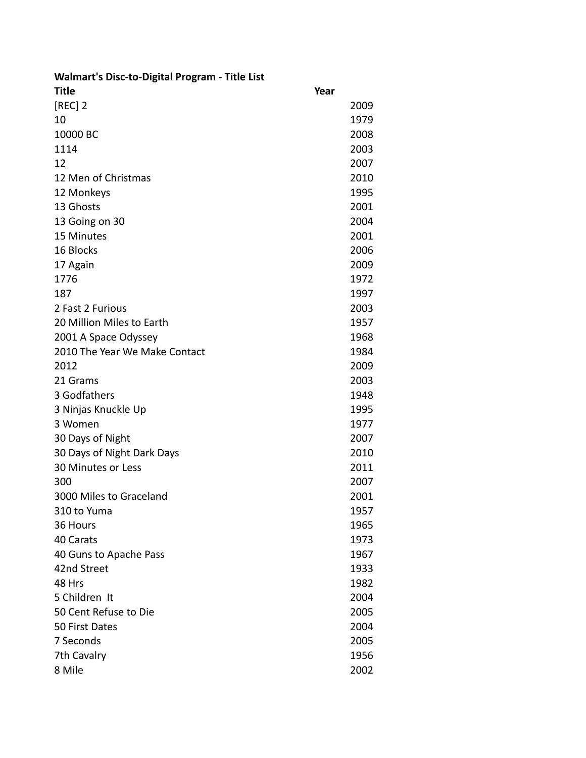| Walmart's Disc-to-Digital Program - Title List |      |
|------------------------------------------------|------|
| Title                                          | Year |
| $[REC]$ 2                                      | 2009 |
| 10                                             | 1979 |
| 10000 BC                                       | 2008 |
| 1114                                           | 2003 |
| 12                                             | 2007 |
| 12 Men of Christmas                            | 2010 |
| 12 Monkeys                                     | 1995 |
| 13 Ghosts                                      | 2001 |
| 13 Going on 30                                 | 2004 |
| 15 Minutes                                     | 2001 |
| 16 Blocks                                      | 2006 |
| 17 Again                                       | 2009 |
| 1776                                           | 1972 |
| 187                                            | 1997 |
| 2 Fast 2 Furious                               | 2003 |
| 20 Million Miles to Earth                      | 1957 |
| 2001 A Space Odyssey                           | 1968 |
| 2010 The Year We Make Contact                  | 1984 |
| 2012                                           | 2009 |
| 21 Grams                                       | 2003 |
| 3 Godfathers                                   | 1948 |
| 3 Ninjas Knuckle Up                            | 1995 |
| 3 Women                                        | 1977 |
| 30 Days of Night                               | 2007 |
| 30 Days of Night Dark Days                     | 2010 |
| 30 Minutes or Less                             | 2011 |
| 300                                            | 2007 |
| 3000 Miles to Graceland                        | 2001 |
| 310 to Yuma                                    | 1957 |
| 36 Hours                                       | 1965 |
| 40 Carats                                      | 1973 |
| 40 Guns to Apache Pass                         | 1967 |
| 42nd Street                                    | 1933 |
| 48 Hrs                                         | 1982 |
| 5 Children It                                  | 2004 |
| 50 Cent Refuse to Die                          | 2005 |
| 50 First Dates                                 | 2004 |
| 7 Seconds                                      | 2005 |
| 7th Cavalry                                    | 1956 |
| 8 Mile                                         | 2002 |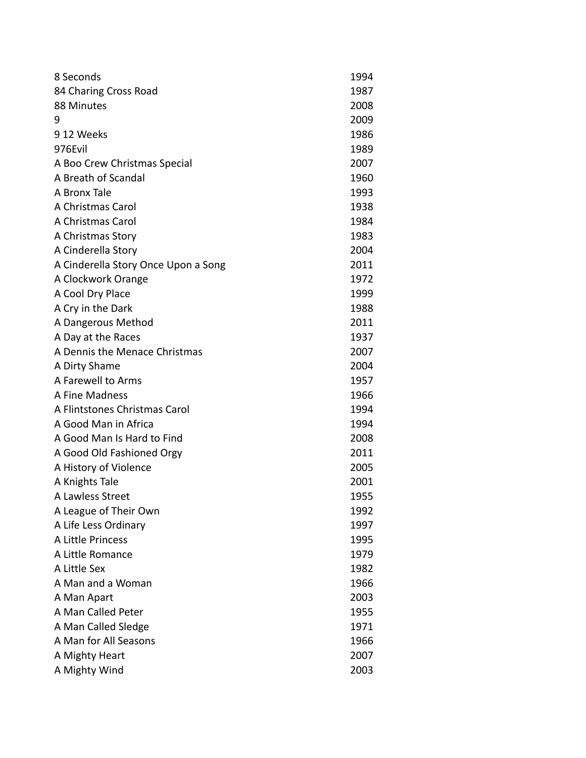| 8 Seconds                           | 1994 |
|-------------------------------------|------|
| 84 Charing Cross Road               | 1987 |
| 88 Minutes                          | 2008 |
| 9                                   | 2009 |
| 9 12 Weeks                          | 1986 |
| 976Evil                             | 1989 |
| A Boo Crew Christmas Special        | 2007 |
| A Breath of Scandal                 | 1960 |
| A Bronx Tale                        | 1993 |
| A Christmas Carol                   | 1938 |
| A Christmas Carol                   | 1984 |
| A Christmas Story                   | 1983 |
| A Cinderella Story                  | 2004 |
| A Cinderella Story Once Upon a Song | 2011 |
| A Clockwork Orange                  | 1972 |
| A Cool Dry Place                    | 1999 |
| A Cry in the Dark                   | 1988 |
| A Dangerous Method                  | 2011 |
| A Day at the Races                  | 1937 |
| A Dennis the Menace Christmas       | 2007 |
| A Dirty Shame                       | 2004 |
| A Farewell to Arms                  | 1957 |
| A Fine Madness                      | 1966 |
| A Flintstones Christmas Carol       | 1994 |
| A Good Man in Africa                | 1994 |
| A Good Man Is Hard to Find          | 2008 |
| A Good Old Fashioned Orgy           | 2011 |
| A History of Violence               | 2005 |
| A Knights Tale                      | 2001 |
| A Lawless Street                    | 1955 |
| A League of Their Own               | 1992 |
| A Life Less Ordinary                | 1997 |
| A Little Princess                   | 1995 |
| A Little Romance                    | 1979 |
| A Little Sex                        | 1982 |
| A Man and a Woman                   | 1966 |
| A Man Apart                         | 2003 |
| A Man Called Peter                  | 1955 |
| A Man Called Sledge                 | 1971 |
| A Man for All Seasons               | 1966 |
| A Mighty Heart                      | 2007 |
| A Mighty Wind                       | 2003 |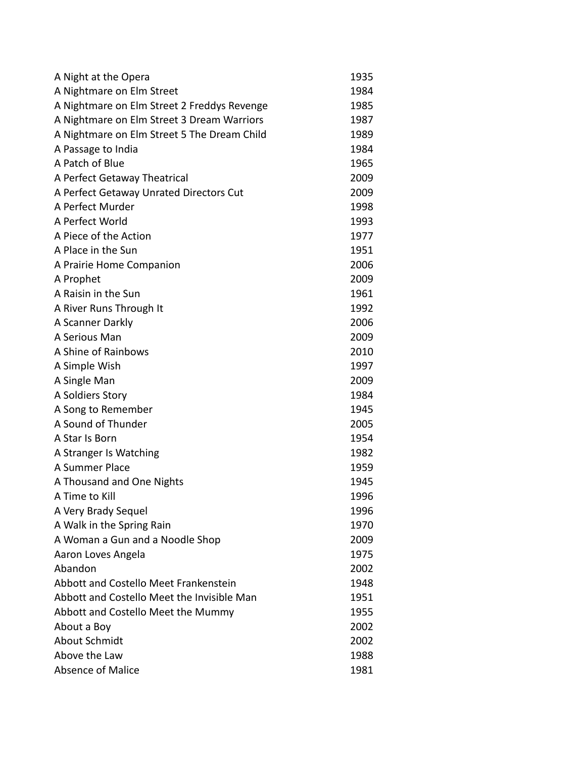| A Night at the Opera                        | 1935 |
|---------------------------------------------|------|
| A Nightmare on Elm Street                   | 1984 |
| A Nightmare on Elm Street 2 Freddys Revenge | 1985 |
| A Nightmare on Elm Street 3 Dream Warriors  | 1987 |
| A Nightmare on Elm Street 5 The Dream Child | 1989 |
| A Passage to India                          | 1984 |
| A Patch of Blue                             | 1965 |
| A Perfect Getaway Theatrical                | 2009 |
| A Perfect Getaway Unrated Directors Cut     | 2009 |
| A Perfect Murder                            | 1998 |
| A Perfect World                             | 1993 |
| A Piece of the Action                       | 1977 |
| A Place in the Sun                          | 1951 |
| A Prairie Home Companion                    | 2006 |
| A Prophet                                   | 2009 |
| A Raisin in the Sun                         | 1961 |
| A River Runs Through It                     | 1992 |
| A Scanner Darkly                            | 2006 |
| A Serious Man                               | 2009 |
| A Shine of Rainbows                         | 2010 |
| A Simple Wish                               | 1997 |
| A Single Man                                | 2009 |
| A Soldiers Story                            | 1984 |
| A Song to Remember                          | 1945 |
| A Sound of Thunder                          | 2005 |
| A Star Is Born                              | 1954 |
| A Stranger Is Watching                      | 1982 |
| A Summer Place                              | 1959 |
| A Thousand and One Nights                   | 1945 |
| A Time to Kill                              | 1996 |
| A Very Brady Sequel                         | 1996 |
| A Walk in the Spring Rain                   | 1970 |
| A Woman a Gun and a Noodle Shop             | 2009 |
| Aaron Loves Angela                          | 1975 |
| Abandon                                     | 2002 |
| Abbott and Costello Meet Frankenstein       | 1948 |
| Abbott and Costello Meet the Invisible Man  | 1951 |
| Abbott and Costello Meet the Mummy          | 1955 |
| About a Boy                                 | 2002 |
| About Schmidt                               | 2002 |
| Above the Law                               | 1988 |
| <b>Absence of Malice</b>                    | 1981 |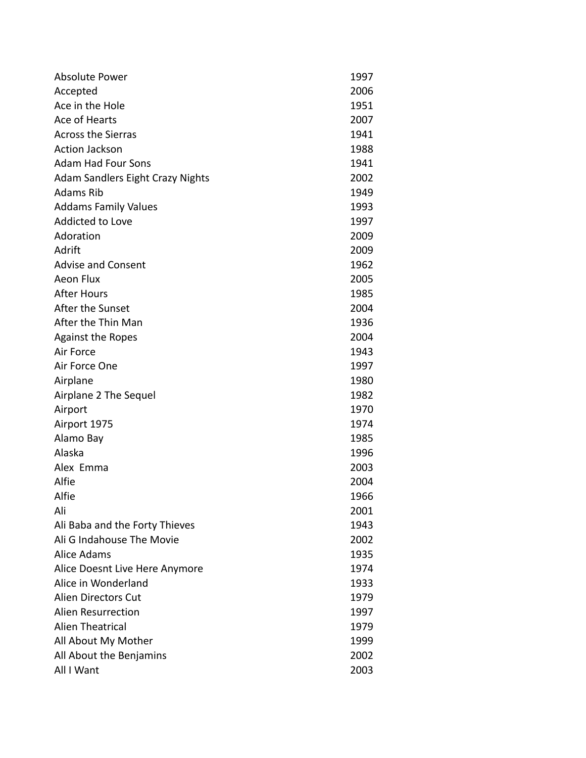| <b>Absolute Power</b>                   | 1997 |
|-----------------------------------------|------|
| Accepted                                | 2006 |
| Ace in the Hole                         | 1951 |
| Ace of Hearts                           | 2007 |
| <b>Across the Sierras</b>               | 1941 |
| <b>Action Jackson</b>                   | 1988 |
| <b>Adam Had Four Sons</b>               | 1941 |
| <b>Adam Sandlers Eight Crazy Nights</b> | 2002 |
| <b>Adams Rib</b>                        | 1949 |
| <b>Addams Family Values</b>             | 1993 |
| Addicted to Love                        | 1997 |
| Adoration                               | 2009 |
| Adrift                                  | 2009 |
| <b>Advise and Consent</b>               | 1962 |
| Aeon Flux                               | 2005 |
| <b>After Hours</b>                      | 1985 |
| After the Sunset                        | 2004 |
| After the Thin Man                      | 1936 |
| <b>Against the Ropes</b>                | 2004 |
| Air Force                               | 1943 |
| Air Force One                           | 1997 |
| Airplane                                | 1980 |
| Airplane 2 The Sequel                   | 1982 |
| Airport                                 | 1970 |
| Airport 1975                            | 1974 |
| Alamo Bay                               | 1985 |
| Alaska                                  | 1996 |
| Alex Emma                               | 2003 |
| Alfie                                   | 2004 |
| Alfie                                   | 1966 |
| Ali                                     | 2001 |
| Ali Baba and the Forty Thieves          | 1943 |
| Ali G Indahouse The Movie               | 2002 |
| <b>Alice Adams</b>                      | 1935 |
| Alice Doesnt Live Here Anymore          | 1974 |
| Alice in Wonderland                     | 1933 |
| Alien Directors Cut                     | 1979 |
| <b>Alien Resurrection</b>               | 1997 |
| <b>Alien Theatrical</b>                 | 1979 |
| All About My Mother                     | 1999 |
| All About the Benjamins                 | 2002 |
| All I Want                              | 2003 |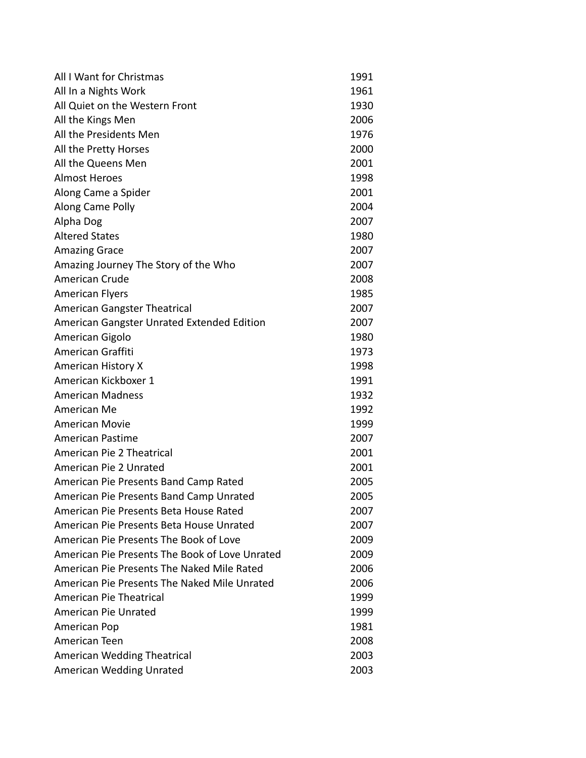| All I Want for Christmas                       | 1991 |
|------------------------------------------------|------|
| All In a Nights Work                           | 1961 |
| All Quiet on the Western Front                 | 1930 |
| All the Kings Men                              | 2006 |
| All the Presidents Men                         | 1976 |
| All the Pretty Horses                          | 2000 |
| All the Queens Men                             | 2001 |
| <b>Almost Heroes</b>                           | 1998 |
| Along Came a Spider                            | 2001 |
| Along Came Polly                               | 2004 |
| Alpha Dog                                      | 2007 |
| <b>Altered States</b>                          | 1980 |
| <b>Amazing Grace</b>                           | 2007 |
| Amazing Journey The Story of the Who           | 2007 |
| American Crude                                 | 2008 |
| <b>American Flyers</b>                         | 1985 |
| <b>American Gangster Theatrical</b>            | 2007 |
| American Gangster Unrated Extended Edition     | 2007 |
| American Gigolo                                | 1980 |
| American Graffiti                              | 1973 |
| <b>American History X</b>                      | 1998 |
| American Kickboxer 1                           | 1991 |
| <b>American Madness</b>                        | 1932 |
| American Me                                    | 1992 |
| <b>American Movie</b>                          | 1999 |
| <b>American Pastime</b>                        | 2007 |
| American Pie 2 Theatrical                      | 2001 |
| American Pie 2 Unrated                         | 2001 |
| American Pie Presents Band Camp Rated          | 2005 |
| American Pie Presents Band Camp Unrated        | 2005 |
| American Pie Presents Beta House Rated         | 2007 |
| American Pie Presents Beta House Unrated       | 2007 |
| American Pie Presents The Book of Love         | 2009 |
| American Pie Presents The Book of Love Unrated | 2009 |
| American Pie Presents The Naked Mile Rated     | 2006 |
| American Pie Presents The Naked Mile Unrated   | 2006 |
| <b>American Pie Theatrical</b>                 | 1999 |
| American Pie Unrated                           | 1999 |
| American Pop                                   | 1981 |
| American Teen                                  | 2008 |
| American Wedding Theatrical                    | 2003 |
| American Wedding Unrated                       | 2003 |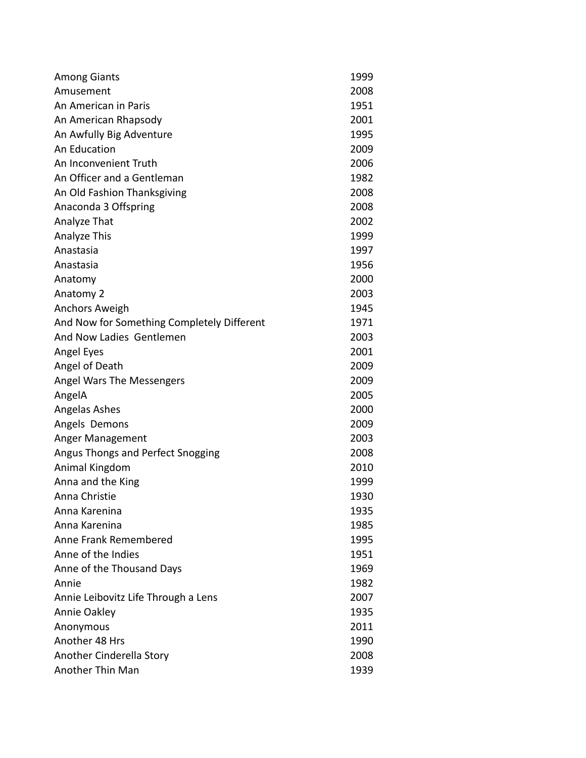| <b>Among Giants</b>                        | 1999 |
|--------------------------------------------|------|
| Amusement                                  | 2008 |
| An American in Paris                       | 1951 |
| An American Rhapsody                       | 2001 |
| An Awfully Big Adventure                   | 1995 |
| An Education                               | 2009 |
| An Inconvenient Truth                      | 2006 |
| An Officer and a Gentleman                 | 1982 |
| An Old Fashion Thanksgiving                | 2008 |
| Anaconda 3 Offspring                       | 2008 |
| Analyze That                               | 2002 |
| Analyze This                               | 1999 |
| Anastasia                                  | 1997 |
| Anastasia                                  | 1956 |
| Anatomy                                    | 2000 |
| Anatomy 2                                  | 2003 |
| Anchors Aweigh                             | 1945 |
| And Now for Something Completely Different | 1971 |
| And Now Ladies Gentlemen                   | 2003 |
| Angel Eyes                                 | 2001 |
| Angel of Death                             | 2009 |
| Angel Wars The Messengers                  | 2009 |
| AngelA                                     | 2005 |
| Angelas Ashes                              | 2000 |
| Angels Demons                              | 2009 |
| Anger Management                           | 2003 |
| Angus Thongs and Perfect Snogging          | 2008 |
| Animal Kingdom                             | 2010 |
| Anna and the King                          | 1999 |
| Anna Christie                              | 1930 |
| Anna Karenina                              | 1935 |
| Anna Karenina                              | 1985 |
| Anne Frank Remembered                      | 1995 |
| Anne of the Indies                         | 1951 |
| Anne of the Thousand Days                  | 1969 |
| Annie                                      | 1982 |
| Annie Leibovitz Life Through a Lens        | 2007 |
| Annie Oakley                               | 1935 |
| Anonymous                                  | 2011 |
| Another 48 Hrs                             | 1990 |
| Another Cinderella Story                   | 2008 |
| Another Thin Man                           | 1939 |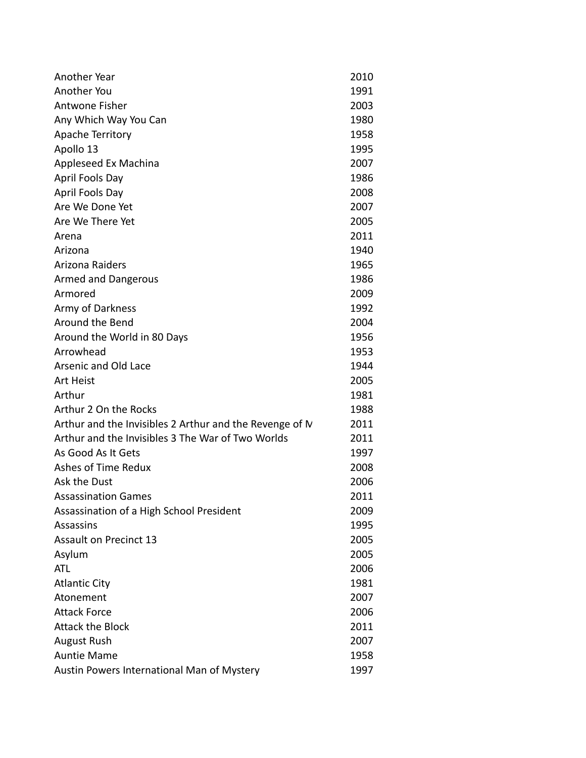| Another Year                                            | 2010 |
|---------------------------------------------------------|------|
| Another You                                             | 1991 |
| Antwone Fisher                                          | 2003 |
| Any Which Way You Can                                   | 1980 |
| Apache Territory                                        | 1958 |
| Apollo 13                                               | 1995 |
| Appleseed Ex Machina                                    | 2007 |
| April Fools Day                                         | 1986 |
| April Fools Day                                         | 2008 |
| Are We Done Yet                                         | 2007 |
| Are We There Yet                                        | 2005 |
| Arena                                                   | 2011 |
| Arizona                                                 | 1940 |
| Arizona Raiders                                         | 1965 |
| <b>Armed and Dangerous</b>                              | 1986 |
| Armored                                                 | 2009 |
| Army of Darkness                                        | 1992 |
| Around the Bend                                         | 2004 |
| Around the World in 80 Days                             | 1956 |
| Arrowhead                                               | 1953 |
| Arsenic and Old Lace                                    | 1944 |
| <b>Art Heist</b>                                        | 2005 |
| Arthur                                                  | 1981 |
| Arthur 2 On the Rocks                                   | 1988 |
| Arthur and the Invisibles 2 Arthur and the Revenge of N | 2011 |
| Arthur and the Invisibles 3 The War of Two Worlds       | 2011 |
| As Good As It Gets                                      | 1997 |
| Ashes of Time Redux                                     | 2008 |
| Ask the Dust                                            | 2006 |
| <b>Assassination Games</b>                              | 2011 |
| Assassination of a High School President                | 2009 |
| Assassins                                               | 1995 |
| <b>Assault on Precinct 13</b>                           | 2005 |
| Asylum                                                  | 2005 |
| <b>ATL</b>                                              | 2006 |
| <b>Atlantic City</b>                                    | 1981 |
| Atonement                                               | 2007 |
| <b>Attack Force</b>                                     | 2006 |
| <b>Attack the Block</b>                                 | 2011 |
| <b>August Rush</b>                                      | 2007 |
| <b>Auntie Mame</b>                                      | 1958 |
| Austin Powers International Man of Mystery              | 1997 |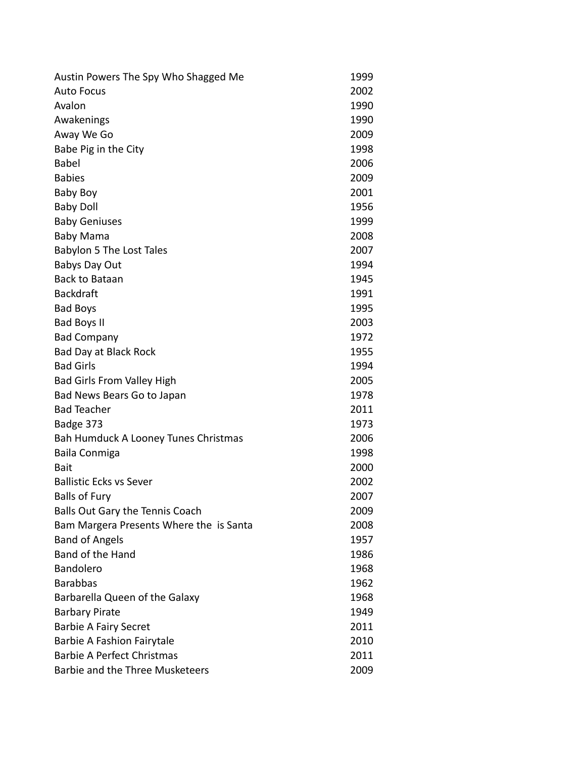| Austin Powers The Spy Who Shagged Me                              | 1999 |
|-------------------------------------------------------------------|------|
| <b>Auto Focus</b>                                                 | 2002 |
| Avalon                                                            | 1990 |
| Awakenings                                                        | 1990 |
| Away We Go                                                        | 2009 |
| Babe Pig in the City                                              | 1998 |
| <b>Babel</b>                                                      | 2006 |
| <b>Babies</b>                                                     | 2009 |
| Baby Boy                                                          | 2001 |
| <b>Baby Doll</b>                                                  | 1956 |
| <b>Baby Geniuses</b>                                              | 1999 |
| Baby Mama                                                         | 2008 |
| Babylon 5 The Lost Tales                                          | 2007 |
| <b>Babys Day Out</b>                                              | 1994 |
| Back to Bataan                                                    | 1945 |
| <b>Backdraft</b>                                                  | 1991 |
| <b>Bad Boys</b>                                                   | 1995 |
| <b>Bad Boys II</b>                                                | 2003 |
| <b>Bad Company</b>                                                | 1972 |
| Bad Day at Black Rock                                             | 1955 |
| <b>Bad Girls</b>                                                  | 1994 |
| <b>Bad Girls From Valley High</b>                                 | 2005 |
| Bad News Bears Go to Japan                                        | 1978 |
| <b>Bad Teacher</b>                                                | 2011 |
| Badge 373                                                         | 1973 |
| Bah Humduck A Looney Tunes Christmas                              | 2006 |
| Baila Conmiga                                                     | 1998 |
| <b>Bait</b>                                                       | 2000 |
| <b>Ballistic Ecks vs Sever</b>                                    | 2002 |
| Balls of Fury                                                     | 2007 |
| Balls Out Gary the Tennis Coach                                   | 2009 |
| Bam Margera Presents Where the is Santa                           | 2008 |
| <b>Band of Angels</b>                                             | 1957 |
| Band of the Hand                                                  | 1986 |
| <b>Bandolero</b>                                                  | 1968 |
| <b>Barabbas</b>                                                   | 1962 |
| Barbarella Queen of the Galaxy                                    | 1968 |
| <b>Barbary Pirate</b>                                             | 1949 |
|                                                                   | 2011 |
| <b>Barbie A Fairy Secret</b><br><b>Barbie A Fashion Fairytale</b> | 2010 |
| <b>Barbie A Perfect Christmas</b>                                 |      |
|                                                                   | 2011 |
| Barbie and the Three Musketeers                                   | 2009 |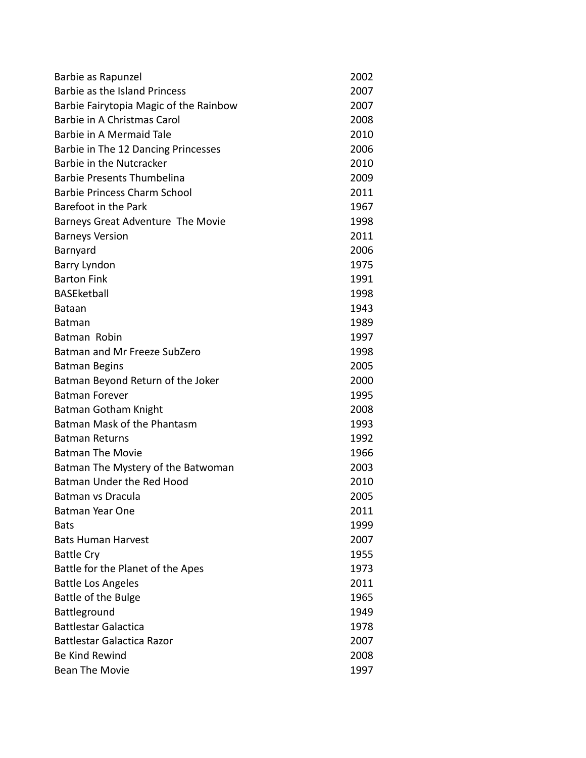| Barbie as Rapunzel<br>Barbie as the Island Princess | 2002<br>2007 |
|-----------------------------------------------------|--------------|
| Barbie Fairytopia Magic of the Rainbow              | 2007         |
| Barbie in A Christmas Carol                         | 2008         |
| Barbie in A Mermaid Tale                            | 2010         |
| Barbie in The 12 Dancing Princesses                 | 2006         |
| Barbie in the Nutcracker                            | 2010         |
| <b>Barbie Presents Thumbelina</b>                   | 2009         |
| <b>Barbie Princess Charm School</b>                 | 2011         |
| Barefoot in the Park                                | 1967         |
| Barneys Great Adventure The Movie                   | 1998         |
|                                                     | 2011         |
| <b>Barneys Version</b>                              | 2006         |
| Barnyard                                            | 1975         |
| Barry Lyndon<br><b>Barton Fink</b>                  | 1991         |
|                                                     |              |
| <b>BASEketball</b>                                  | 1998         |
| <b>Bataan</b>                                       | 1943         |
| <b>Batman</b>                                       | 1989         |
| Batman Robin                                        | 1997         |
| Batman and Mr Freeze SubZero                        | 1998         |
| <b>Batman Begins</b>                                | 2005         |
| Batman Beyond Return of the Joker                   | 2000         |
| <b>Batman Forever</b>                               | 1995         |
| Batman Gotham Knight                                | 2008         |
| Batman Mask of the Phantasm                         | 1993         |
| <b>Batman Returns</b>                               | 1992         |
| <b>Batman The Movie</b>                             | 1966         |
| Batman The Mystery of the Batwoman                  | 2003         |
| <b>Batman Under the Red Hood</b>                    | 2010         |
| Batman vs Dracula                                   | 2005         |
| <b>Batman Year One</b>                              | 2011         |
| Bats                                                | 1999         |
| <b>Bats Human Harvest</b>                           | 2007         |
| <b>Battle Cry</b>                                   | 1955         |
| Battle for the Planet of the Apes                   | 1973         |
| <b>Battle Los Angeles</b>                           | 2011         |
| Battle of the Bulge                                 | 1965         |
| Battleground                                        | 1949         |
| <b>Battlestar Galactica</b>                         | 1978         |
| <b>Battlestar Galactica Razor</b>                   | 2007         |
| <b>Be Kind Rewind</b>                               | 2008         |
| <b>Bean The Movie</b>                               | 1997         |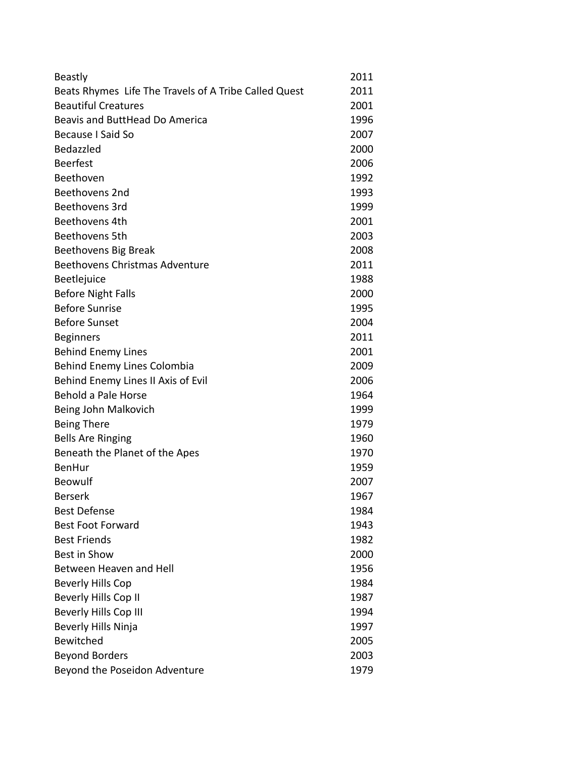| <b>Beastly</b>                                        | 2011 |
|-------------------------------------------------------|------|
| Beats Rhymes Life The Travels of A Tribe Called Quest | 2011 |
| <b>Beautiful Creatures</b>                            | 2001 |
| Beavis and ButtHead Do America                        | 1996 |
| Because I Said So                                     | 2007 |
| Bedazzled                                             | 2000 |
| <b>Beerfest</b>                                       | 2006 |
| Beethoven                                             | 1992 |
| Beethovens 2nd                                        | 1993 |
| Beethovens 3rd                                        | 1999 |
| Beethovens 4th                                        | 2001 |
| Beethovens 5th                                        | 2003 |
| Beethovens Big Break                                  | 2008 |
| Beethovens Christmas Adventure                        | 2011 |
| Beetlejuice                                           | 1988 |
| <b>Before Night Falls</b>                             | 2000 |
| <b>Before Sunrise</b>                                 | 1995 |
| <b>Before Sunset</b>                                  | 2004 |
| <b>Beginners</b>                                      | 2011 |
| <b>Behind Enemy Lines</b>                             | 2001 |
| Behind Enemy Lines Colombia                           | 2009 |
| Behind Enemy Lines II Axis of Evil                    | 2006 |
| Behold a Pale Horse                                   | 1964 |
| Being John Malkovich                                  | 1999 |
| <b>Being There</b>                                    | 1979 |
| <b>Bells Are Ringing</b>                              | 1960 |
| Beneath the Planet of the Apes                        | 1970 |
| <b>BenHur</b>                                         | 1959 |
| <b>Beowulf</b>                                        | 2007 |
| Berserk                                               | 1967 |
| <b>Best Defense</b>                                   | 1984 |
| <b>Best Foot Forward</b>                              | 1943 |
| <b>Best Friends</b>                                   | 1982 |
| Best in Show                                          | 2000 |
| Between Heaven and Hell                               | 1956 |
| <b>Beverly Hills Cop</b>                              | 1984 |
| Beverly Hills Cop II                                  | 1987 |
| Beverly Hills Cop III                                 | 1994 |
| Beverly Hills Ninja                                   | 1997 |
| Bewitched                                             | 2005 |
| <b>Beyond Borders</b>                                 | 2003 |
| Beyond the Poseidon Adventure                         | 1979 |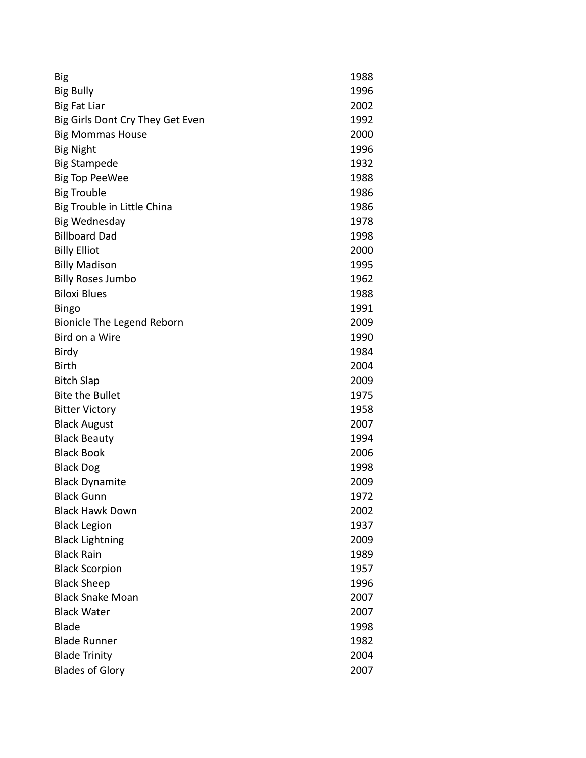| <b>Big</b>                       | 1988 |
|----------------------------------|------|
| <b>Big Bully</b>                 | 1996 |
| <b>Big Fat Liar</b>              | 2002 |
| Big Girls Dont Cry They Get Even | 1992 |
| <b>Big Mommas House</b>          | 2000 |
| <b>Big Night</b>                 | 1996 |
| <b>Big Stampede</b>              | 1932 |
| <b>Big Top PeeWee</b>            | 1988 |
| <b>Big Trouble</b>               | 1986 |
| Big Trouble in Little China      | 1986 |
| Big Wednesday                    | 1978 |
| <b>Billboard Dad</b>             | 1998 |
| <b>Billy Elliot</b>              | 2000 |
| <b>Billy Madison</b>             | 1995 |
| <b>Billy Roses Jumbo</b>         | 1962 |
| <b>Biloxi Blues</b>              | 1988 |
| <b>Bingo</b>                     | 1991 |
| Bionicle The Legend Reborn       | 2009 |
| Bird on a Wire                   | 1990 |
| <b>Birdy</b>                     | 1984 |
| <b>Birth</b>                     | 2004 |
| <b>Bitch Slap</b>                | 2009 |
| <b>Bite the Bullet</b>           | 1975 |
| <b>Bitter Victory</b>            | 1958 |
| <b>Black August</b>              | 2007 |
| <b>Black Beauty</b>              | 1994 |
| <b>Black Book</b>                | 2006 |
| <b>Black Dog</b>                 | 1998 |
| <b>Black Dynamite</b>            | 2009 |
| <b>Black Gunn</b>                | 1972 |
| <b>Black Hawk Down</b>           | 2002 |
| <b>Black Legion</b>              | 1937 |
| <b>Black Lightning</b>           | 2009 |
| <b>Black Rain</b>                | 1989 |
| <b>Black Scorpion</b>            | 1957 |
| <b>Black Sheep</b>               | 1996 |
| <b>Black Snake Moan</b>          | 2007 |
| <b>Black Water</b>               | 2007 |
| <b>Blade</b>                     | 1998 |
| <b>Blade Runner</b>              | 1982 |
| <b>Blade Trinity</b>             | 2004 |
| <b>Blades of Glory</b>           | 2007 |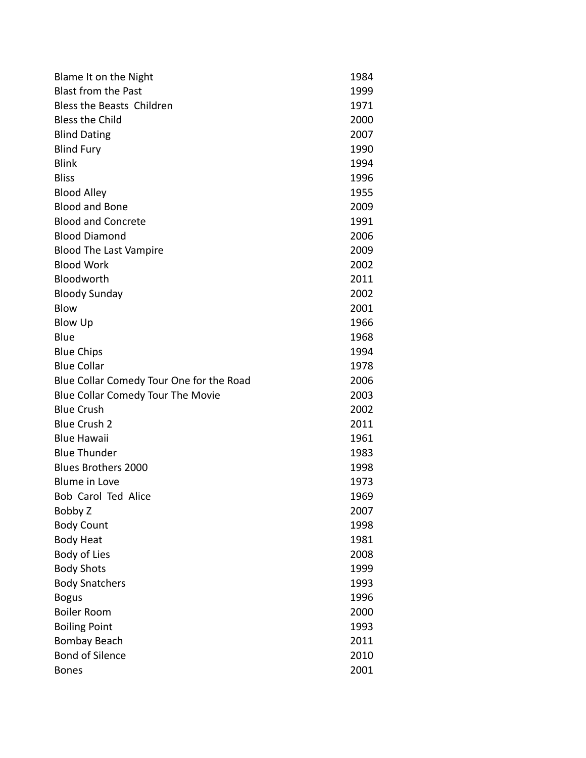| Blame It on the Night                    | 1984 |
|------------------------------------------|------|
| <b>Blast from the Past</b>               | 1999 |
| Bless the Beasts Children                | 1971 |
| <b>Bless the Child</b>                   | 2000 |
| <b>Blind Dating</b>                      | 2007 |
| <b>Blind Fury</b>                        | 1990 |
| <b>Blink</b>                             | 1994 |
| <b>Bliss</b>                             | 1996 |
| <b>Blood Alley</b>                       | 1955 |
| <b>Blood and Bone</b>                    | 2009 |
| <b>Blood and Concrete</b>                | 1991 |
| <b>Blood Diamond</b>                     | 2006 |
| <b>Blood The Last Vampire</b>            | 2009 |
| <b>Blood Work</b>                        | 2002 |
| Bloodworth                               | 2011 |
| <b>Bloody Sunday</b>                     | 2002 |
| <b>Blow</b>                              | 2001 |
| <b>Blow Up</b>                           | 1966 |
| Blue                                     | 1968 |
| <b>Blue Chips</b>                        | 1994 |
| <b>Blue Collar</b>                       | 1978 |
| Blue Collar Comedy Tour One for the Road | 2006 |
| Blue Collar Comedy Tour The Movie        | 2003 |
| <b>Blue Crush</b>                        | 2002 |
| <b>Blue Crush 2</b>                      | 2011 |
| <b>Blue Hawaii</b>                       | 1961 |
| <b>Blue Thunder</b>                      | 1983 |
| <b>Blues Brothers 2000</b>               | 1998 |
| <b>Blume in Love</b>                     | 1973 |
| Bob Carol Ted Alice                      | 1969 |
| Bobby Z                                  | 2007 |
| <b>Body Count</b>                        | 1998 |
| <b>Body Heat</b>                         | 1981 |
| Body of Lies                             | 2008 |
| <b>Body Shots</b>                        | 1999 |
| <b>Body Snatchers</b>                    | 1993 |
| <b>Bogus</b>                             | 1996 |
| <b>Boiler Room</b>                       | 2000 |
| <b>Boiling Point</b>                     | 1993 |
| <b>Bombay Beach</b>                      | 2011 |
| <b>Bond of Silence</b>                   | 2010 |
| <b>Bones</b>                             | 2001 |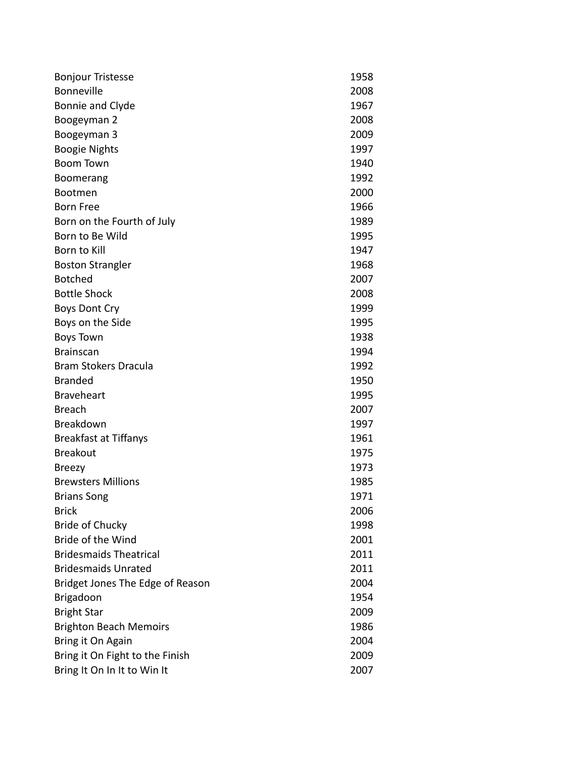| <b>Bonjour Tristesse</b>         | 1958 |
|----------------------------------|------|
| <b>Bonneville</b>                | 2008 |
| Bonnie and Clyde                 | 1967 |
| Boogeyman 2                      | 2008 |
| Boogeyman 3                      | 2009 |
| <b>Boogie Nights</b>             | 1997 |
| <b>Boom Town</b>                 | 1940 |
| <b>Boomerang</b>                 | 1992 |
| Bootmen                          | 2000 |
| <b>Born Free</b>                 | 1966 |
| Born on the Fourth of July       | 1989 |
| Born to Be Wild                  | 1995 |
| Born to Kill                     | 1947 |
| <b>Boston Strangler</b>          | 1968 |
| <b>Botched</b>                   | 2007 |
| <b>Bottle Shock</b>              | 2008 |
| <b>Boys Dont Cry</b>             | 1999 |
| Boys on the Side                 | 1995 |
| <b>Boys Town</b>                 | 1938 |
| <b>Brainscan</b>                 | 1994 |
| <b>Bram Stokers Dracula</b>      | 1992 |
| <b>Branded</b>                   | 1950 |
| <b>Braveheart</b>                | 1995 |
| <b>Breach</b>                    | 2007 |
| Breakdown                        | 1997 |
| <b>Breakfast at Tiffanys</b>     | 1961 |
| <b>Breakout</b>                  | 1975 |
| <b>Breezy</b>                    | 1973 |
| <b>Brewsters Millions</b>        | 1985 |
| <b>Brians Song</b>               | 1971 |
| <b>Brick</b>                     | 2006 |
| <b>Bride of Chucky</b>           | 1998 |
| Bride of the Wind                | 2001 |
| <b>Bridesmaids Theatrical</b>    | 2011 |
| <b>Bridesmaids Unrated</b>       | 2011 |
| Bridget Jones The Edge of Reason | 2004 |
| Brigadoon                        | 1954 |
| <b>Bright Star</b>               | 2009 |
| <b>Brighton Beach Memoirs</b>    | 1986 |
| Bring it On Again                | 2004 |
| Bring it On Fight to the Finish  | 2009 |
| Bring It On In It to Win It      | 2007 |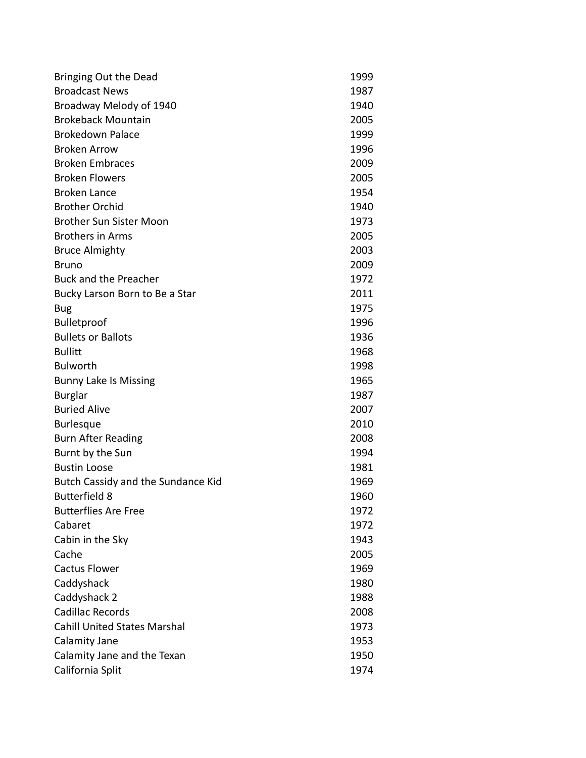| Bringing Out the Dead               | 1999 |
|-------------------------------------|------|
| <b>Broadcast News</b>               | 1987 |
| Broadway Melody of 1940             | 1940 |
| <b>Brokeback Mountain</b>           | 2005 |
| <b>Brokedown Palace</b>             | 1999 |
| <b>Broken Arrow</b>                 | 1996 |
| <b>Broken Embraces</b>              | 2009 |
| <b>Broken Flowers</b>               | 2005 |
| <b>Broken Lance</b>                 | 1954 |
| <b>Brother Orchid</b>               | 1940 |
| <b>Brother Sun Sister Moon</b>      | 1973 |
| <b>Brothers in Arms</b>             | 2005 |
| <b>Bruce Almighty</b>               | 2003 |
| <b>Bruno</b>                        | 2009 |
| <b>Buck and the Preacher</b>        | 1972 |
| Bucky Larson Born to Be a Star      | 2011 |
| Bug                                 | 1975 |
| Bulletproof                         | 1996 |
| <b>Bullets or Ballots</b>           | 1936 |
| <b>Bullitt</b>                      | 1968 |
| <b>Bulworth</b>                     | 1998 |
| <b>Bunny Lake Is Missing</b>        | 1965 |
| <b>Burglar</b>                      | 1987 |
| <b>Buried Alive</b>                 | 2007 |
| <b>Burlesque</b>                    | 2010 |
| <b>Burn After Reading</b>           | 2008 |
| Burnt by the Sun                    | 1994 |
| <b>Bustin Loose</b>                 | 1981 |
| Butch Cassidy and the Sundance Kid  | 1969 |
| <b>Butterfield 8</b>                | 1960 |
| <b>Butterflies Are Free</b>         | 1972 |
| Cabaret                             | 1972 |
| Cabin in the Sky                    | 1943 |
| Cache                               | 2005 |
| <b>Cactus Flower</b>                | 1969 |
| Caddyshack                          | 1980 |
| Caddyshack 2                        | 1988 |
| <b>Cadillac Records</b>             | 2008 |
| <b>Cahill United States Marshal</b> | 1973 |
| Calamity Jane                       | 1953 |
| Calamity Jane and the Texan         | 1950 |
| California Split                    | 1974 |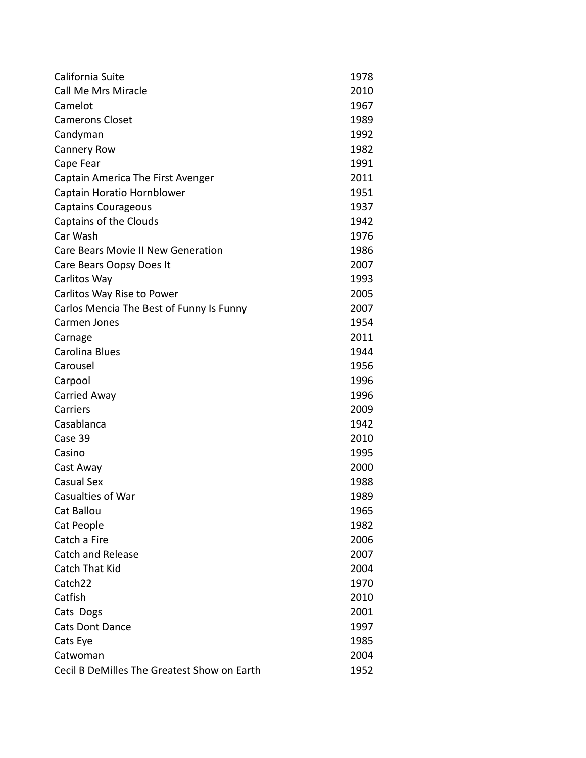| California Suite                            | 1978 |
|---------------------------------------------|------|
| <b>Call Me Mrs Miracle</b>                  | 2010 |
| Camelot                                     | 1967 |
| <b>Camerons Closet</b>                      | 1989 |
| Candyman                                    | 1992 |
| Cannery Row                                 | 1982 |
| Cape Fear                                   | 1991 |
| Captain America The First Avenger           | 2011 |
| Captain Horatio Hornblower                  | 1951 |
| Captains Courageous                         | 1937 |
| Captains of the Clouds                      | 1942 |
| Car Wash                                    | 1976 |
| <b>Care Bears Movie II New Generation</b>   | 1986 |
| Care Bears Oopsy Does It                    | 2007 |
| Carlitos Way                                | 1993 |
| Carlitos Way Rise to Power                  | 2005 |
| Carlos Mencia The Best of Funny Is Funny    | 2007 |
| Carmen Jones                                | 1954 |
| Carnage                                     | 2011 |
| Carolina Blues                              | 1944 |
| Carousel                                    | 1956 |
| Carpool                                     | 1996 |
| Carried Away                                | 1996 |
| Carriers                                    | 2009 |
| Casablanca                                  | 1942 |
| Case 39                                     | 2010 |
| Casino                                      | 1995 |
| Cast Away                                   | 2000 |
| <b>Casual Sex</b>                           | 1988 |
| Casualties of War                           | 1989 |
| Cat Ballou                                  | 1965 |
| Cat People                                  | 1982 |
| Catch a Fire                                | 2006 |
| <b>Catch and Release</b>                    | 2007 |
| Catch That Kid                              | 2004 |
| Catch22                                     | 1970 |
| Catfish                                     | 2010 |
| Cats Dogs                                   | 2001 |
| <b>Cats Dont Dance</b>                      | 1997 |
| Cats Eye                                    | 1985 |
| Catwoman                                    | 2004 |
| Cecil B DeMilles The Greatest Show on Earth | 1952 |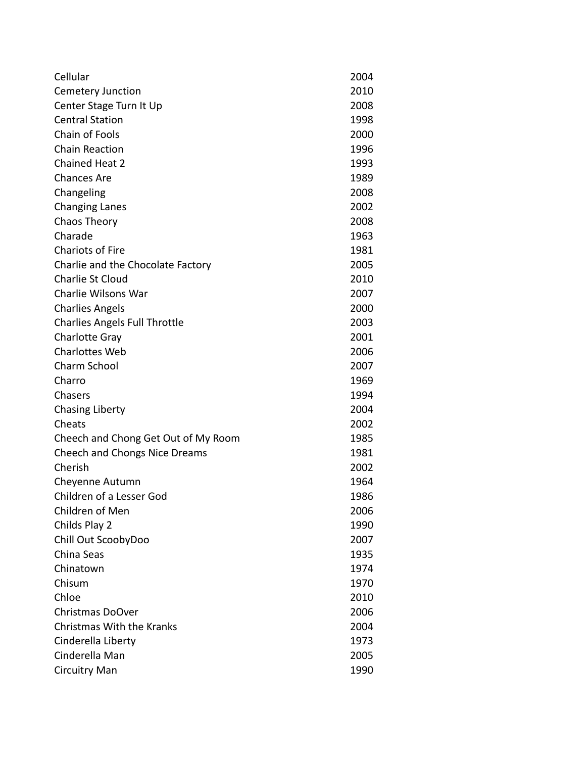| Cellular                             | 2004 |
|--------------------------------------|------|
| <b>Cemetery Junction</b>             | 2010 |
| Center Stage Turn It Up              | 2008 |
| <b>Central Station</b>               | 1998 |
| Chain of Fools                       | 2000 |
| <b>Chain Reaction</b>                | 1996 |
| <b>Chained Heat 2</b>                | 1993 |
| <b>Chances Are</b>                   | 1989 |
| Changeling                           | 2008 |
| <b>Changing Lanes</b>                | 2002 |
| Chaos Theory                         | 2008 |
| Charade                              | 1963 |
| <b>Chariots of Fire</b>              | 1981 |
| Charlie and the Chocolate Factory    | 2005 |
| <b>Charlie St Cloud</b>              | 2010 |
| Charlie Wilsons War                  | 2007 |
| <b>Charlies Angels</b>               | 2000 |
| <b>Charlies Angels Full Throttle</b> | 2003 |
| <b>Charlotte Gray</b>                | 2001 |
| <b>Charlottes Web</b>                | 2006 |
| Charm School                         | 2007 |
| Charro                               | 1969 |
| Chasers                              | 1994 |
| <b>Chasing Liberty</b>               | 2004 |
| Cheats                               | 2002 |
| Cheech and Chong Get Out of My Room  | 1985 |
| <b>Cheech and Chongs Nice Dreams</b> | 1981 |
| Cherish                              | 2002 |
| Cheyenne Autumn                      | 1964 |
| Children of a Lesser God             | 1986 |
| Children of Men                      | 2006 |
| Childs Play 2                        | 1990 |
| Chill Out ScoobyDoo                  | 2007 |
| China Seas                           | 1935 |
| Chinatown                            | 1974 |
| Chisum                               | 1970 |
| Chloe                                | 2010 |
| Christmas DoOver                     | 2006 |
| Christmas With the Kranks            | 2004 |
| Cinderella Liberty                   | 1973 |
| Cinderella Man                       | 2005 |
| <b>Circuitry Man</b>                 | 1990 |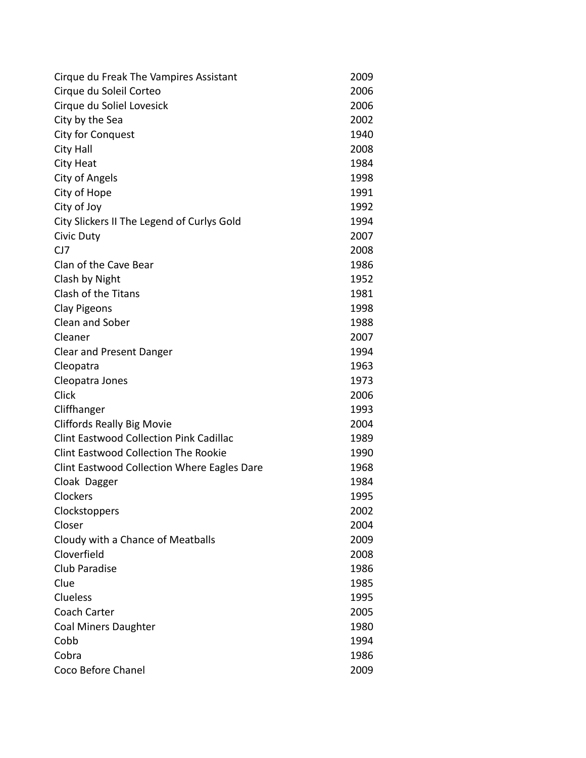| Cirque du Freak The Vampires Assistant         | 2009 |
|------------------------------------------------|------|
| Cirque du Soleil Corteo                        | 2006 |
| Cirque du Soliel Lovesick                      | 2006 |
| City by the Sea                                | 2002 |
| City for Conquest                              | 1940 |
| <b>City Hall</b>                               | 2008 |
| City Heat                                      | 1984 |
| City of Angels                                 | 1998 |
| City of Hope                                   | 1991 |
| City of Joy                                    | 1992 |
| City Slickers II The Legend of Curlys Gold     | 1994 |
| Civic Duty                                     | 2007 |
| CJ7                                            | 2008 |
| Clan of the Cave Bear                          | 1986 |
| Clash by Night                                 | 1952 |
| Clash of the Titans                            | 1981 |
| <b>Clay Pigeons</b>                            | 1998 |
| Clean and Sober                                | 1988 |
| Cleaner                                        | 2007 |
| <b>Clear and Present Danger</b>                | 1994 |
| Cleopatra                                      | 1963 |
| Cleopatra Jones                                | 1973 |
| <b>Click</b>                                   | 2006 |
| Cliffhanger                                    | 1993 |
| <b>Cliffords Really Big Movie</b>              | 2004 |
| <b>Clint Eastwood Collection Pink Cadillac</b> | 1989 |
| <b>Clint Eastwood Collection The Rookie</b>    | 1990 |
| Clint Eastwood Collection Where Eagles Dare    | 1968 |
| Cloak Dagger                                   | 1984 |
| Clockers                                       | 1995 |
| Clockstoppers                                  | 2002 |
| Closer                                         | 2004 |
| Cloudy with a Chance of Meatballs              | 2009 |
| Cloverfield                                    | 2008 |
| Club Paradise                                  | 1986 |
| Clue                                           | 1985 |
| Clueless                                       | 1995 |
| <b>Coach Carter</b>                            | 2005 |
| <b>Coal Miners Daughter</b>                    | 1980 |
| Cobb                                           | 1994 |
| Cobra                                          | 1986 |
| Coco Before Chanel                             | 2009 |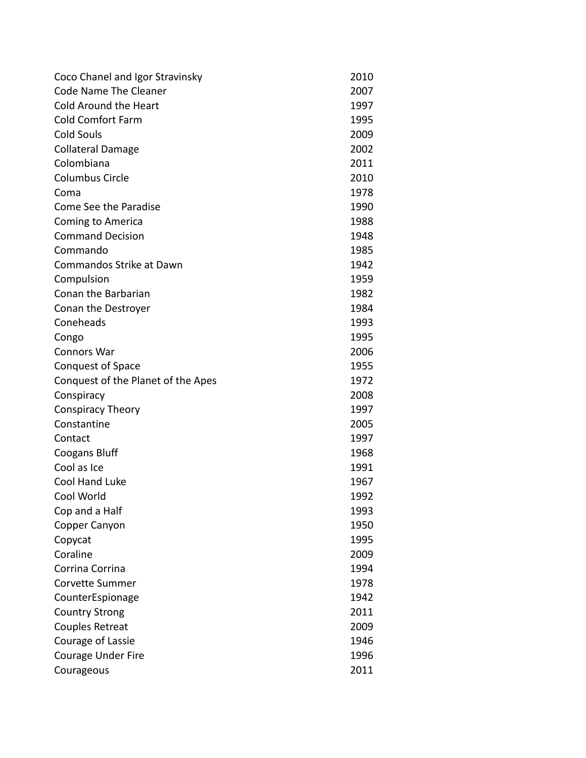| Coco Chanel and Igor Stravinsky    | 2010 |
|------------------------------------|------|
| <b>Code Name The Cleaner</b>       | 2007 |
| <b>Cold Around the Heart</b>       | 1997 |
| <b>Cold Comfort Farm</b>           | 1995 |
| <b>Cold Souls</b>                  | 2009 |
| <b>Collateral Damage</b>           | 2002 |
| Colombiana                         | 2011 |
| <b>Columbus Circle</b>             | 2010 |
| Coma                               | 1978 |
| Come See the Paradise              | 1990 |
| Coming to America                  | 1988 |
| <b>Command Decision</b>            | 1948 |
| Commando                           | 1985 |
| Commandos Strike at Dawn           | 1942 |
| Compulsion                         | 1959 |
| Conan the Barbarian                | 1982 |
| Conan the Destroyer                | 1984 |
| Coneheads                          | 1993 |
| Congo                              | 1995 |
| <b>Connors War</b>                 | 2006 |
| Conquest of Space                  | 1955 |
| Conquest of the Planet of the Apes | 1972 |
| Conspiracy                         | 2008 |
| <b>Conspiracy Theory</b>           | 1997 |
| Constantine                        | 2005 |
| Contact                            | 1997 |
| <b>Coogans Bluff</b>               | 1968 |
| Cool as Ice                        | 1991 |
| Cool Hand Luke                     | 1967 |
| Cool World                         | 1992 |
| Cop and a Half                     | 1993 |
| Copper Canyon                      | 1950 |
| Copycat                            | 1995 |
| Coraline                           | 2009 |
| Corrina Corrina                    | 1994 |
| <b>Corvette Summer</b>             | 1978 |
| CounterEspionage                   | 1942 |
| <b>Country Strong</b>              | 2011 |
| <b>Couples Retreat</b>             | 2009 |
| Courage of Lassie                  | 1946 |
| <b>Courage Under Fire</b>          | 1996 |
| Courageous                         | 2011 |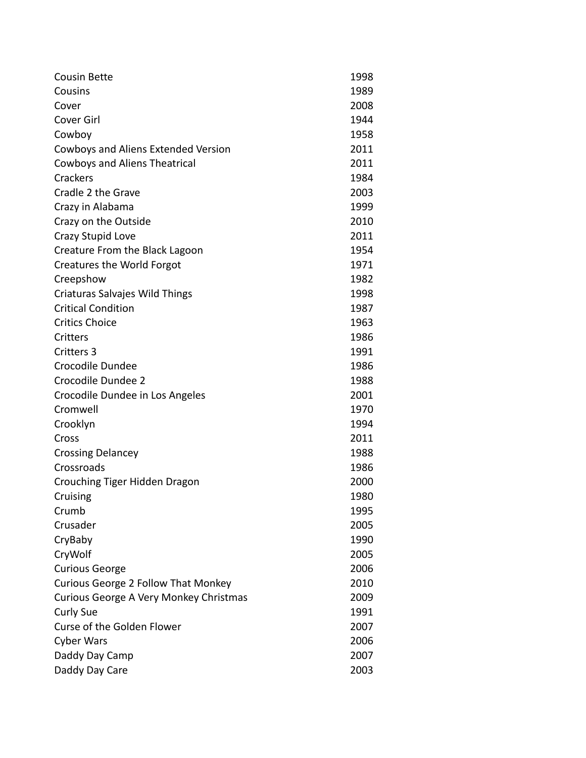| <b>Cousin Bette</b>                    | 1998 |
|----------------------------------------|------|
| Cousins                                | 1989 |
| Cover                                  | 2008 |
| <b>Cover Girl</b>                      | 1944 |
| Cowboy                                 | 1958 |
| Cowboys and Aliens Extended Version    | 2011 |
| <b>Cowboys and Aliens Theatrical</b>   | 2011 |
| Crackers                               | 1984 |
| Cradle 2 the Grave                     | 2003 |
| Crazy in Alabama                       | 1999 |
| Crazy on the Outside                   | 2010 |
| Crazy Stupid Love                      | 2011 |
| Creature From the Black Lagoon         | 1954 |
| Creatures the World Forgot             | 1971 |
| Creepshow                              | 1982 |
| Criaturas Salvajes Wild Things         | 1998 |
| <b>Critical Condition</b>              | 1987 |
| <b>Critics Choice</b>                  | 1963 |
| <b>Critters</b>                        | 1986 |
| Critters 3                             | 1991 |
| Crocodile Dundee                       | 1986 |
| Crocodile Dundee 2                     | 1988 |
| Crocodile Dundee in Los Angeles        | 2001 |
| Cromwell                               | 1970 |
| Crooklyn                               | 1994 |
| Cross                                  | 2011 |
| <b>Crossing Delancey</b>               | 1988 |
| Crossroads                             | 1986 |
| Crouching Tiger Hidden Dragon          | 2000 |
| Cruising                               | 1980 |
| Crumb                                  | 1995 |
| Crusader                               | 2005 |
| CryBaby                                | 1990 |
| CryWolf                                | 2005 |
| <b>Curious George</b>                  | 2006 |
| Curious George 2 Follow That Monkey    | 2010 |
| Curious George A Very Monkey Christmas | 2009 |
| <b>Curly Sue</b>                       | 1991 |
| <b>Curse of the Golden Flower</b>      | 2007 |
| <b>Cyber Wars</b>                      | 2006 |
| Daddy Day Camp                         | 2007 |
| Daddy Day Care                         | 2003 |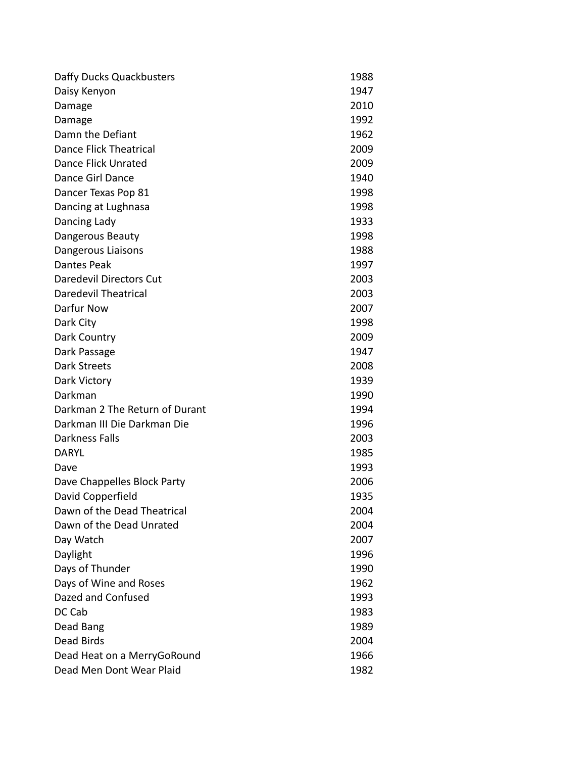| Daffy Ducks Quackbusters       | 1988 |
|--------------------------------|------|
| Daisy Kenyon                   | 1947 |
| Damage                         | 2010 |
| Damage                         | 1992 |
| Damn the Defiant               | 1962 |
| <b>Dance Flick Theatrical</b>  | 2009 |
| Dance Flick Unrated            | 2009 |
| Dance Girl Dance               | 1940 |
| Dancer Texas Pop 81            | 1998 |
| Dancing at Lughnasa            | 1998 |
| Dancing Lady                   | 1933 |
| Dangerous Beauty               | 1998 |
| Dangerous Liaisons             | 1988 |
| <b>Dantes Peak</b>             | 1997 |
| <b>Daredevil Directors Cut</b> | 2003 |
| <b>Daredevil Theatrical</b>    | 2003 |
| Darfur Now                     | 2007 |
| Dark City                      | 1998 |
| Dark Country                   | 2009 |
| Dark Passage                   | 1947 |
| <b>Dark Streets</b>            | 2008 |
| Dark Victory                   | 1939 |
| Darkman                        | 1990 |
| Darkman 2 The Return of Durant | 1994 |
| Darkman III Die Darkman Die    | 1996 |
| <b>Darkness Falls</b>          | 2003 |
| <b>DARYL</b>                   | 1985 |
| Dave                           | 1993 |
| Dave Chappelles Block Party    | 2006 |
| David Copperfield              | 1935 |
| Dawn of the Dead Theatrical    | 2004 |
| Dawn of the Dead Unrated       | 2004 |
| Day Watch                      | 2007 |
| Daylight                       | 1996 |
| Days of Thunder                | 1990 |
| Days of Wine and Roses         | 1962 |
| Dazed and Confused             | 1993 |
| DC Cab                         | 1983 |
| Dead Bang                      | 1989 |
| Dead Birds                     | 2004 |
| Dead Heat on a MerryGoRound    | 1966 |
| Dead Men Dont Wear Plaid       | 1982 |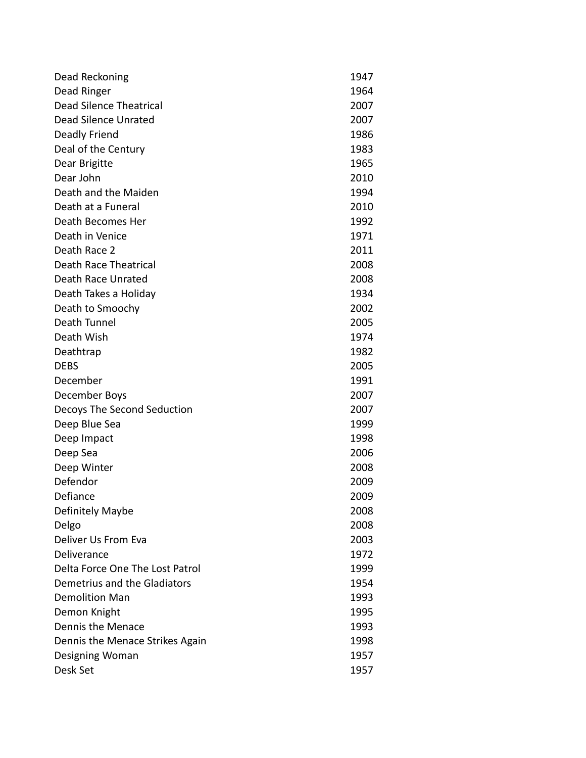| Dead Reckoning                  | 1947 |
|---------------------------------|------|
| Dead Ringer                     | 1964 |
| <b>Dead Silence Theatrical</b>  | 2007 |
| <b>Dead Silence Unrated</b>     | 2007 |
| Deadly Friend                   | 1986 |
| Deal of the Century             | 1983 |
| Dear Brigitte                   | 1965 |
| Dear John                       | 2010 |
| Death and the Maiden            | 1994 |
| Death at a Funeral              | 2010 |
| Death Becomes Her               | 1992 |
| Death in Venice                 | 1971 |
| Death Race 2                    | 2011 |
| <b>Death Race Theatrical</b>    | 2008 |
| Death Race Unrated              | 2008 |
| Death Takes a Holiday           | 1934 |
| Death to Smoochy                | 2002 |
| Death Tunnel                    | 2005 |
| Death Wish                      | 1974 |
| Deathtrap                       | 1982 |
| <b>DEBS</b>                     | 2005 |
| December                        | 1991 |
| December Boys                   | 2007 |
| Decoys The Second Seduction     | 2007 |
| Deep Blue Sea                   | 1999 |
| Deep Impact                     | 1998 |
| Deep Sea                        | 2006 |
| Deep Winter                     | 2008 |
| Defendor                        | 2009 |
| Defiance                        | 2009 |
| Definitely Maybe                | 2008 |
| Delgo                           | 2008 |
| Deliver Us From Eva             | 2003 |
| Deliverance                     | 1972 |
| Delta Force One The Lost Patrol | 1999 |
| Demetrius and the Gladiators    | 1954 |
| <b>Demolition Man</b>           | 1993 |
| Demon Knight                    | 1995 |
| Dennis the Menace               | 1993 |
| Dennis the Menace Strikes Again | 1998 |
| Designing Woman                 | 1957 |
| Desk Set                        | 1957 |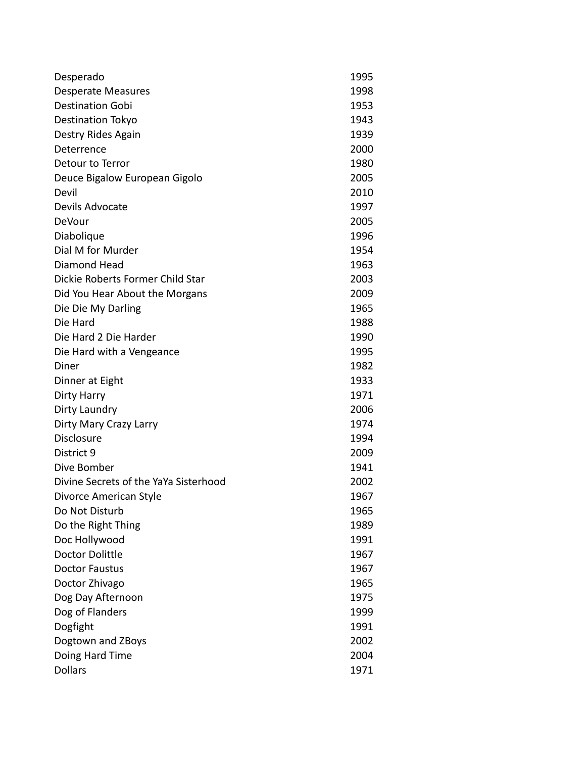| Desperado                             | 1995 |
|---------------------------------------|------|
| <b>Desperate Measures</b>             | 1998 |
| <b>Destination Gobi</b>               | 1953 |
| Destination Tokyo                     | 1943 |
| Destry Rides Again                    | 1939 |
| Deterrence                            | 2000 |
| Detour to Terror                      | 1980 |
| Deuce Bigalow European Gigolo         | 2005 |
| Devil                                 | 2010 |
| Devils Advocate                       | 1997 |
| DeVour                                | 2005 |
| Diabolique                            | 1996 |
| Dial M for Murder                     | 1954 |
| Diamond Head                          | 1963 |
| Dickie Roberts Former Child Star      | 2003 |
| Did You Hear About the Morgans        | 2009 |
| Die Die My Darling                    | 1965 |
| Die Hard                              | 1988 |
| Die Hard 2 Die Harder                 | 1990 |
| Die Hard with a Vengeance             | 1995 |
| Diner                                 | 1982 |
| Dinner at Eight                       | 1933 |
| Dirty Harry                           | 1971 |
| Dirty Laundry                         | 2006 |
| Dirty Mary Crazy Larry                | 1974 |
| Disclosure                            | 1994 |
| District 9                            | 2009 |
| Dive Bomber                           | 1941 |
| Divine Secrets of the YaYa Sisterhood | 2002 |
| Divorce American Style                | 1967 |
| Do Not Disturb                        | 1965 |
| Do the Right Thing                    | 1989 |
| Doc Hollywood                         | 1991 |
| Doctor Dolittle                       | 1967 |
| <b>Doctor Faustus</b>                 | 1967 |
| Doctor Zhivago                        | 1965 |
| Dog Day Afternoon                     | 1975 |
| Dog of Flanders                       | 1999 |
| Dogfight                              | 1991 |
| Dogtown and ZBoys                     | 2002 |
| Doing Hard Time                       | 2004 |
| <b>Dollars</b>                        | 1971 |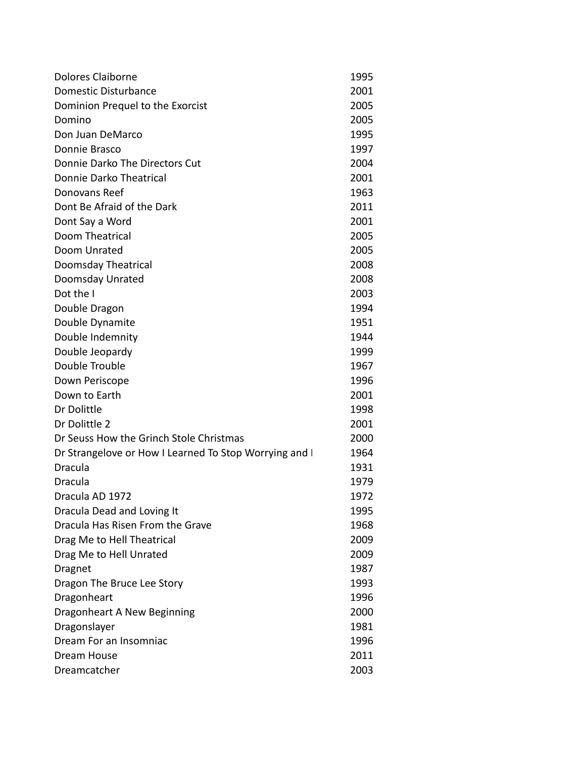| <b>Dolores Claiborne</b>                               | 1995 |
|--------------------------------------------------------|------|
| Domestic Disturbance                                   | 2001 |
| Dominion Prequel to the Exorcist                       | 2005 |
| Domino                                                 | 2005 |
| Don Juan DeMarco                                       | 1995 |
| Donnie Brasco                                          | 1997 |
| Donnie Darko The Directors Cut                         | 2004 |
| Donnie Darko Theatrical                                | 2001 |
| Donovans Reef                                          | 1963 |
| Dont Be Afraid of the Dark                             | 2011 |
| Dont Say a Word                                        | 2001 |
| Doom Theatrical                                        | 2005 |
| Doom Unrated                                           | 2005 |
| Doomsday Theatrical                                    | 2008 |
| Doomsday Unrated                                       | 2008 |
| Dot the I                                              | 2003 |
| Double Dragon                                          | 1994 |
| Double Dynamite                                        | 1951 |
| Double Indemnity                                       | 1944 |
| Double Jeopardy                                        | 1999 |
| Double Trouble                                         | 1967 |
| Down Periscope                                         | 1996 |
| Down to Earth                                          | 2001 |
| Dr Dolittle                                            | 1998 |
| Dr Dolittle 2                                          | 2001 |
| Dr Seuss How the Grinch Stole Christmas                | 2000 |
| Dr Strangelove or How I Learned To Stop Worrying and I | 1964 |
| Dracula                                                | 1931 |
| Dracula                                                | 1979 |
| Dracula AD 1972                                        | 1972 |
| Dracula Dead and Loving It                             | 1995 |
| Dracula Has Risen From the Grave                       | 1968 |
| Drag Me to Hell Theatrical                             | 2009 |
| Drag Me to Hell Unrated                                | 2009 |
| Dragnet                                                | 1987 |
| Dragon The Bruce Lee Story                             | 1993 |
| Dragonheart                                            | 1996 |
| Dragonheart A New Beginning                            | 2000 |
| Dragonslayer                                           | 1981 |
| Dream For an Insomniac                                 | 1996 |
| Dream House                                            | 2011 |
| Dreamcatcher                                           | 2003 |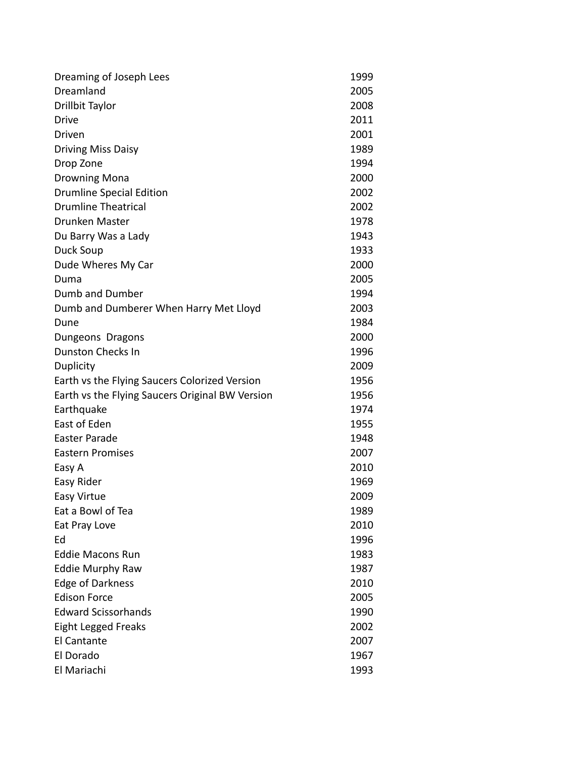| Dreaming of Joseph Lees                         | 1999 |
|-------------------------------------------------|------|
| Dreamland                                       | 2005 |
| Drillbit Taylor                                 | 2008 |
| <b>Drive</b>                                    | 2011 |
| Driven                                          | 2001 |
| <b>Driving Miss Daisy</b>                       | 1989 |
| Drop Zone                                       | 1994 |
| <b>Drowning Mona</b>                            | 2000 |
| <b>Drumline Special Edition</b>                 | 2002 |
| <b>Drumline Theatrical</b>                      | 2002 |
| Drunken Master                                  | 1978 |
| Du Barry Was a Lady                             | 1943 |
| Duck Soup                                       | 1933 |
| Dude Wheres My Car                              | 2000 |
| Duma                                            | 2005 |
| Dumb and Dumber                                 | 1994 |
| Dumb and Dumberer When Harry Met Lloyd          | 2003 |
| Dune                                            | 1984 |
| Dungeons Dragons                                | 2000 |
| <b>Dunston Checks In</b>                        | 1996 |
| Duplicity                                       | 2009 |
| Earth vs the Flying Saucers Colorized Version   | 1956 |
| Earth vs the Flying Saucers Original BW Version | 1956 |
| Earthquake                                      | 1974 |
| East of Eden                                    | 1955 |
| Easter Parade                                   | 1948 |
| <b>Eastern Promises</b>                         | 2007 |
| Easy A                                          | 2010 |
| Easy Rider                                      | 1969 |
| Easy Virtue                                     | 2009 |
| Eat a Bowl of Tea                               | 1989 |
| Eat Pray Love                                   | 2010 |
| Ed                                              | 1996 |
| <b>Eddie Macons Run</b>                         | 1983 |
| <b>Eddie Murphy Raw</b>                         | 1987 |
| <b>Edge of Darkness</b>                         | 2010 |
| <b>Edison Force</b>                             | 2005 |
| <b>Edward Scissorhands</b>                      | 1990 |
| <b>Eight Legged Freaks</b>                      | 2002 |
| El Cantante                                     | 2007 |
| El Dorado                                       | 1967 |
| El Mariachi                                     | 1993 |
|                                                 |      |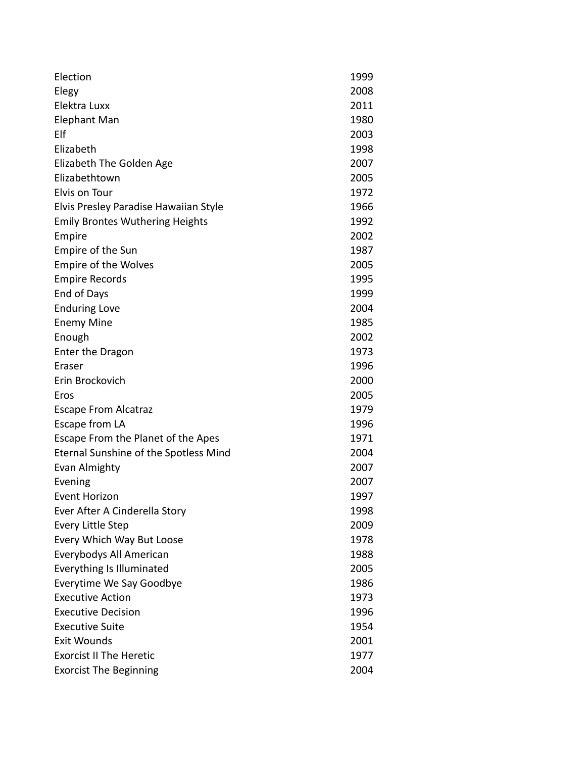| Election                               | 1999 |
|----------------------------------------|------|
| Elegy                                  | 2008 |
| Elektra Luxx                           | 2011 |
| Elephant Man                           | 1980 |
| Elf                                    | 2003 |
| Elizabeth                              | 1998 |
| Elizabeth The Golden Age               | 2007 |
| Elizabethtown                          | 2005 |
| Elvis on Tour                          | 1972 |
| Elvis Presley Paradise Hawaiian Style  | 1966 |
| <b>Emily Brontes Wuthering Heights</b> | 1992 |
| Empire                                 | 2002 |
| Empire of the Sun                      | 1987 |
| <b>Empire of the Wolves</b>            | 2005 |
| <b>Empire Records</b>                  | 1995 |
| End of Days                            | 1999 |
| <b>Enduring Love</b>                   | 2004 |
| <b>Enemy Mine</b>                      | 1985 |
| Enough                                 | 2002 |
| Enter the Dragon                       | 1973 |
| Eraser                                 | 1996 |
| Erin Brockovich                        | 2000 |
| Eros                                   | 2005 |
| <b>Escape From Alcatraz</b>            | 1979 |
| Escape from LA                         | 1996 |
| Escape From the Planet of the Apes     | 1971 |
| Eternal Sunshine of the Spotless Mind  | 2004 |
| Evan Almighty                          | 2007 |
| Evening                                | 2007 |
| Event Horizon                          | 1997 |
| Ever After A Cinderella Story          | 1998 |
| Every Little Step                      | 2009 |
| Every Which Way But Loose              | 1978 |
| Everybodys All American                | 1988 |
| Everything Is Illuminated              | 2005 |
| Everytime We Say Goodbye               | 1986 |
| <b>Executive Action</b>                | 1973 |
| <b>Executive Decision</b>              | 1996 |
| <b>Executive Suite</b>                 | 1954 |
| <b>Exit Wounds</b>                     | 2001 |
| <b>Exorcist II The Heretic</b>         | 1977 |
| <b>Exorcist The Beginning</b>          | 2004 |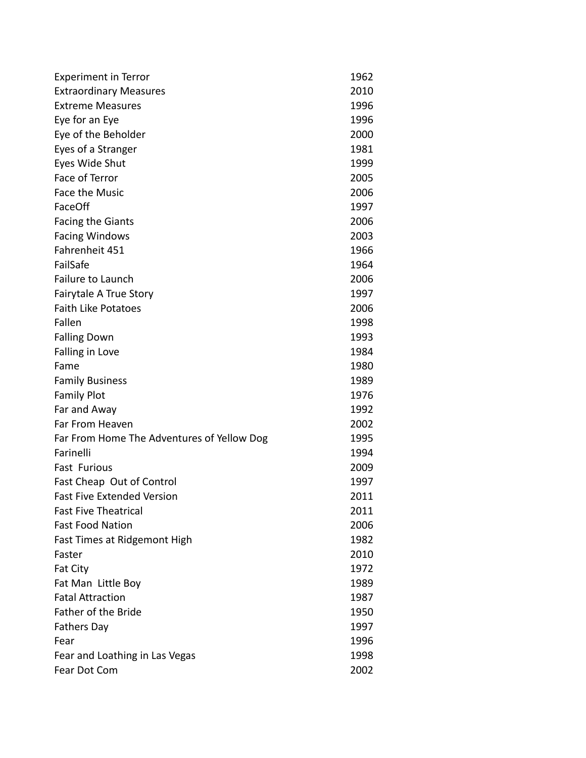| <b>Experiment in Terror</b>                | 1962 |
|--------------------------------------------|------|
| <b>Extraordinary Measures</b>              | 2010 |
| <b>Extreme Measures</b>                    | 1996 |
| Eye for an Eye                             | 1996 |
| Eye of the Beholder                        | 2000 |
| Eyes of a Stranger                         | 1981 |
| Eyes Wide Shut                             | 1999 |
| Face of Terror                             | 2005 |
| Face the Music                             | 2006 |
| FaceOff                                    | 1997 |
| <b>Facing the Giants</b>                   | 2006 |
| <b>Facing Windows</b>                      | 2003 |
| Fahrenheit 451                             | 1966 |
| FailSafe                                   | 1964 |
| <b>Failure to Launch</b>                   | 2006 |
| Fairytale A True Story                     | 1997 |
| <b>Faith Like Potatoes</b>                 | 2006 |
| Fallen                                     | 1998 |
| <b>Falling Down</b>                        | 1993 |
| Falling in Love                            | 1984 |
| Fame                                       | 1980 |
| <b>Family Business</b>                     | 1989 |
| <b>Family Plot</b>                         | 1976 |
| Far and Away                               | 1992 |
| Far From Heaven                            | 2002 |
| Far From Home The Adventures of Yellow Dog | 1995 |
| Farinelli                                  | 1994 |
| Fast Furious                               | 2009 |
| Fast Cheap Out of Control                  | 1997 |
| <b>Fast Five Extended Version</b>          | 2011 |
| <b>Fast Five Theatrical</b>                | 2011 |
| <b>Fast Food Nation</b>                    | 2006 |
| Fast Times at Ridgemont High               | 1982 |
| Faster                                     | 2010 |
| <b>Fat City</b>                            | 1972 |
| Fat Man Little Boy                         | 1989 |
| <b>Fatal Attraction</b>                    | 1987 |
| Father of the Bride                        | 1950 |
| <b>Fathers Day</b>                         | 1997 |
| Fear                                       | 1996 |
| Fear and Loathing in Las Vegas             | 1998 |
| Fear Dot Com                               | 2002 |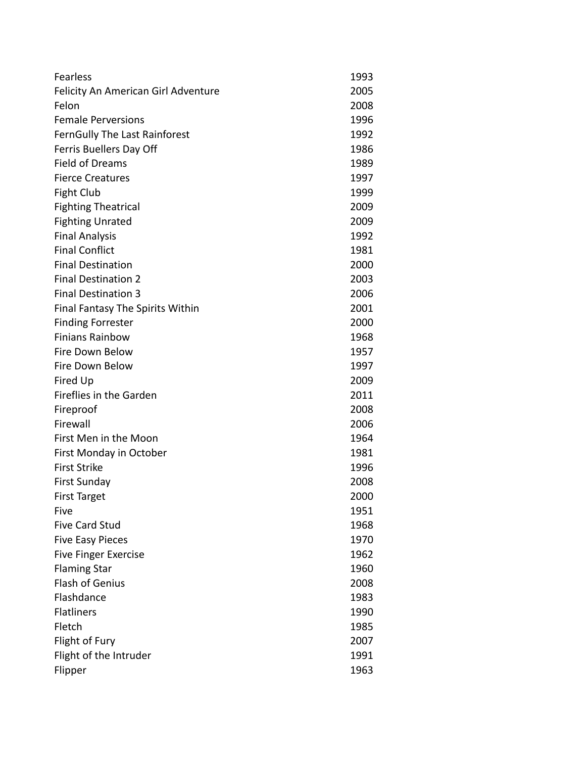| Fearless                            | 1993 |
|-------------------------------------|------|
| Felicity An American Girl Adventure | 2005 |
| Felon                               | 2008 |
| <b>Female Perversions</b>           | 1996 |
| FernGully The Last Rainforest       | 1992 |
| Ferris Buellers Day Off             | 1986 |
| <b>Field of Dreams</b>              | 1989 |
| <b>Fierce Creatures</b>             | 1997 |
| <b>Fight Club</b>                   | 1999 |
| <b>Fighting Theatrical</b>          | 2009 |
| <b>Fighting Unrated</b>             | 2009 |
| <b>Final Analysis</b>               | 1992 |
| <b>Final Conflict</b>               | 1981 |
| <b>Final Destination</b>            | 2000 |
| <b>Final Destination 2</b>          | 2003 |
| <b>Final Destination 3</b>          | 2006 |
| Final Fantasy The Spirits Within    | 2001 |
| <b>Finding Forrester</b>            | 2000 |
| <b>Finians Rainbow</b>              | 1968 |
| Fire Down Below                     | 1957 |
| Fire Down Below                     | 1997 |
| Fired Up                            | 2009 |
| Fireflies in the Garden             | 2011 |
| Fireproof                           | 2008 |
| Firewall                            | 2006 |
| First Men in the Moon               | 1964 |
| First Monday in October             | 1981 |
| <b>First Strike</b>                 | 1996 |
| <b>First Sunday</b>                 | 2008 |
| <b>First Target</b>                 | 2000 |
| Five                                | 1951 |
| <b>Five Card Stud</b>               | 1968 |
| <b>Five Easy Pieces</b>             | 1970 |
| <b>Five Finger Exercise</b>         | 1962 |
| <b>Flaming Star</b>                 | 1960 |
| <b>Flash of Genius</b>              | 2008 |
| Flashdance                          | 1983 |
| <b>Flatliners</b>                   | 1990 |
| Fletch                              | 1985 |
| Flight of Fury                      | 2007 |
| Flight of the Intruder              | 1991 |
| Flipper                             | 1963 |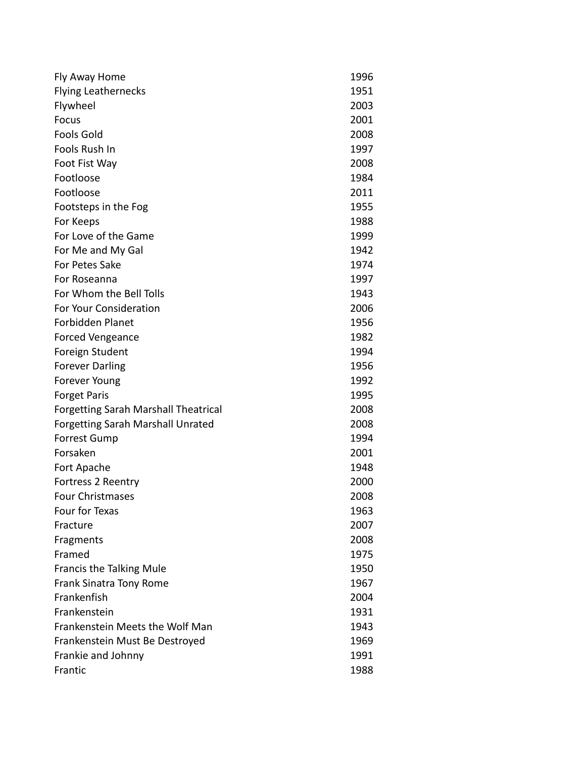| Fly Away Home                               | 1996 |
|---------------------------------------------|------|
| <b>Flying Leathernecks</b>                  | 1951 |
| Flywheel                                    | 2003 |
| Focus                                       | 2001 |
| <b>Fools Gold</b>                           | 2008 |
| Fools Rush In                               | 1997 |
| Foot Fist Way                               | 2008 |
| Footloose                                   | 1984 |
| Footloose                                   | 2011 |
| Footsteps in the Fog                        | 1955 |
| For Keeps                                   | 1988 |
| For Love of the Game                        | 1999 |
| For Me and My Gal                           | 1942 |
| For Petes Sake                              | 1974 |
| For Roseanna                                | 1997 |
| For Whom the Bell Tolls                     | 1943 |
| For Your Consideration                      | 2006 |
| <b>Forbidden Planet</b>                     | 1956 |
| Forced Vengeance                            | 1982 |
| Foreign Student                             | 1994 |
| <b>Forever Darling</b>                      | 1956 |
| Forever Young                               | 1992 |
| <b>Forget Paris</b>                         | 1995 |
| <b>Forgetting Sarah Marshall Theatrical</b> | 2008 |
| <b>Forgetting Sarah Marshall Unrated</b>    | 2008 |
| <b>Forrest Gump</b>                         | 1994 |
| Forsaken                                    | 2001 |
| Fort Apache                                 | 1948 |
| Fortress 2 Reentry                          | 2000 |
| <b>Four Christmases</b>                     | 2008 |
| Four for Texas                              | 1963 |
| Fracture                                    | 2007 |
| Fragments                                   | 2008 |
| Framed                                      | 1975 |
| Francis the Talking Mule                    | 1950 |
| Frank Sinatra Tony Rome                     | 1967 |
| Frankenfish                                 | 2004 |
| Frankenstein                                | 1931 |
| Frankenstein Meets the Wolf Man             | 1943 |
| Frankenstein Must Be Destroyed              | 1969 |
| Frankie and Johnny                          | 1991 |
| Frantic                                     | 1988 |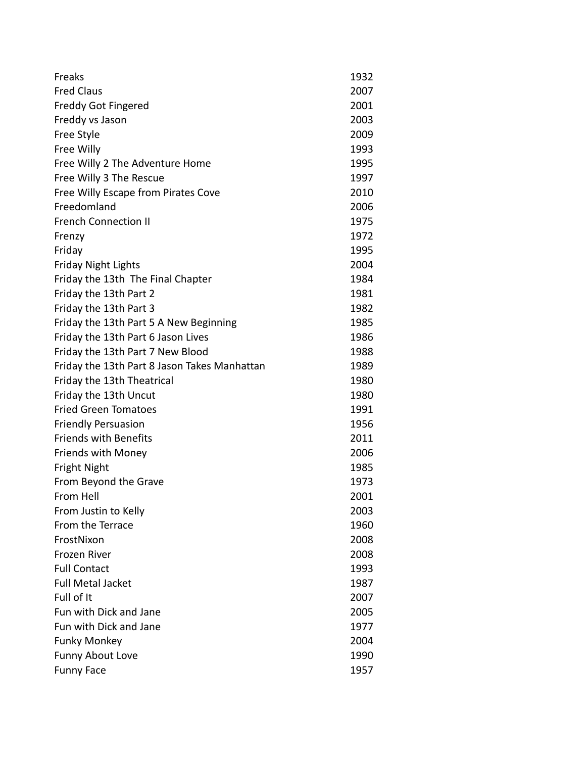| Freaks                                       | 1932 |
|----------------------------------------------|------|
| <b>Fred Claus</b>                            | 2007 |
| <b>Freddy Got Fingered</b>                   | 2001 |
| Freddy vs Jason                              | 2003 |
| Free Style                                   | 2009 |
| Free Willy                                   | 1993 |
| Free Willy 2 The Adventure Home              | 1995 |
| Free Willy 3 The Rescue                      | 1997 |
| Free Willy Escape from Pirates Cove          | 2010 |
| Freedomland                                  | 2006 |
| <b>French Connection II</b>                  | 1975 |
| Frenzy                                       | 1972 |
| Friday                                       | 1995 |
| <b>Friday Night Lights</b>                   | 2004 |
| Friday the 13th The Final Chapter            | 1984 |
| Friday the 13th Part 2                       | 1981 |
| Friday the 13th Part 3                       | 1982 |
| Friday the 13th Part 5 A New Beginning       | 1985 |
| Friday the 13th Part 6 Jason Lives           | 1986 |
| Friday the 13th Part 7 New Blood             | 1988 |
| Friday the 13th Part 8 Jason Takes Manhattan | 1989 |
| Friday the 13th Theatrical                   | 1980 |
| Friday the 13th Uncut                        | 1980 |
| <b>Fried Green Tomatoes</b>                  | 1991 |
| <b>Friendly Persuasion</b>                   | 1956 |
| <b>Friends with Benefits</b>                 | 2011 |
| <b>Friends with Money</b>                    | 2006 |
| <b>Fright Night</b>                          | 1985 |
| From Beyond the Grave                        | 1973 |
| From Hell                                    | 2001 |
| From Justin to Kelly                         | 2003 |
| From the Terrace                             | 1960 |
| FrostNixon                                   | 2008 |
| Frozen River                                 | 2008 |
| <b>Full Contact</b>                          | 1993 |
| <b>Full Metal Jacket</b>                     | 1987 |
| Full of It                                   | 2007 |
| Fun with Dick and Jane                       | 2005 |
| Fun with Dick and Jane                       | 1977 |
| <b>Funky Monkey</b>                          | 2004 |
| Funny About Love                             | 1990 |
| <b>Funny Face</b>                            | 1957 |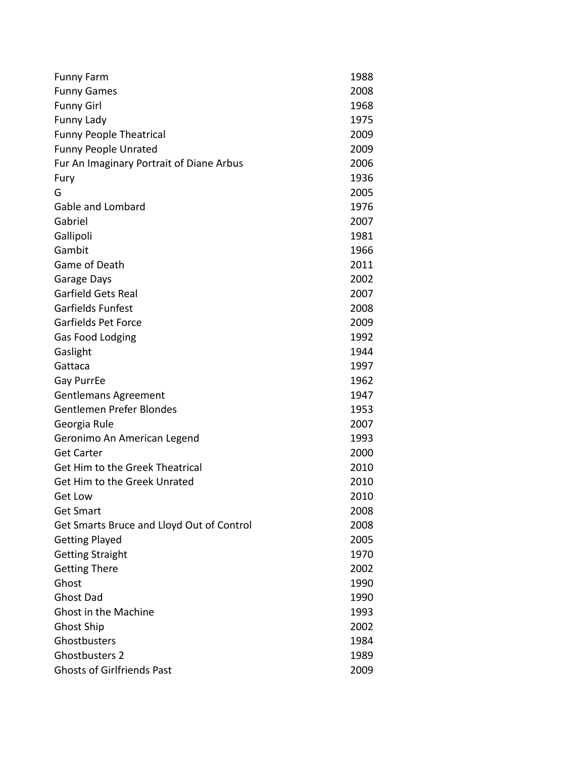| <b>Funny Farm</b>                         | 1988 |
|-------------------------------------------|------|
| <b>Funny Games</b>                        | 2008 |
| <b>Funny Girl</b>                         | 1968 |
| <b>Funny Lady</b>                         | 1975 |
| <b>Funny People Theatrical</b>            | 2009 |
| <b>Funny People Unrated</b>               | 2009 |
| Fur An Imaginary Portrait of Diane Arbus  | 2006 |
| Fury                                      | 1936 |
| G                                         | 2005 |
| Gable and Lombard                         | 1976 |
| Gabriel                                   | 2007 |
| Gallipoli                                 | 1981 |
| Gambit                                    | 1966 |
| Game of Death                             | 2011 |
| Garage Days                               | 2002 |
| <b>Garfield Gets Real</b>                 | 2007 |
| Garfields Funfest                         | 2008 |
| <b>Garfields Pet Force</b>                | 2009 |
| Gas Food Lodging                          | 1992 |
| Gaslight                                  | 1944 |
| Gattaca                                   | 1997 |
| Gay PurrEe                                | 1962 |
| <b>Gentlemans Agreement</b>               | 1947 |
| Gentlemen Prefer Blondes                  | 1953 |
| Georgia Rule                              | 2007 |
| Geronimo An American Legend               | 1993 |
| <b>Get Carter</b>                         | 2000 |
| Get Him to the Greek Theatrical           | 2010 |
| Get Him to the Greek Unrated              | 2010 |
| Get Low                                   | 2010 |
| <b>Get Smart</b>                          | 2008 |
| Get Smarts Bruce and Lloyd Out of Control | 2008 |
| <b>Getting Played</b>                     | 2005 |
| <b>Getting Straight</b>                   | 1970 |
| <b>Getting There</b>                      | 2002 |
| Ghost                                     | 1990 |
| <b>Ghost Dad</b>                          | 1990 |
| Ghost in the Machine                      | 1993 |
| <b>Ghost Ship</b>                         | 2002 |
| Ghostbusters                              | 1984 |
| <b>Ghostbusters 2</b>                     | 1989 |
| <b>Ghosts of Girlfriends Past</b>         | 2009 |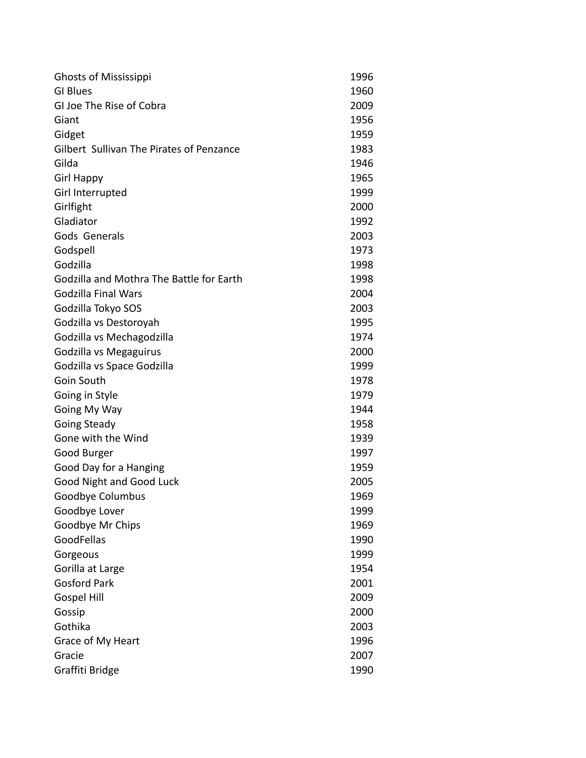| <b>Ghosts of Mississippi</b>             | 1996 |
|------------------------------------------|------|
| <b>GI Blues</b>                          | 1960 |
| GI Joe The Rise of Cobra                 | 2009 |
| Giant                                    | 1956 |
| Gidget                                   | 1959 |
| Gilbert Sullivan The Pirates of Penzance | 1983 |
| Gilda                                    | 1946 |
| <b>Girl Happy</b>                        | 1965 |
| Girl Interrupted                         | 1999 |
| Girlfight                                | 2000 |
| Gladiator                                | 1992 |
| Gods Generals                            | 2003 |
| Godspell                                 | 1973 |
| Godzilla                                 | 1998 |
| Godzilla and Mothra The Battle for Earth | 1998 |
| <b>Godzilla Final Wars</b>               | 2004 |
| Godzilla Tokyo SOS                       | 2003 |
| Godzilla vs Destoroyah                   | 1995 |
| Godzilla vs Mechagodzilla                | 1974 |
| Godzilla vs Megaguirus                   | 2000 |
| Godzilla vs Space Godzilla               | 1999 |
| Goin South                               | 1978 |
| Going in Style                           | 1979 |
| Going My Way                             | 1944 |
| <b>Going Steady</b>                      | 1958 |
| Gone with the Wind                       | 1939 |
| Good Burger                              | 1997 |
| Good Day for a Hanging                   | 1959 |
| <b>Good Night and Good Luck</b>          | 2005 |
| Goodbye Columbus                         | 1969 |
| Goodbye Lover                            | 1999 |
| Goodbye Mr Chips                         | 1969 |
| GoodFellas                               | 1990 |
| Gorgeous                                 | 1999 |
| Gorilla at Large                         | 1954 |
| <b>Gosford Park</b>                      | 2001 |
| <b>Gospel Hill</b>                       | 2009 |
| Gossip                                   | 2000 |
| Gothika                                  | 2003 |
| Grace of My Heart                        | 1996 |
| Gracie                                   | 2007 |
| Graffiti Bridge                          | 1990 |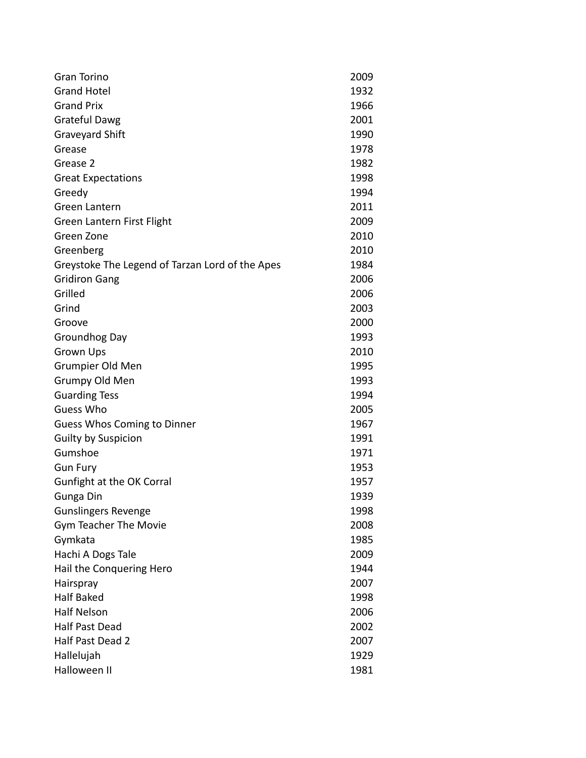| <b>Gran Torino</b>                              | 2009 |
|-------------------------------------------------|------|
| <b>Grand Hotel</b>                              | 1932 |
| <b>Grand Prix</b>                               | 1966 |
| <b>Grateful Dawg</b>                            | 2001 |
| <b>Graveyard Shift</b>                          | 1990 |
| Grease                                          | 1978 |
| Grease 2                                        | 1982 |
| <b>Great Expectations</b>                       | 1998 |
| Greedy                                          | 1994 |
| <b>Green Lantern</b>                            | 2011 |
| Green Lantern First Flight                      | 2009 |
| Green Zone                                      | 2010 |
| Greenberg                                       | 2010 |
| Greystoke The Legend of Tarzan Lord of the Apes | 1984 |
| <b>Gridiron Gang</b>                            | 2006 |
| Grilled                                         | 2006 |
| Grind                                           | 2003 |
| Groove                                          | 2000 |
| Groundhog Day                                   | 1993 |
| <b>Grown Ups</b>                                | 2010 |
| Grumpier Old Men                                | 1995 |
| Grumpy Old Men                                  | 1993 |
| <b>Guarding Tess</b>                            | 1994 |
| <b>Guess Who</b>                                | 2005 |
| Guess Whos Coming to Dinner                     | 1967 |
| <b>Guilty by Suspicion</b>                      | 1991 |
| Gumshoe                                         | 1971 |
| <b>Gun Fury</b>                                 | 1953 |
| Gunfight at the OK Corral                       | 1957 |
| Gunga Din                                       | 1939 |
| <b>Gunslingers Revenge</b>                      | 1998 |
| Gym Teacher The Movie                           | 2008 |
| Gymkata                                         | 1985 |
| Hachi A Dogs Tale                               | 2009 |
| Hail the Conquering Hero                        | 1944 |
| Hairspray                                       | 2007 |
| <b>Half Baked</b>                               | 1998 |
| <b>Half Nelson</b>                              | 2006 |
| Half Past Dead                                  | 2002 |
| Half Past Dead 2                                | 2007 |
| Hallelujah                                      | 1929 |
| Halloween II                                    | 1981 |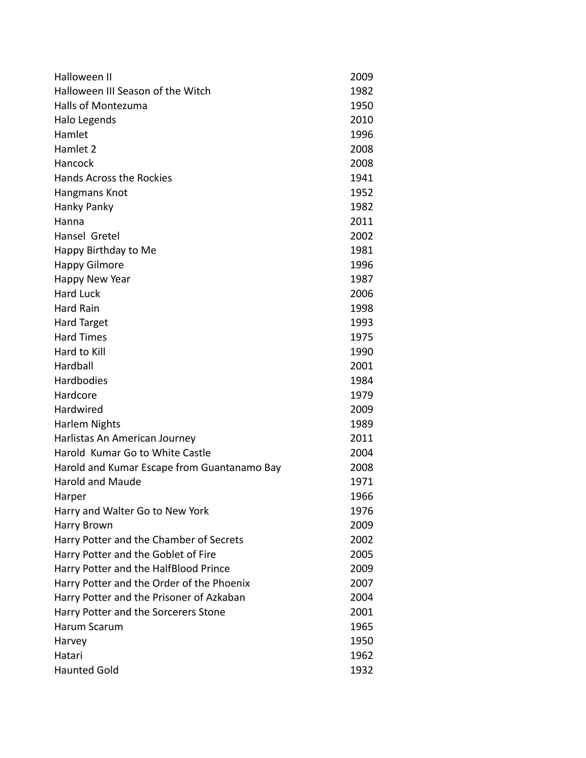| Halloween II                                | 2009 |
|---------------------------------------------|------|
| Halloween III Season of the Witch           | 1982 |
| Halls of Montezuma                          | 1950 |
| Halo Legends                                | 2010 |
| Hamlet                                      | 1996 |
| Hamlet 2                                    | 2008 |
| Hancock                                     | 2008 |
| <b>Hands Across the Rockies</b>             | 1941 |
| Hangmans Knot                               | 1952 |
| Hanky Panky                                 | 1982 |
| Hanna                                       | 2011 |
| Hansel Gretel                               | 2002 |
| Happy Birthday to Me                        | 1981 |
| <b>Happy Gilmore</b>                        | 1996 |
| Happy New Year                              | 1987 |
| <b>Hard Luck</b>                            | 2006 |
| <b>Hard Rain</b>                            | 1998 |
| <b>Hard Target</b>                          | 1993 |
| <b>Hard Times</b>                           | 1975 |
| Hard to Kill                                | 1990 |
| Hardball                                    | 2001 |
| Hardbodies                                  | 1984 |
| Hardcore                                    | 1979 |
| Hardwired                                   | 2009 |
| <b>Harlem Nights</b>                        | 1989 |
| Harlistas An American Journey               | 2011 |
| Harold Kumar Go to White Castle             | 2004 |
| Harold and Kumar Escape from Guantanamo Bay | 2008 |
| <b>Harold and Maude</b>                     | 1971 |
| Harper                                      | 1966 |
| Harry and Walter Go to New York             | 1976 |
| Harry Brown                                 | 2009 |
| Harry Potter and the Chamber of Secrets     | 2002 |
| Harry Potter and the Goblet of Fire         | 2005 |
| Harry Potter and the HalfBlood Prince       | 2009 |
| Harry Potter and the Order of the Phoenix   | 2007 |
| Harry Potter and the Prisoner of Azkaban    | 2004 |
| Harry Potter and the Sorcerers Stone        | 2001 |
| Harum Scarum                                | 1965 |
| Harvey                                      | 1950 |
| Hatari                                      | 1962 |
| <b>Haunted Gold</b>                         | 1932 |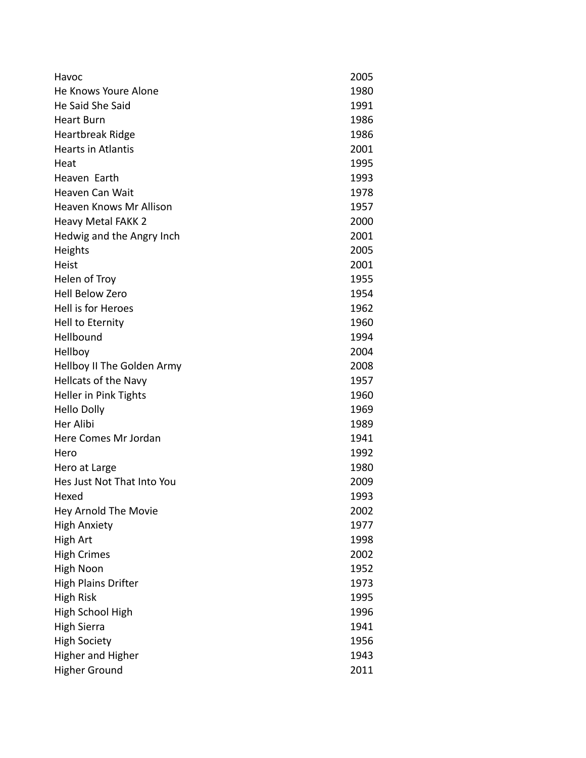| Havoc                      | 2005 |
|----------------------------|------|
| He Knows Youre Alone       | 1980 |
| He Said She Said           | 1991 |
| <b>Heart Burn</b>          | 1986 |
| <b>Heartbreak Ridge</b>    | 1986 |
| <b>Hearts in Atlantis</b>  | 2001 |
| Heat                       | 1995 |
| Heaven Earth               | 1993 |
| Heaven Can Wait            | 1978 |
| Heaven Knows Mr Allison    | 1957 |
| <b>Heavy Metal FAKK 2</b>  | 2000 |
| Hedwig and the Angry Inch  | 2001 |
| Heights                    | 2005 |
| Heist                      | 2001 |
| Helen of Troy              | 1955 |
| <b>Hell Below Zero</b>     | 1954 |
| Hell is for Heroes         | 1962 |
| Hell to Eternity           | 1960 |
| Hellbound                  | 1994 |
| Hellboy                    | 2004 |
| Hellboy II The Golden Army | 2008 |
| Hellcats of the Navy       | 1957 |
| Heller in Pink Tights      | 1960 |
| <b>Hello Dolly</b>         | 1969 |
| Her Alibi                  | 1989 |
| Here Comes Mr Jordan       | 1941 |
| Hero                       | 1992 |
| Hero at Large              | 1980 |
| Hes Just Not That Into You | 2009 |
| Hexed                      | 1993 |
| Hey Arnold The Movie       | 2002 |
| <b>High Anxiety</b>        | 1977 |
| High Art                   | 1998 |
| <b>High Crimes</b>         | 2002 |
| High Noon                  | 1952 |
| <b>High Plains Drifter</b> | 1973 |
| <b>High Risk</b>           | 1995 |
| High School High           | 1996 |
| <b>High Sierra</b>         | 1941 |
| <b>High Society</b>        | 1956 |
| Higher and Higher          | 1943 |
| <b>Higher Ground</b>       | 2011 |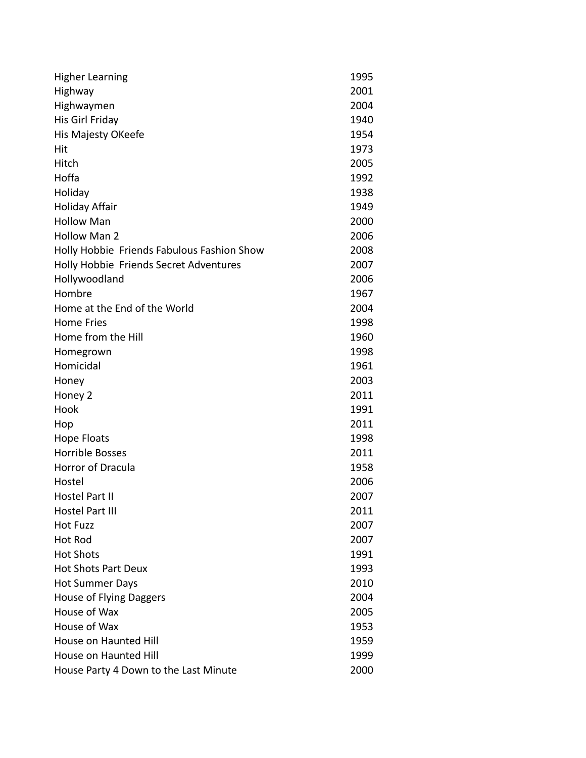| <b>Higher Learning</b>                     | 1995 |
|--------------------------------------------|------|
| Highway                                    | 2001 |
| Highwaymen                                 | 2004 |
| His Girl Friday                            | 1940 |
| His Majesty OKeefe                         | 1954 |
| Hit                                        | 1973 |
| Hitch                                      | 2005 |
| Hoffa                                      | 1992 |
| Holiday                                    | 1938 |
| Holiday Affair                             | 1949 |
| <b>Hollow Man</b>                          | 2000 |
| <b>Hollow Man 2</b>                        | 2006 |
| Holly Hobbie Friends Fabulous Fashion Show | 2008 |
| Holly Hobbie Friends Secret Adventures     | 2007 |
| Hollywoodland                              | 2006 |
| Hombre                                     | 1967 |
| Home at the End of the World               | 2004 |
| <b>Home Fries</b>                          | 1998 |
| Home from the Hill                         | 1960 |
| Homegrown                                  | 1998 |
| Homicidal                                  | 1961 |
| Honey                                      | 2003 |
| Honey 2                                    | 2011 |
| Hook                                       | 1991 |
| Hop                                        | 2011 |
| <b>Hope Floats</b>                         | 1998 |
| Horrible Bosses                            | 2011 |
| Horror of Dracula                          | 1958 |
| Hostel                                     | 2006 |
| Hostel Part II                             | 2007 |
| Hostel Part III                            | 2011 |
| <b>Hot Fuzz</b>                            | 2007 |
| Hot Rod                                    | 2007 |
| <b>Hot Shots</b>                           | 1991 |
| Hot Shots Part Deux                        | 1993 |
| Hot Summer Days                            | 2010 |
| House of Flying Daggers                    | 2004 |
| House of Wax                               | 2005 |
| House of Wax                               | 1953 |
| House on Haunted Hill                      | 1959 |
| House on Haunted Hill                      | 1999 |
| House Party 4 Down to the Last Minute      | 2000 |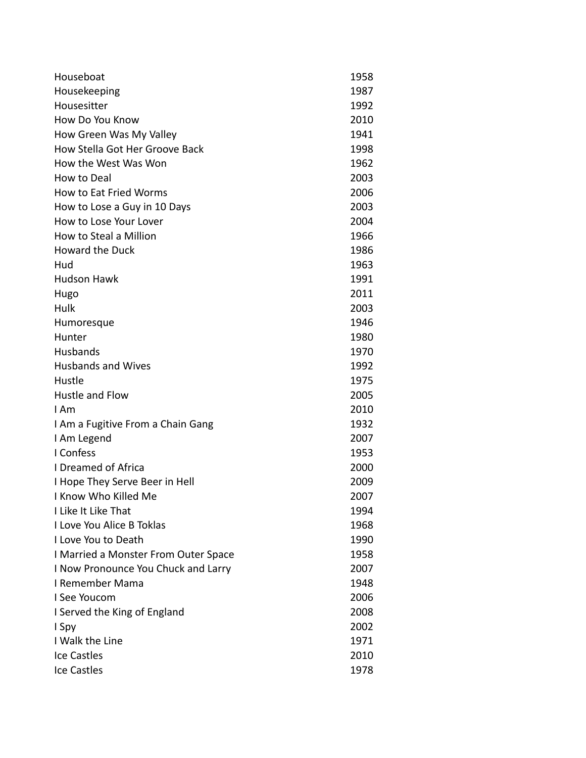| Houseboat                            | 1958 |
|--------------------------------------|------|
| Housekeeping                         | 1987 |
| Housesitter                          | 1992 |
| How Do You Know                      | 2010 |
| How Green Was My Valley              | 1941 |
| How Stella Got Her Groove Back       | 1998 |
| How the West Was Won                 | 1962 |
| How to Deal                          | 2003 |
| How to Eat Fried Worms               | 2006 |
| How to Lose a Guy in 10 Days         | 2003 |
| How to Lose Your Lover               | 2004 |
| How to Steal a Million               | 1966 |
| <b>Howard the Duck</b>               | 1986 |
| Hud                                  | 1963 |
| <b>Hudson Hawk</b>                   | 1991 |
| Hugo                                 | 2011 |
| Hulk                                 | 2003 |
| Humoresque                           | 1946 |
| Hunter                               | 1980 |
| Husbands                             | 1970 |
| <b>Husbands and Wives</b>            | 1992 |
| Hustle                               | 1975 |
| Hustle and Flow                      | 2005 |
| l Am                                 | 2010 |
| I Am a Fugitive From a Chain Gang    | 1932 |
| I Am Legend                          | 2007 |
| I Confess                            | 1953 |
| I Dreamed of Africa                  | 2000 |
| I Hope They Serve Beer in Hell       | 2009 |
| I Know Who Killed Me                 | 2007 |
| I Like It Like That                  | 1994 |
| I Love You Alice B Toklas            | 1968 |
| I Love You to Death                  | 1990 |
| I Married a Monster From Outer Space | 1958 |
| I Now Pronounce You Chuck and Larry  | 2007 |
| I Remember Mama                      | 1948 |
| I See Youcom                         | 2006 |
| I Served the King of England         | 2008 |
| I Spy                                | 2002 |
| I Walk the Line                      | 1971 |
| Ice Castles                          | 2010 |
| Ice Castles                          | 1978 |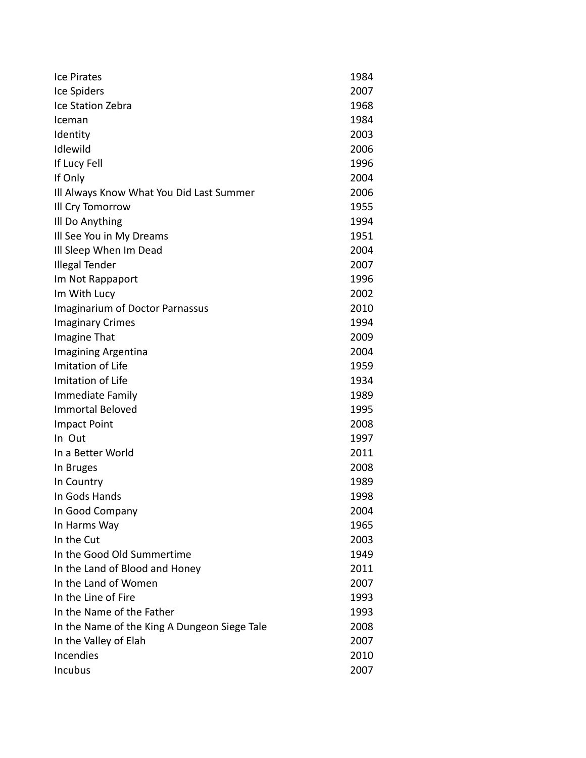| Ice Pirates                                  | 1984 |
|----------------------------------------------|------|
| Ice Spiders                                  | 2007 |
| <b>Ice Station Zebra</b>                     | 1968 |
| Iceman                                       | 1984 |
| Identity                                     | 2003 |
| Idlewild                                     | 2006 |
| If Lucy Fell                                 | 1996 |
| If Only                                      | 2004 |
| Ill Always Know What You Did Last Summer     | 2006 |
| Ill Cry Tomorrow                             | 1955 |
| Ill Do Anything                              | 1994 |
| Ill See You in My Dreams                     | 1951 |
| Ill Sleep When Im Dead                       | 2004 |
| <b>Illegal Tender</b>                        | 2007 |
| Im Not Rappaport                             | 1996 |
| Im With Lucy                                 | 2002 |
| Imaginarium of Doctor Parnassus              | 2010 |
| <b>Imaginary Crimes</b>                      | 1994 |
| Imagine That                                 | 2009 |
| Imagining Argentina                          | 2004 |
| Imitation of Life                            | 1959 |
| Imitation of Life                            | 1934 |
| Immediate Family                             | 1989 |
| <b>Immortal Beloved</b>                      | 1995 |
| <b>Impact Point</b>                          | 2008 |
| In Out                                       | 1997 |
| In a Better World                            | 2011 |
| In Bruges                                    | 2008 |
| In Country                                   | 1989 |
| In Gods Hands                                | 1998 |
| In Good Company                              | 2004 |
| In Harms Way                                 | 1965 |
| In the Cut                                   | 2003 |
| In the Good Old Summertime                   | 1949 |
| In the Land of Blood and Honey               | 2011 |
| In the Land of Women                         | 2007 |
| In the Line of Fire                          | 1993 |
| In the Name of the Father                    | 1993 |
| In the Name of the King A Dungeon Siege Tale | 2008 |
| In the Valley of Elah                        | 2007 |
| Incendies                                    | 2010 |
| Incubus                                      | 2007 |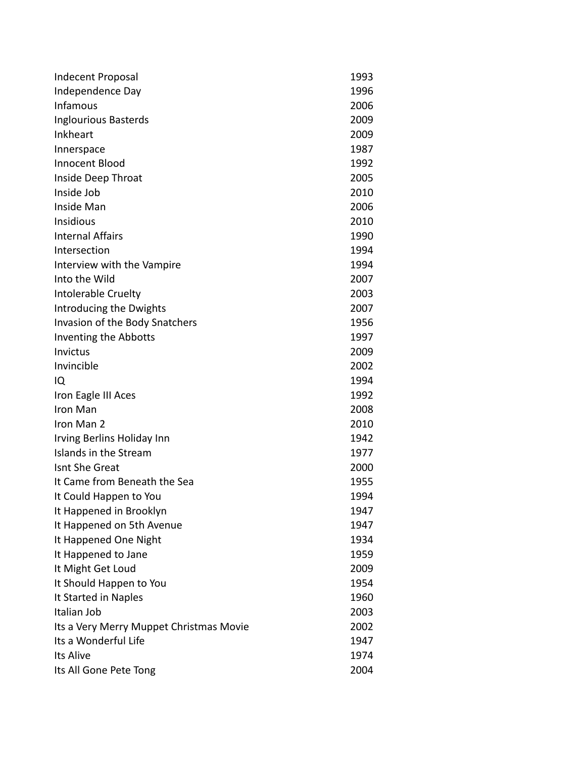| Indecent Proposal                       | 1993 |
|-----------------------------------------|------|
| Independence Day                        | 1996 |
| Infamous                                | 2006 |
| Inglourious Basterds                    | 2009 |
| Inkheart                                | 2009 |
| Innerspace                              | 1987 |
| Innocent Blood                          | 1992 |
| Inside Deep Throat                      | 2005 |
| Inside Job                              | 2010 |
| Inside Man                              | 2006 |
| Insidious                               | 2010 |
| <b>Internal Affairs</b>                 | 1990 |
| Intersection                            | 1994 |
| Interview with the Vampire              | 1994 |
| Into the Wild                           | 2007 |
| <b>Intolerable Cruelty</b>              | 2003 |
| Introducing the Dwights                 | 2007 |
| Invasion of the Body Snatchers          | 1956 |
| Inventing the Abbotts                   | 1997 |
| Invictus                                | 2009 |
| Invincible                              | 2002 |
| IQ                                      | 1994 |
| Iron Eagle III Aces                     | 1992 |
| Iron Man                                | 2008 |
| Iron Man 2                              | 2010 |
| Irving Berlins Holiday Inn              | 1942 |
| Islands in the Stream                   | 1977 |
| Isnt She Great                          | 2000 |
| It Came from Beneath the Sea            | 1955 |
| It Could Happen to You                  | 1994 |
| It Happened in Brooklyn                 | 1947 |
| It Happened on 5th Avenue               | 1947 |
| It Happened One Night                   | 1934 |
| It Happened to Jane                     | 1959 |
| It Might Get Loud                       | 2009 |
| It Should Happen to You                 | 1954 |
| It Started in Naples                    | 1960 |
| Italian Job                             | 2003 |
| Its a Very Merry Muppet Christmas Movie | 2002 |
| Its a Wonderful Life                    | 1947 |
| Its Alive                               | 1974 |
| Its All Gone Pete Tong                  | 2004 |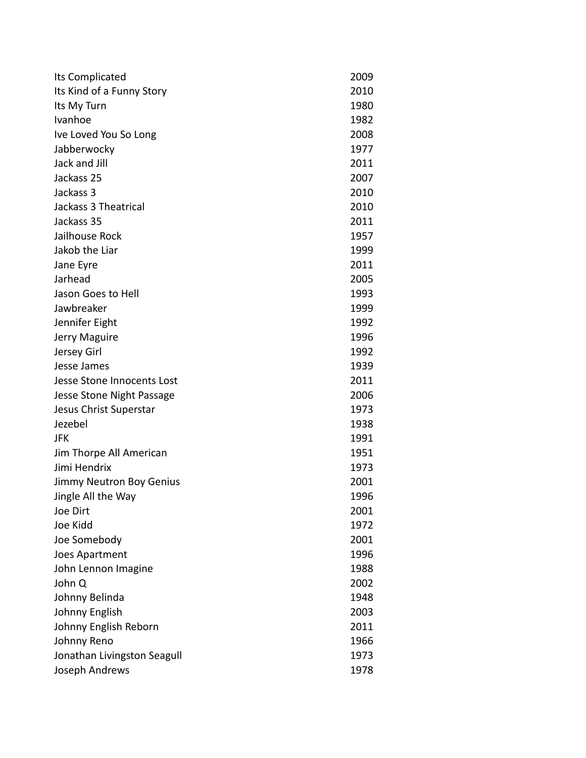| Its Complicated             | 2009 |
|-----------------------------|------|
| Its Kind of a Funny Story   | 2010 |
| Its My Turn                 | 1980 |
| Ivanhoe                     | 1982 |
| Ive Loved You So Long       | 2008 |
| Jabberwocky                 | 1977 |
| Jack and Jill               | 2011 |
| Jackass 25                  | 2007 |
| Jackass 3                   | 2010 |
| Jackass 3 Theatrical        | 2010 |
| Jackass 35                  | 2011 |
| Jailhouse Rock              | 1957 |
| Jakob the Liar              | 1999 |
| Jane Eyre                   | 2011 |
| Jarhead                     | 2005 |
| Jason Goes to Hell          | 1993 |
| Jawbreaker                  | 1999 |
| Jennifer Eight              | 1992 |
| Jerry Maguire               | 1996 |
| Jersey Girl                 | 1992 |
| Jesse James                 | 1939 |
| Jesse Stone Innocents Lost  | 2011 |
| Jesse Stone Night Passage   | 2006 |
| Jesus Christ Superstar      | 1973 |
| Jezebel                     | 1938 |
| JFK                         | 1991 |
| Jim Thorpe All American     | 1951 |
| Jimi Hendrix                | 1973 |
| Jimmy Neutron Boy Genius    | 2001 |
| Jingle All the Way          | 1996 |
| Joe Dirt                    | 2001 |
| Joe Kidd                    | 1972 |
| Joe Somebody                | 2001 |
| Joes Apartment              | 1996 |
| John Lennon Imagine         | 1988 |
| John Q                      | 2002 |
| Johnny Belinda              | 1948 |
| Johnny English              | 2003 |
| Johnny English Reborn       | 2011 |
| Johnny Reno                 | 1966 |
| Jonathan Livingston Seagull | 1973 |
| Joseph Andrews              | 1978 |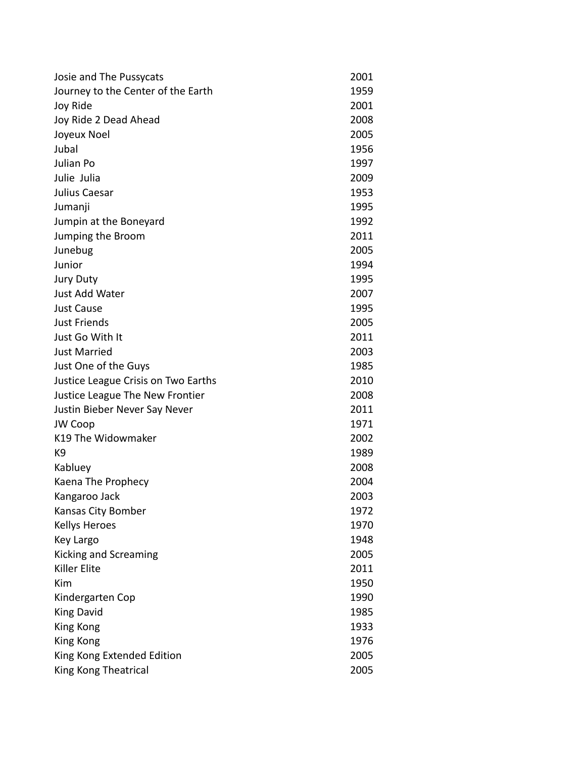| Josie and The Pussycats             | 2001 |
|-------------------------------------|------|
| Journey to the Center of the Earth  | 1959 |
| Joy Ride                            | 2001 |
| Joy Ride 2 Dead Ahead               | 2008 |
| Joyeux Noel                         | 2005 |
| Jubal                               | 1956 |
| Julian Po                           | 1997 |
| Julie Julia                         | 2009 |
| Julius Caesar                       | 1953 |
| Jumanji                             | 1995 |
| Jumpin at the Boneyard              | 1992 |
| Jumping the Broom                   | 2011 |
| Junebug                             | 2005 |
| Junior                              | 1994 |
| <b>Jury Duty</b>                    | 1995 |
| Just Add Water                      | 2007 |
| Just Cause                          | 1995 |
| <b>Just Friends</b>                 | 2005 |
| Just Go With It                     | 2011 |
| <b>Just Married</b>                 | 2003 |
| Just One of the Guys                | 1985 |
| Justice League Crisis on Two Earths | 2010 |
| Justice League The New Frontier     | 2008 |
| Justin Bieber Never Say Never       | 2011 |
| <b>JW Coop</b>                      | 1971 |
| K19 The Widowmaker                  | 2002 |
| K9                                  | 1989 |
| Kabluey                             | 2008 |
| Kaena The Prophecy                  | 2004 |
| Kangaroo Jack                       | 2003 |
| Kansas City Bomber                  | 1972 |
| <b>Kellys Heroes</b>                | 1970 |
| Key Largo                           | 1948 |
| Kicking and Screaming               | 2005 |
| Killer Elite                        | 2011 |
| Kim                                 | 1950 |
| Kindergarten Cop                    | 1990 |
| <b>King David</b>                   | 1985 |
| King Kong                           | 1933 |
| King Kong                           | 1976 |
| King Kong Extended Edition          | 2005 |
| King Kong Theatrical                | 2005 |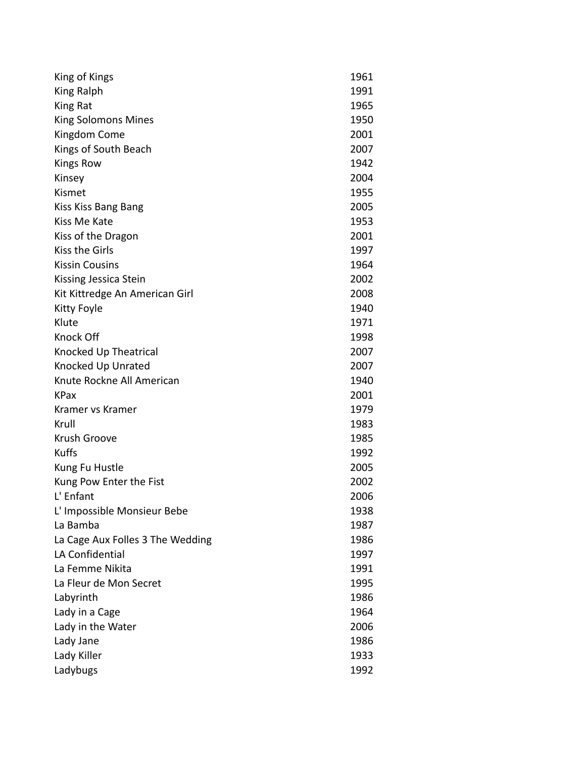| King of Kings                    | 1961 |
|----------------------------------|------|
| King Ralph                       | 1991 |
| King Rat                         | 1965 |
| King Solomons Mines              | 1950 |
| Kingdom Come                     | 2001 |
| Kings of South Beach             | 2007 |
| <b>Kings Row</b>                 | 1942 |
| Kinsey                           | 2004 |
| Kismet                           | 1955 |
| Kiss Kiss Bang Bang              | 2005 |
| Kiss Me Kate                     | 1953 |
| Kiss of the Dragon               | 2001 |
| Kiss the Girls                   | 1997 |
| <b>Kissin Cousins</b>            | 1964 |
| Kissing Jessica Stein            | 2002 |
| Kit Kittredge An American Girl   | 2008 |
| Kitty Foyle                      | 1940 |
| Klute                            | 1971 |
| Knock Off                        | 1998 |
| Knocked Up Theatrical            | 2007 |
| Knocked Up Unrated               | 2007 |
| Knute Rockne All American        | 1940 |
| <b>KPax</b>                      | 2001 |
| Kramer vs Kramer                 | 1979 |
| Krull                            | 1983 |
| Krush Groove                     | 1985 |
| Kuffs                            | 1992 |
| Kung Fu Hustle                   | 2005 |
| Kung Pow Enter the Fist          | 2002 |
| L' Enfant                        | 2006 |
| L' Impossible Monsieur Bebe      | 1938 |
| La Bamba                         | 1987 |
| La Cage Aux Folles 3 The Wedding | 1986 |
| LA Confidential                  | 1997 |
| La Femme Nikita                  | 1991 |
| La Fleur de Mon Secret           | 1995 |
| Labyrinth                        | 1986 |
| Lady in a Cage                   | 1964 |
| Lady in the Water                | 2006 |
| Lady Jane                        | 1986 |
| Lady Killer                      | 1933 |
| Ladybugs                         | 1992 |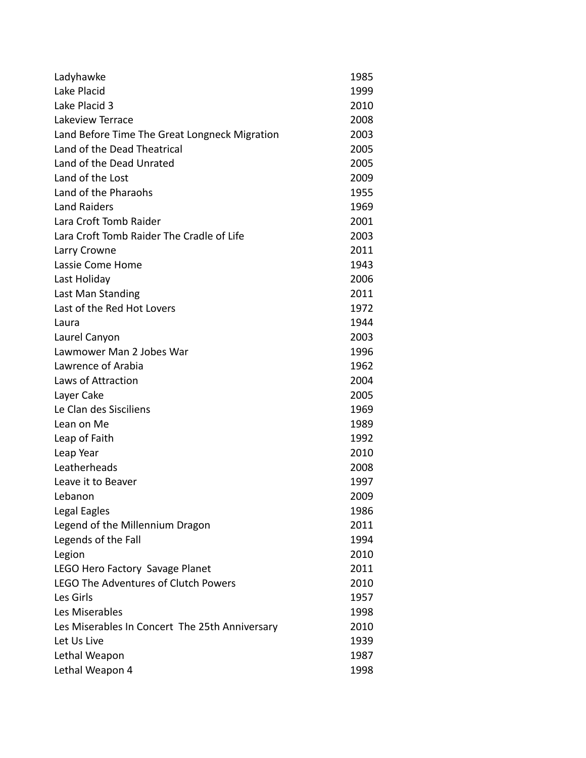| Ladyhawke                                      | 1985 |
|------------------------------------------------|------|
| Lake Placid                                    | 1999 |
| Lake Placid 3                                  | 2010 |
| Lakeview Terrace                               | 2008 |
| Land Before Time The Great Longneck Migration  | 2003 |
| Land of the Dead Theatrical                    | 2005 |
| Land of the Dead Unrated                       | 2005 |
| Land of the Lost                               | 2009 |
| Land of the Pharaohs                           | 1955 |
| <b>Land Raiders</b>                            | 1969 |
| Lara Croft Tomb Raider                         | 2001 |
| Lara Croft Tomb Raider The Cradle of Life      | 2003 |
| Larry Crowne                                   | 2011 |
| Lassie Come Home                               | 1943 |
| Last Holiday                                   | 2006 |
| Last Man Standing                              | 2011 |
| Last of the Red Hot Lovers                     | 1972 |
| Laura                                          | 1944 |
| Laurel Canyon                                  | 2003 |
| Lawmower Man 2 Jobes War                       | 1996 |
| Lawrence of Arabia                             | 1962 |
| Laws of Attraction                             | 2004 |
| Layer Cake                                     | 2005 |
| Le Clan des Sisciliens                         | 1969 |
| Lean on Me                                     | 1989 |
| Leap of Faith                                  | 1992 |
| Leap Year                                      | 2010 |
| Leatherheads                                   | 2008 |
| Leave it to Beaver                             | 1997 |
| Lebanon                                        | 2009 |
| Legal Eagles                                   | 1986 |
| Legend of the Millennium Dragon                | 2011 |
| Legends of the Fall                            | 1994 |
| Legion                                         | 2010 |
| LEGO Hero Factory Savage Planet                | 2011 |
| <b>LEGO The Adventures of Clutch Powers</b>    | 2010 |
| Les Girls                                      | 1957 |
| Les Miserables                                 | 1998 |
| Les Miserables In Concert The 25th Anniversary | 2010 |
| Let Us Live                                    | 1939 |
| Lethal Weapon                                  | 1987 |
| Lethal Weapon 4                                | 1998 |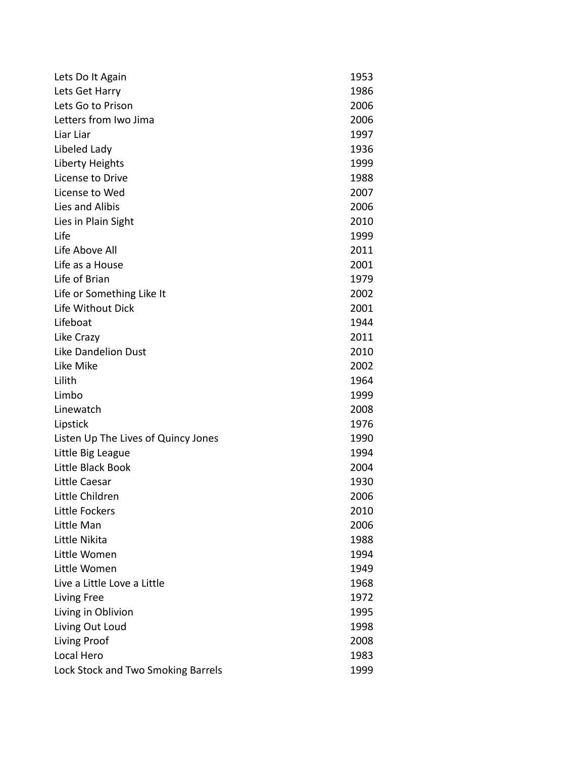| Lets Do It Again                    | 1953 |
|-------------------------------------|------|
| Lets Get Harry                      | 1986 |
| Lets Go to Prison                   | 2006 |
| Letters from Iwo Jima               | 2006 |
| Liar Liar                           | 1997 |
| Libeled Lady                        | 1936 |
| Liberty Heights                     | 1999 |
| License to Drive                    | 1988 |
| License to Wed                      | 2007 |
| Lies and Alibis                     | 2006 |
| Lies in Plain Sight                 | 2010 |
| Life                                | 1999 |
| Life Above All                      | 2011 |
| Life as a House                     | 2001 |
| Life of Brian                       | 1979 |
| Life or Something Like It           | 2002 |
| Life Without Dick                   | 2001 |
| Lifeboat                            | 1944 |
| Like Crazy                          | 2011 |
| Like Dandelion Dust                 | 2010 |
| Like Mike                           | 2002 |
| Lilith                              | 1964 |
| Limbo                               | 1999 |
| Linewatch                           | 2008 |
| Lipstick                            | 1976 |
| Listen Up The Lives of Quincy Jones | 1990 |
| Little Big League                   | 1994 |
| Little Black Book                   | 2004 |
| Little Caesar                       | 1930 |
| Little Children                     | 2006 |
| Little Fockers                      | 2010 |
| Little Man                          | 2006 |
| Little Nikita                       | 1988 |
| Little Women                        | 1994 |
| Little Women                        | 1949 |
| Live a Little Love a Little         | 1968 |
| Living Free                         | 1972 |
| Living in Oblivion                  | 1995 |
| Living Out Loud                     | 1998 |
| Living Proof                        | 2008 |
| Local Hero                          | 1983 |
| Lock Stock and Two Smoking Barrels  | 1999 |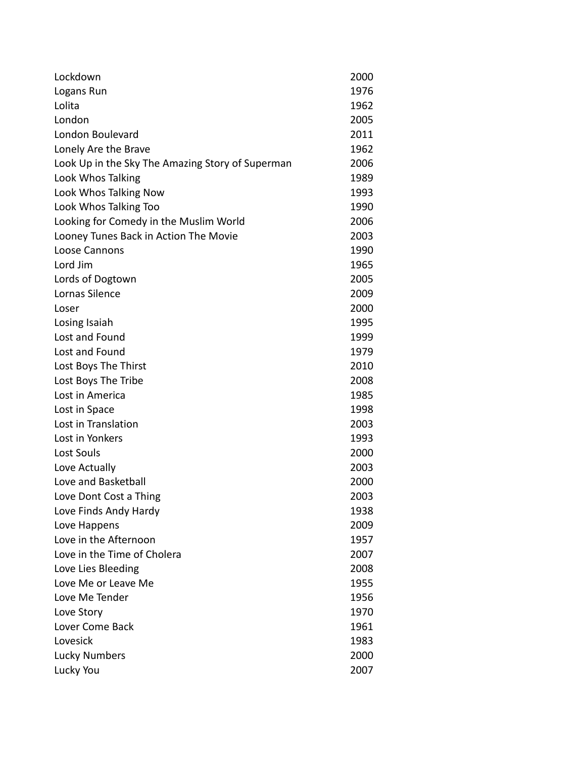| Lockdown                                         | 2000 |
|--------------------------------------------------|------|
| Logans Run                                       | 1976 |
| Lolita                                           | 1962 |
| London                                           | 2005 |
| London Boulevard                                 | 2011 |
| Lonely Are the Brave                             | 1962 |
| Look Up in the Sky The Amazing Story of Superman | 2006 |
| Look Whos Talking                                | 1989 |
| Look Whos Talking Now                            | 1993 |
| Look Whos Talking Too                            | 1990 |
| Looking for Comedy in the Muslim World           | 2006 |
| Looney Tunes Back in Action The Movie            | 2003 |
| Loose Cannons                                    | 1990 |
| Lord Jim                                         | 1965 |
| Lords of Dogtown                                 | 2005 |
| Lornas Silence                                   | 2009 |
| Loser                                            | 2000 |
| Losing Isaiah                                    | 1995 |
| Lost and Found                                   | 1999 |
| Lost and Found                                   | 1979 |
| Lost Boys The Thirst                             | 2010 |
| Lost Boys The Tribe                              | 2008 |
| Lost in America                                  | 1985 |
| Lost in Space                                    | 1998 |
| Lost in Translation                              | 2003 |
| Lost in Yonkers                                  | 1993 |
| Lost Souls                                       | 2000 |
| Love Actually                                    | 2003 |
| Love and Basketball                              | 2000 |
| Love Dont Cost a Thing                           | 2003 |
| Love Finds Andy Hardy                            | 1938 |
| Love Happens                                     | 2009 |
| Love in the Afternoon                            | 1957 |
| Love in the Time of Cholera                      | 2007 |
| Love Lies Bleeding                               | 2008 |
| Love Me or Leave Me                              | 1955 |
| Love Me Tender                                   | 1956 |
| Love Story                                       | 1970 |
| Lover Come Back                                  | 1961 |
| Lovesick                                         | 1983 |
| <b>Lucky Numbers</b>                             | 2000 |
| Lucky You                                        | 2007 |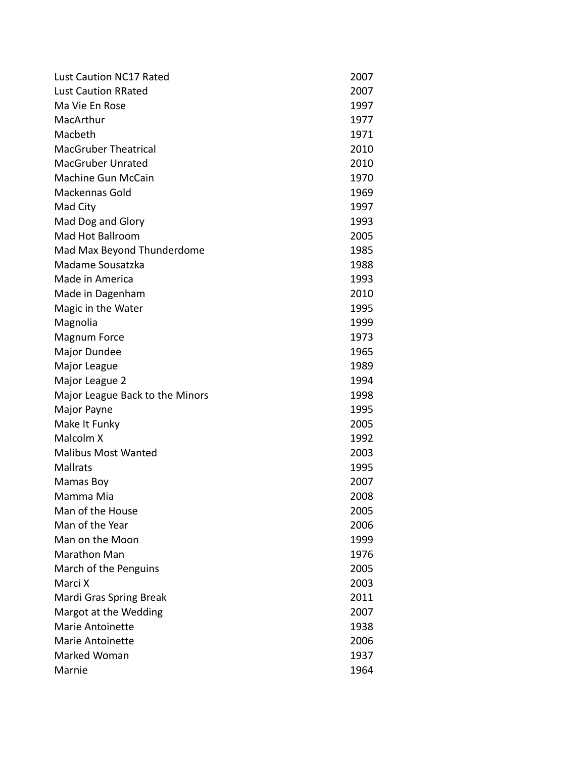| Lust Caution NC17 Rated         | 2007 |
|---------------------------------|------|
| <b>Lust Caution RRated</b>      | 2007 |
| Ma Vie En Rose                  | 1997 |
| MacArthur                       | 1977 |
| Macbeth                         | 1971 |
| <b>MacGruber Theatrical</b>     | 2010 |
| <b>MacGruber Unrated</b>        | 2010 |
| <b>Machine Gun McCain</b>       | 1970 |
| Mackennas Gold                  | 1969 |
| Mad City                        | 1997 |
| Mad Dog and Glory               | 1993 |
| Mad Hot Ballroom                | 2005 |
| Mad Max Beyond Thunderdome      | 1985 |
| Madame Sousatzka                | 1988 |
| Made in America                 | 1993 |
| Made in Dagenham                | 2010 |
| Magic in the Water              | 1995 |
| Magnolia                        | 1999 |
| <b>Magnum Force</b>             | 1973 |
| Major Dundee                    | 1965 |
| Major League                    | 1989 |
| Major League 2                  | 1994 |
| Major League Back to the Minors | 1998 |
| Major Payne                     | 1995 |
| Make It Funky                   | 2005 |
| Malcolm X                       | 1992 |
| <b>Malibus Most Wanted</b>      | 2003 |
| <b>Mallrats</b>                 | 1995 |
| Mamas Boy                       | 2007 |
| Mamma Mia                       | 2008 |
| Man of the House                | 2005 |
| Man of the Year                 | 2006 |
| Man on the Moon                 | 1999 |
| Marathon Man                    | 1976 |
| March of the Penguins           | 2005 |
| Marci X                         | 2003 |
| Mardi Gras Spring Break         | 2011 |
| Margot at the Wedding           | 2007 |
| <b>Marie Antoinette</b>         | 1938 |
| <b>Marie Antoinette</b>         | 2006 |
| Marked Woman                    | 1937 |
| Marnie                          | 1964 |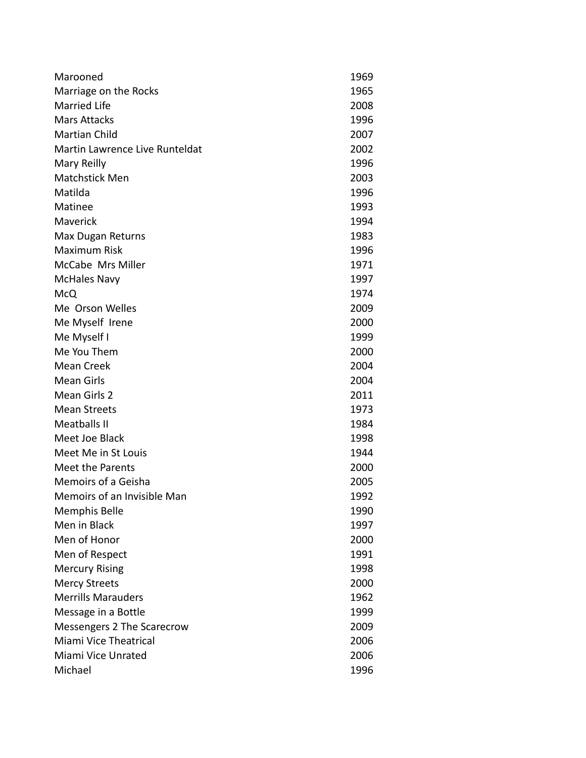| Marooned                       | 1969 |
|--------------------------------|------|
| Marriage on the Rocks          | 1965 |
| <b>Married Life</b>            | 2008 |
| <b>Mars Attacks</b>            | 1996 |
| <b>Martian Child</b>           | 2007 |
| Martin Lawrence Live Runteldat | 2002 |
| Mary Reilly                    | 1996 |
| Matchstick Men                 | 2003 |
| Matilda                        | 1996 |
| Matinee                        | 1993 |
| Maverick                       | 1994 |
| Max Dugan Returns              | 1983 |
| Maximum Risk                   | 1996 |
| McCabe Mrs Miller              | 1971 |
| <b>McHales Navy</b>            | 1997 |
| <b>McQ</b>                     | 1974 |
| Me Orson Welles                | 2009 |
| Me Myself Irene                | 2000 |
| Me Myself I                    | 1999 |
| Me You Them                    | 2000 |
| <b>Mean Creek</b>              | 2004 |
| <b>Mean Girls</b>              | 2004 |
| Mean Girls 2                   | 2011 |
| <b>Mean Streets</b>            | 1973 |
| <b>Meatballs II</b>            | 1984 |
| Meet Joe Black                 | 1998 |
| Meet Me in St Louis            | 1944 |
| <b>Meet the Parents</b>        | 2000 |
| <b>Memoirs of a Geisha</b>     | 2005 |
| Memoirs of an Invisible Man    | 1992 |
| Memphis Belle                  | 1990 |
| Men in Black                   | 1997 |
| Men of Honor                   | 2000 |
| Men of Respect                 | 1991 |
| <b>Mercury Rising</b>          | 1998 |
| <b>Mercy Streets</b>           | 2000 |
| <b>Merrills Marauders</b>      | 1962 |
| Message in a Bottle            | 1999 |
| Messengers 2 The Scarecrow     | 2009 |
| Miami Vice Theatrical          | 2006 |
| Miami Vice Unrated             | 2006 |
| Michael                        | 1996 |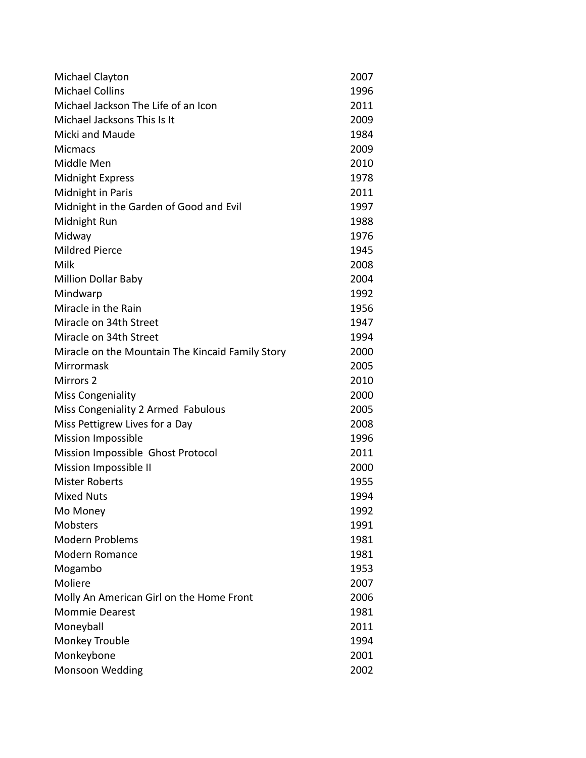| Michael Clayton                                  | 2007 |
|--------------------------------------------------|------|
| <b>Michael Collins</b>                           | 1996 |
| Michael Jackson The Life of an Icon              | 2011 |
| Michael Jacksons This Is It                      | 2009 |
| Micki and Maude                                  | 1984 |
| <b>Micmacs</b>                                   | 2009 |
| Middle Men                                       | 2010 |
| <b>Midnight Express</b>                          | 1978 |
| Midnight in Paris                                | 2011 |
| Midnight in the Garden of Good and Evil          | 1997 |
| Midnight Run                                     | 1988 |
| Midway                                           | 1976 |
| <b>Mildred Pierce</b>                            | 1945 |
| Milk                                             | 2008 |
| <b>Million Dollar Baby</b>                       | 2004 |
| Mindwarp                                         | 1992 |
| Miracle in the Rain                              | 1956 |
| Miracle on 34th Street                           | 1947 |
| Miracle on 34th Street                           | 1994 |
| Miracle on the Mountain The Kincaid Family Story | 2000 |
| Mirrormask                                       | 2005 |
| Mirrors <sub>2</sub>                             | 2010 |
| <b>Miss Congeniality</b>                         | 2000 |
| Miss Congeniality 2 Armed Fabulous               | 2005 |
| Miss Pettigrew Lives for a Day                   | 2008 |
| <b>Mission Impossible</b>                        | 1996 |
| Mission Impossible Ghost Protocol                | 2011 |
| Mission Impossible II                            | 2000 |
| <b>Mister Roberts</b>                            | 1955 |
| Mixed Nuts                                       | 1994 |
| Mo Money                                         | 1992 |
| Mobsters                                         | 1991 |
| <b>Modern Problems</b>                           | 1981 |
| Modern Romance                                   | 1981 |
| Mogambo                                          | 1953 |
| Moliere                                          | 2007 |
| Molly An American Girl on the Home Front         | 2006 |
| <b>Mommie Dearest</b>                            | 1981 |
| Moneyball                                        | 2011 |
| Monkey Trouble                                   | 1994 |
| Monkeybone                                       | 2001 |
| Monsoon Wedding                                  | 2002 |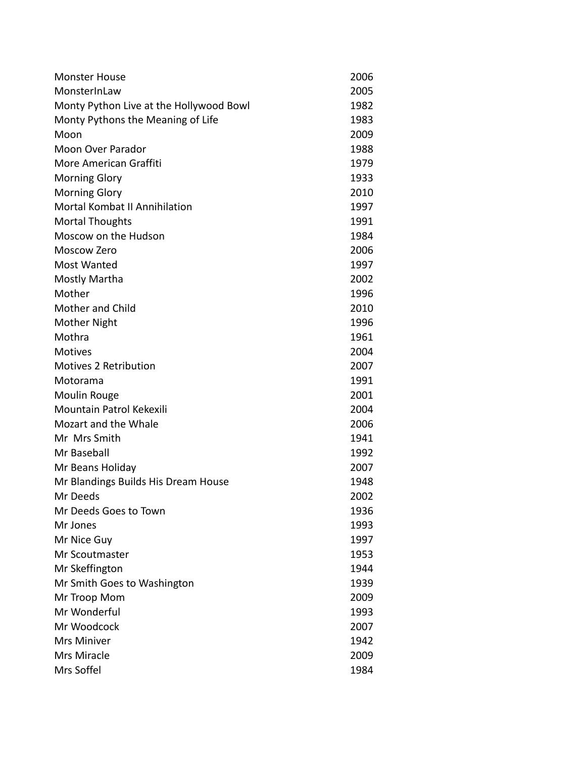| <b>Monster House</b>                    | 2006 |
|-----------------------------------------|------|
| MonsterInLaw                            | 2005 |
| Monty Python Live at the Hollywood Bowl | 1982 |
| Monty Pythons the Meaning of Life       | 1983 |
| Moon                                    | 2009 |
| <b>Moon Over Parador</b>                | 1988 |
| More American Graffiti                  | 1979 |
| <b>Morning Glory</b>                    | 1933 |
| <b>Morning Glory</b>                    | 2010 |
| <b>Mortal Kombat II Annihilation</b>    | 1997 |
| <b>Mortal Thoughts</b>                  | 1991 |
| Moscow on the Hudson                    | 1984 |
| Moscow Zero                             | 2006 |
| <b>Most Wanted</b>                      | 1997 |
| Mostly Martha                           | 2002 |
| Mother                                  | 1996 |
| Mother and Child                        | 2010 |
| <b>Mother Night</b>                     | 1996 |
| Mothra                                  | 1961 |
| <b>Motives</b>                          | 2004 |
| <b>Motives 2 Retribution</b>            | 2007 |
| Motorama                                | 1991 |
| Moulin Rouge                            | 2001 |
| Mountain Patrol Kekexili                | 2004 |
| Mozart and the Whale                    | 2006 |
| Mr Mrs Smith                            | 1941 |
| Mr Baseball                             | 1992 |
| Mr Beans Holiday                        | 2007 |
| Mr Blandings Builds His Dream House     | 1948 |
| Mr Deeds                                | 2002 |
| Mr Deeds Goes to Town                   | 1936 |
| Mr Jones                                | 1993 |
| Mr Nice Guy                             | 1997 |
| Mr Scoutmaster                          | 1953 |
| Mr Skeffington                          | 1944 |
| Mr Smith Goes to Washington             | 1939 |
| Mr Troop Mom                            | 2009 |
| Mr Wonderful                            | 1993 |
| Mr Woodcock                             | 2007 |
| Mrs Miniver                             | 1942 |
| Mrs Miracle                             | 2009 |
| Mrs Soffel                              | 1984 |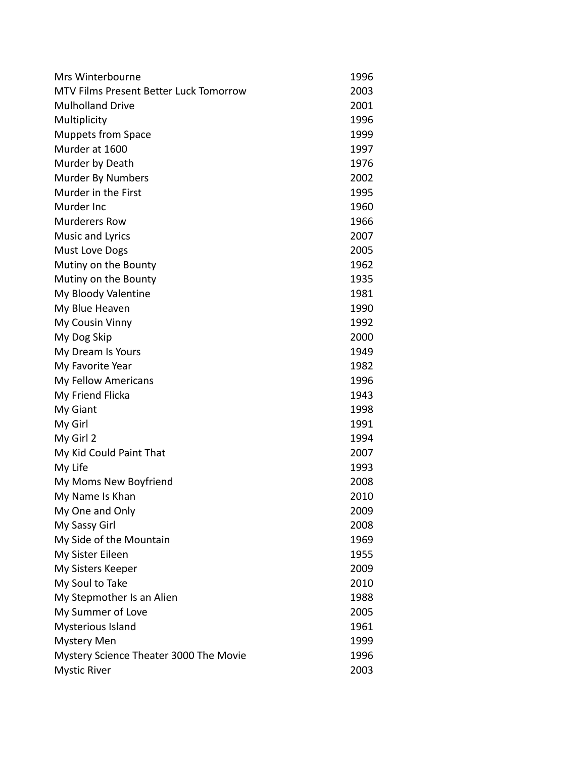| Mrs Winterbourne                       | 1996 |
|----------------------------------------|------|
| MTV Films Present Better Luck Tomorrow | 2003 |
| <b>Mulholland Drive</b>                | 2001 |
| Multiplicity                           | 1996 |
| <b>Muppets from Space</b>              | 1999 |
| Murder at 1600                         | 1997 |
| Murder by Death                        | 1976 |
| <b>Murder By Numbers</b>               | 2002 |
| Murder in the First                    | 1995 |
| Murder Inc                             | 1960 |
| <b>Murderers Row</b>                   | 1966 |
| Music and Lyrics                       | 2007 |
| <b>Must Love Dogs</b>                  | 2005 |
| Mutiny on the Bounty                   | 1962 |
| Mutiny on the Bounty                   | 1935 |
| My Bloody Valentine                    | 1981 |
| My Blue Heaven                         | 1990 |
| My Cousin Vinny                        | 1992 |
| My Dog Skip                            | 2000 |
| My Dream Is Yours                      | 1949 |
| My Favorite Year                       | 1982 |
| My Fellow Americans                    | 1996 |
| My Friend Flicka                       | 1943 |
| My Giant                               | 1998 |
| My Girl                                | 1991 |
| My Girl 2                              | 1994 |
| My Kid Could Paint That                | 2007 |
| My Life                                | 1993 |
| My Moms New Boyfriend                  | 2008 |
| My Name Is Khan                        | 2010 |
| My One and Only                        | 2009 |
| My Sassy Girl                          | 2008 |
| My Side of the Mountain                | 1969 |
| My Sister Eileen                       | 1955 |
| My Sisters Keeper                      | 2009 |
| My Soul to Take                        | 2010 |
| My Stepmother Is an Alien              | 1988 |
| My Summer of Love                      | 2005 |
| Mysterious Island                      | 1961 |
| <b>Mystery Men</b>                     | 1999 |
| Mystery Science Theater 3000 The Movie | 1996 |
| <b>Mystic River</b>                    | 2003 |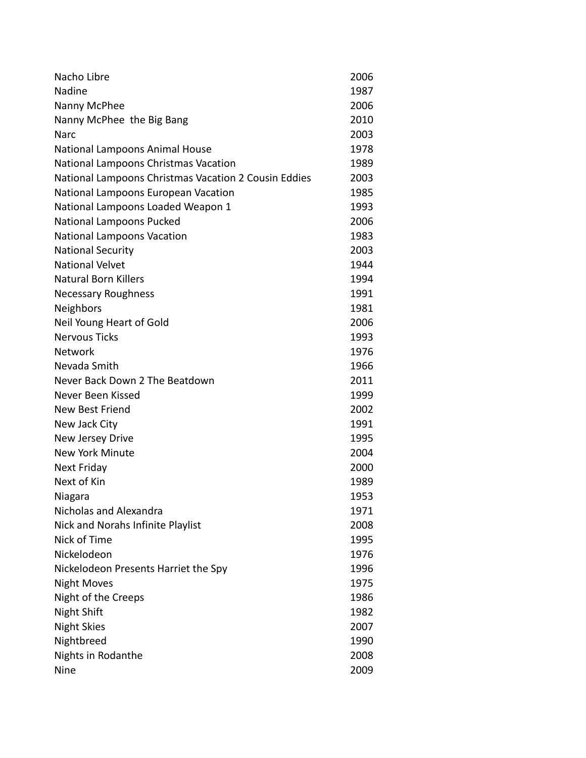| Nacho Libre                                          | 2006 |
|------------------------------------------------------|------|
| <b>Nadine</b>                                        | 1987 |
| Nanny McPhee                                         | 2006 |
| Nanny McPhee the Big Bang                            | 2010 |
| <b>Narc</b>                                          | 2003 |
| National Lampoons Animal House                       | 1978 |
| National Lampoons Christmas Vacation                 | 1989 |
| National Lampoons Christmas Vacation 2 Cousin Eddies | 2003 |
| National Lampoons European Vacation                  | 1985 |
| National Lampoons Loaded Weapon 1                    | 1993 |
| <b>National Lampoons Pucked</b>                      | 2006 |
| <b>National Lampoons Vacation</b>                    | 1983 |
| <b>National Security</b>                             | 2003 |
| <b>National Velvet</b>                               | 1944 |
| <b>Natural Born Killers</b>                          | 1994 |
| <b>Necessary Roughness</b>                           | 1991 |
| Neighbors                                            | 1981 |
| Neil Young Heart of Gold                             | 2006 |
| <b>Nervous Ticks</b>                                 | 1993 |
| <b>Network</b>                                       | 1976 |
| Nevada Smith                                         | 1966 |
| Never Back Down 2 The Beatdown                       | 2011 |
| Never Been Kissed                                    | 1999 |
| <b>New Best Friend</b>                               | 2002 |
| New Jack City                                        | 1991 |
| New Jersey Drive                                     | 1995 |
| <b>New York Minute</b>                               | 2004 |
| Next Friday                                          | 2000 |
| Next of Kin                                          | 1989 |
| Niagara                                              | 1953 |
| Nicholas and Alexandra                               | 1971 |
| Nick and Norahs Infinite Playlist                    | 2008 |
| Nick of Time                                         | 1995 |
| Nickelodeon                                          | 1976 |
| Nickelodeon Presents Harriet the Spy                 | 1996 |
| <b>Night Moves</b>                                   | 1975 |
| Night of the Creeps                                  | 1986 |
| Night Shift                                          | 1982 |
| <b>Night Skies</b>                                   | 2007 |
| Nightbreed                                           | 1990 |
| Nights in Rodanthe                                   | 2008 |
| Nine                                                 | 2009 |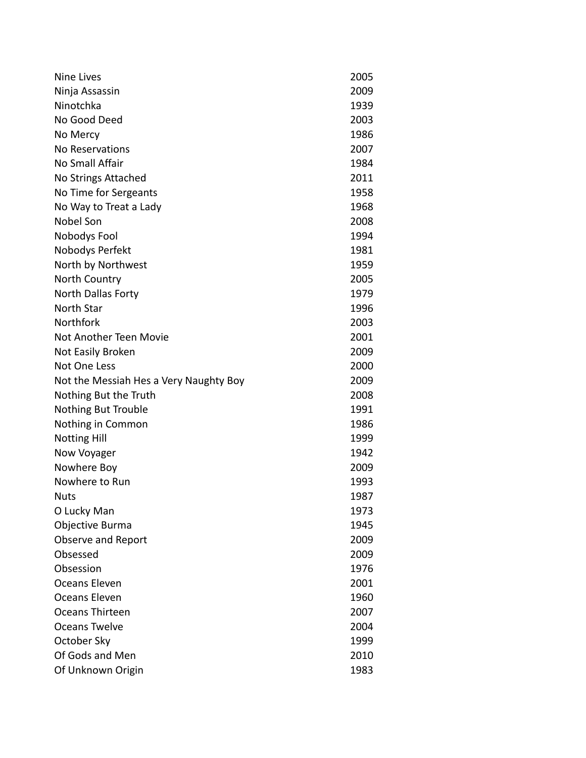| <b>Nine Lives</b>                      | 2005 |
|----------------------------------------|------|
| Ninja Assassin                         | 2009 |
| Ninotchka                              | 1939 |
| No Good Deed                           | 2003 |
| No Mercy                               | 1986 |
| No Reservations                        | 2007 |
| No Small Affair                        | 1984 |
| <b>No Strings Attached</b>             | 2011 |
| No Time for Sergeants                  | 1958 |
| No Way to Treat a Lady                 | 1968 |
| Nobel Son                              | 2008 |
| Nobodys Fool                           | 1994 |
| Nobodys Perfekt                        | 1981 |
| North by Northwest                     | 1959 |
| North Country                          | 2005 |
| North Dallas Forty                     | 1979 |
| North Star                             | 1996 |
| Northfork                              | 2003 |
| Not Another Teen Movie                 | 2001 |
| Not Easily Broken                      | 2009 |
| Not One Less                           | 2000 |
| Not the Messiah Hes a Very Naughty Boy | 2009 |
| Nothing But the Truth                  | 2008 |
| Nothing But Trouble                    | 1991 |
| Nothing in Common                      | 1986 |
| <b>Notting Hill</b>                    | 1999 |
| Now Voyager                            | 1942 |
| Nowhere Boy                            | 2009 |
| Nowhere to Run                         | 1993 |
| <b>Nuts</b>                            | 1987 |
| O Lucky Man                            | 1973 |
| Objective Burma                        | 1945 |
| Observe and Report                     | 2009 |
| Obsessed                               | 2009 |
| Obsession                              | 1976 |
| Oceans Eleven                          | 2001 |
| Oceans Eleven                          | 1960 |
| <b>Oceans Thirteen</b>                 | 2007 |
| <b>Oceans Twelve</b>                   | 2004 |
| October Sky                            | 1999 |
| Of Gods and Men                        | 2010 |
| Of Unknown Origin                      | 1983 |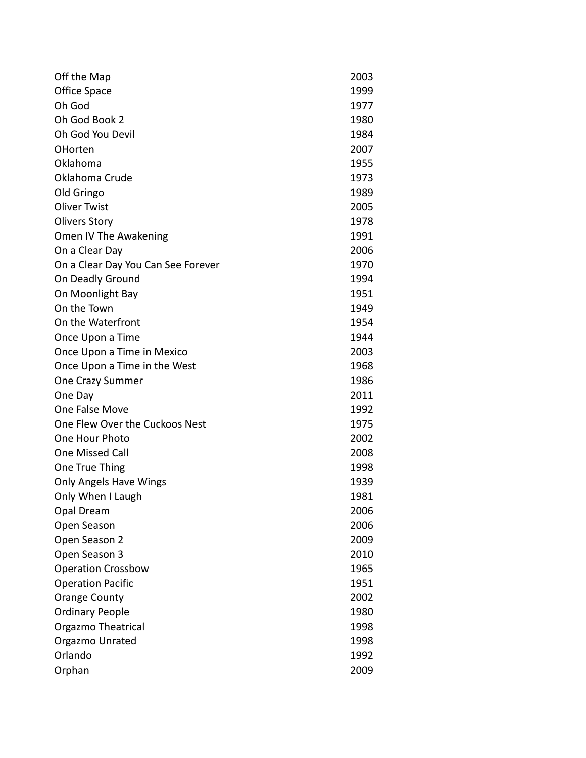| Off the Map                        | 2003 |
|------------------------------------|------|
| Office Space                       | 1999 |
| Oh God                             | 1977 |
| Oh God Book 2                      | 1980 |
| Oh God You Devil                   | 1984 |
| <b>OHorten</b>                     | 2007 |
| Oklahoma                           | 1955 |
| Oklahoma Crude                     | 1973 |
| Old Gringo                         | 1989 |
| <b>Oliver Twist</b>                | 2005 |
| <b>Olivers Story</b>               | 1978 |
| Omen IV The Awakening              | 1991 |
| On a Clear Day                     | 2006 |
| On a Clear Day You Can See Forever | 1970 |
| On Deadly Ground                   | 1994 |
| On Moonlight Bay                   | 1951 |
| On the Town                        | 1949 |
| On the Waterfront                  | 1954 |
| Once Upon a Time                   | 1944 |
| Once Upon a Time in Mexico         | 2003 |
| Once Upon a Time in the West       | 1968 |
| One Crazy Summer                   | 1986 |
| One Day                            | 2011 |
| One False Move                     | 1992 |
| One Flew Over the Cuckoos Nest     | 1975 |
| One Hour Photo                     | 2002 |
| One Missed Call                    | 2008 |
| One True Thing                     | 1998 |
| <b>Only Angels Have Wings</b>      | 1939 |
| Only When I Laugh                  | 1981 |
| Opal Dream                         | 2006 |
| Open Season                        | 2006 |
| Open Season 2                      | 2009 |
| Open Season 3                      | 2010 |
| <b>Operation Crossbow</b>          | 1965 |
| <b>Operation Pacific</b>           | 1951 |
| <b>Orange County</b>               | 2002 |
| <b>Ordinary People</b>             | 1980 |
| Orgazmo Theatrical                 | 1998 |
| Orgazmo Unrated                    | 1998 |
| Orlando                            | 1992 |
| Orphan                             | 2009 |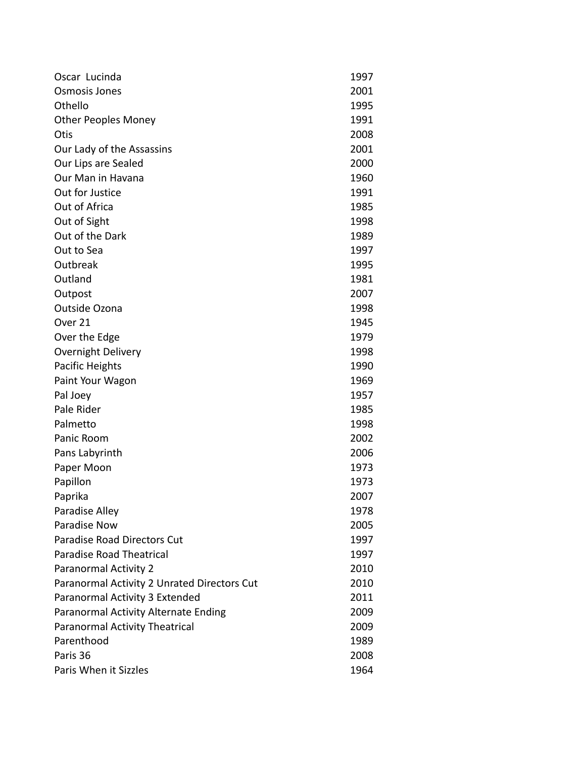| Oscar Lucinda                               | 1997 |
|---------------------------------------------|------|
| <b>Osmosis Jones</b>                        | 2001 |
| Othello                                     | 1995 |
| <b>Other Peoples Money</b>                  | 1991 |
| Otis                                        | 2008 |
| Our Lady of the Assassins                   | 2001 |
| Our Lips are Sealed                         | 2000 |
| Our Man in Havana                           | 1960 |
| Out for Justice                             | 1991 |
| Out of Africa                               | 1985 |
| Out of Sight                                | 1998 |
| Out of the Dark                             | 1989 |
| Out to Sea                                  | 1997 |
| Outbreak                                    | 1995 |
| Outland                                     | 1981 |
| Outpost                                     | 2007 |
| Outside Ozona                               | 1998 |
| Over 21                                     | 1945 |
| Over the Edge                               | 1979 |
| Overnight Delivery                          | 1998 |
| Pacific Heights                             | 1990 |
| Paint Your Wagon                            | 1969 |
| Pal Joey                                    | 1957 |
| Pale Rider                                  | 1985 |
| Palmetto                                    | 1998 |
| Panic Room                                  | 2002 |
| Pans Labyrinth                              | 2006 |
| Paper Moon                                  | 1973 |
| Papillon                                    | 1973 |
| Paprika                                     | 2007 |
| Paradise Alley                              | 1978 |
| Paradise Now                                | 2005 |
| Paradise Road Directors Cut                 | 1997 |
| <b>Paradise Road Theatrical</b>             | 1997 |
| Paranormal Activity 2                       | 2010 |
| Paranormal Activity 2 Unrated Directors Cut | 2010 |
| Paranormal Activity 3 Extended              | 2011 |
| Paranormal Activity Alternate Ending        | 2009 |
| Paranormal Activity Theatrical              | 2009 |
| Parenthood                                  | 1989 |
| Paris 36                                    | 2008 |
| Paris When it Sizzles                       | 1964 |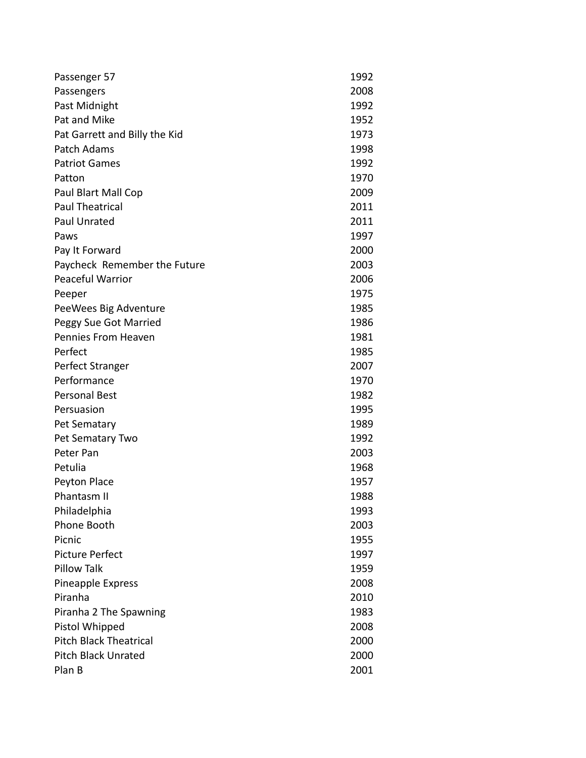| Passenger 57                  | 1992 |
|-------------------------------|------|
| Passengers                    | 2008 |
| Past Midnight                 | 1992 |
| Pat and Mike                  | 1952 |
| Pat Garrett and Billy the Kid | 1973 |
| Patch Adams                   | 1998 |
| <b>Patriot Games</b>          | 1992 |
| Patton                        | 1970 |
| Paul Blart Mall Cop           | 2009 |
| <b>Paul Theatrical</b>        | 2011 |
| <b>Paul Unrated</b>           | 2011 |
| Paws                          | 1997 |
| Pay It Forward                | 2000 |
| Paycheck Remember the Future  | 2003 |
| <b>Peaceful Warrior</b>       | 2006 |
| Peeper                        | 1975 |
| PeeWees Big Adventure         | 1985 |
| Peggy Sue Got Married         | 1986 |
| Pennies From Heaven           | 1981 |
| Perfect                       | 1985 |
| Perfect Stranger              | 2007 |
| Performance                   | 1970 |
| <b>Personal Best</b>          | 1982 |
| Persuasion                    | 1995 |
| Pet Sematary                  | 1989 |
| Pet Sematary Two              | 1992 |
| Peter Pan                     | 2003 |
| Petulia                       | 1968 |
| Peyton Place                  | 1957 |
| Phantasm II                   | 1988 |
| Philadelphia                  | 1993 |
| Phone Booth                   | 2003 |
| Picnic                        | 1955 |
| <b>Picture Perfect</b>        | 1997 |
| <b>Pillow Talk</b>            | 1959 |
| Pineapple Express             | 2008 |
| Piranha                       | 2010 |
| Piranha 2 The Spawning        | 1983 |
| Pistol Whipped                | 2008 |
| <b>Pitch Black Theatrical</b> | 2000 |
| Pitch Black Unrated           | 2000 |
| Plan B                        | 2001 |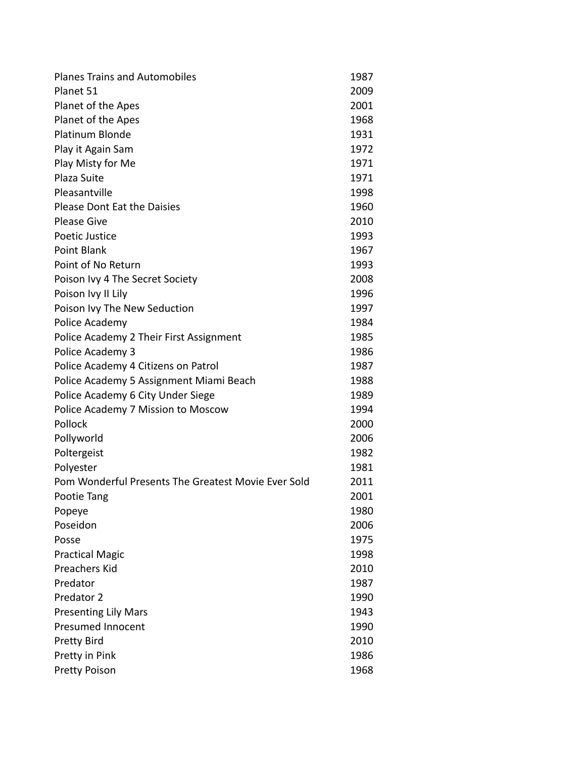| <b>Planes Trains and Automobiles</b>                | 1987 |
|-----------------------------------------------------|------|
| Planet 51                                           | 2009 |
| Planet of the Apes                                  | 2001 |
| Planet of the Apes                                  | 1968 |
| Platinum Blonde                                     | 1931 |
| Play it Again Sam                                   | 1972 |
| Play Misty for Me                                   | 1971 |
| Plaza Suite                                         | 1971 |
| Pleasantville                                       | 1998 |
| Please Dont Eat the Daisies                         | 1960 |
| <b>Please Give</b>                                  | 2010 |
| Poetic Justice                                      | 1993 |
| Point Blank                                         | 1967 |
| Point of No Return                                  | 1993 |
| Poison Ivy 4 The Secret Society                     | 2008 |
| Poison Ivy II Lily                                  | 1996 |
| Poison Ivy The New Seduction                        | 1997 |
| Police Academy                                      | 1984 |
| Police Academy 2 Their First Assignment             | 1985 |
| Police Academy 3                                    | 1986 |
| Police Academy 4 Citizens on Patrol                 | 1987 |
| Police Academy 5 Assignment Miami Beach             | 1988 |
| Police Academy 6 City Under Siege                   | 1989 |
| Police Academy 7 Mission to Moscow                  | 1994 |
| Pollock                                             | 2000 |
| Pollyworld                                          | 2006 |
| Poltergeist                                         | 1982 |
| Polyester                                           | 1981 |
| Pom Wonderful Presents The Greatest Movie Ever Sold | 2011 |
| Pootie Tang                                         | 2001 |
| Popeye                                              | 1980 |
| Poseidon                                            | 2006 |
| Posse                                               | 1975 |
| <b>Practical Magic</b>                              | 1998 |
| Preachers Kid                                       | 2010 |
| Predator                                            | 1987 |
| Predator 2                                          | 1990 |
| <b>Presenting Lily Mars</b>                         | 1943 |
| <b>Presumed Innocent</b>                            | 1990 |
| <b>Pretty Bird</b>                                  | 2010 |
| Pretty in Pink                                      | 1986 |
| <b>Pretty Poison</b>                                | 1968 |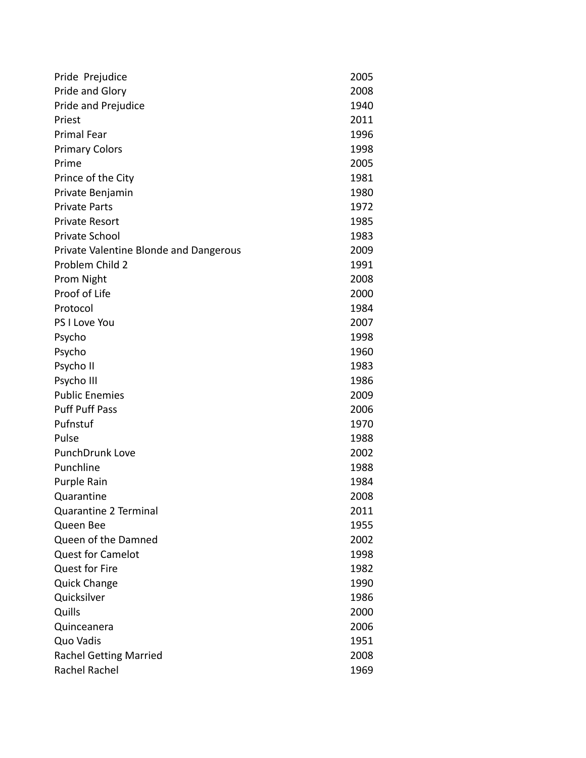| Pride Prejudice                        | 2005 |
|----------------------------------------|------|
| Pride and Glory                        | 2008 |
| Pride and Prejudice                    | 1940 |
| Priest                                 | 2011 |
| <b>Primal Fear</b>                     | 1996 |
| <b>Primary Colors</b>                  | 1998 |
| Prime                                  | 2005 |
| Prince of the City                     | 1981 |
| Private Benjamin                       | 1980 |
| <b>Private Parts</b>                   | 1972 |
| <b>Private Resort</b>                  | 1985 |
| <b>Private School</b>                  | 1983 |
| Private Valentine Blonde and Dangerous | 2009 |
| Problem Child 2                        | 1991 |
| <b>Prom Night</b>                      | 2008 |
| Proof of Life                          | 2000 |
| Protocol                               | 1984 |
| PS I Love You                          | 2007 |
| Psycho                                 | 1998 |
| Psycho                                 | 1960 |
| Psycho II                              | 1983 |
| Psycho III                             | 1986 |
| <b>Public Enemies</b>                  | 2009 |
| <b>Puff Puff Pass</b>                  | 2006 |
| Pufnstuf                               | 1970 |
| Pulse                                  | 1988 |
| <b>PunchDrunk Love</b>                 | 2002 |
| Punchline                              | 1988 |
| Purple Rain                            | 1984 |
| Quarantine                             | 2008 |
| <b>Quarantine 2 Terminal</b>           | 2011 |
| Queen Bee                              | 1955 |
| Queen of the Damned                    | 2002 |
| <b>Quest for Camelot</b>               | 1998 |
| <b>Quest for Fire</b>                  | 1982 |
| <b>Quick Change</b>                    | 1990 |
| Quicksilver                            | 1986 |
| Quills                                 | 2000 |
| Quinceanera                            | 2006 |
| Quo Vadis                              | 1951 |
| <b>Rachel Getting Married</b>          | 2008 |
| Rachel Rachel                          | 1969 |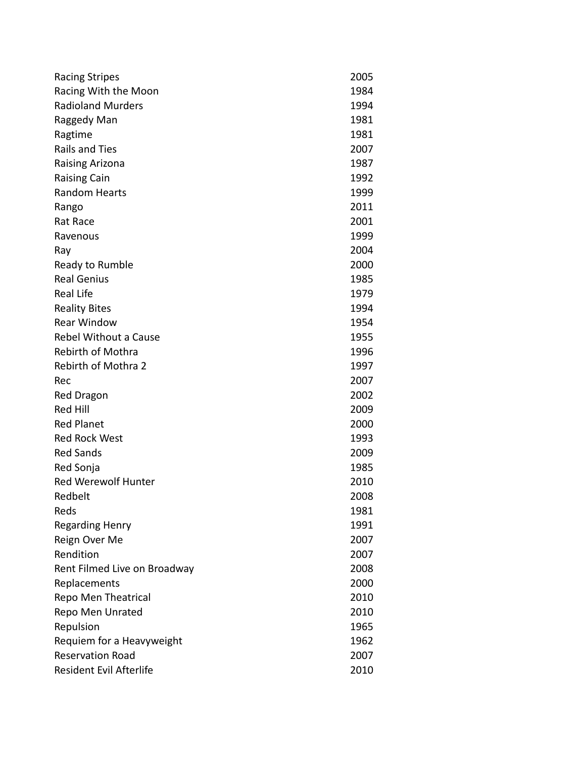| <b>Racing Stripes</b>        | 2005 |
|------------------------------|------|
| Racing With the Moon         | 1984 |
| <b>Radioland Murders</b>     | 1994 |
| Raggedy Man                  | 1981 |
| Ragtime                      | 1981 |
| <b>Rails and Ties</b>        | 2007 |
| Raising Arizona              | 1987 |
| <b>Raising Cain</b>          | 1992 |
| <b>Random Hearts</b>         | 1999 |
| Rango                        | 2011 |
| Rat Race                     | 2001 |
| Ravenous                     | 1999 |
| Ray                          | 2004 |
| Ready to Rumble              | 2000 |
| <b>Real Genius</b>           | 1985 |
| <b>Real Life</b>             | 1979 |
| <b>Reality Bites</b>         | 1994 |
| <b>Rear Window</b>           | 1954 |
| <b>Rebel Without a Cause</b> | 1955 |
| Rebirth of Mothra            | 1996 |
| Rebirth of Mothra 2          | 1997 |
| Rec                          | 2007 |
| Red Dragon                   | 2002 |
| <b>Red Hill</b>              | 2009 |
| <b>Red Planet</b>            | 2000 |
| <b>Red Rock West</b>         | 1993 |
| <b>Red Sands</b>             | 2009 |
| Red Sonja                    | 1985 |
| <b>Red Werewolf Hunter</b>   | 2010 |
| Redbelt                      | 2008 |
| Reds                         | 1981 |
| <b>Regarding Henry</b>       | 1991 |
| Reign Over Me                | 2007 |
| Rendition                    | 2007 |
| Rent Filmed Live on Broadway | 2008 |
| Replacements                 | 2000 |
| Repo Men Theatrical          | 2010 |
| Repo Men Unrated             | 2010 |
| Repulsion                    | 1965 |
| Requiem for a Heavyweight    | 1962 |
| <b>Reservation Road</b>      | 2007 |
| Resident Evil Afterlife      | 2010 |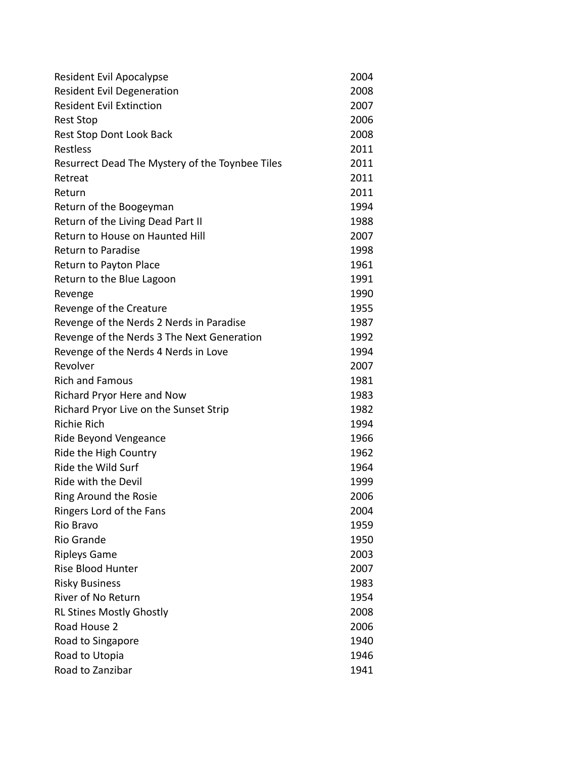| <b>Resident Evil Apocalypse</b>                 | 2004 |
|-------------------------------------------------|------|
| <b>Resident Evil Degeneration</b>               | 2008 |
| <b>Resident Evil Extinction</b>                 | 2007 |
| <b>Rest Stop</b>                                | 2006 |
| Rest Stop Dont Look Back                        | 2008 |
| Restless                                        | 2011 |
| Resurrect Dead The Mystery of the Toynbee Tiles | 2011 |
| Retreat                                         | 2011 |
| Return                                          | 2011 |
| Return of the Boogeyman                         | 1994 |
| Return of the Living Dead Part II               | 1988 |
| Return to House on Haunted Hill                 | 2007 |
| <b>Return to Paradise</b>                       | 1998 |
| Return to Payton Place                          | 1961 |
| Return to the Blue Lagoon                       | 1991 |
| Revenge                                         | 1990 |
| Revenge of the Creature                         | 1955 |
| Revenge of the Nerds 2 Nerds in Paradise        | 1987 |
| Revenge of the Nerds 3 The Next Generation      | 1992 |
| Revenge of the Nerds 4 Nerds in Love            | 1994 |
| Revolver                                        | 2007 |
| <b>Rich and Famous</b>                          | 1981 |
| Richard Pryor Here and Now                      | 1983 |
| Richard Pryor Live on the Sunset Strip          | 1982 |
| <b>Richie Rich</b>                              | 1994 |
| Ride Beyond Vengeance                           | 1966 |
| Ride the High Country                           | 1962 |
| Ride the Wild Surf                              | 1964 |
| Ride with the Devil                             | 1999 |
| Ring Around the Rosie                           | 2006 |
| Ringers Lord of the Fans                        | 2004 |
| Rio Bravo                                       | 1959 |
| <b>Rio Grande</b>                               | 1950 |
| <b>Ripleys Game</b>                             | 2003 |
| Rise Blood Hunter                               | 2007 |
| <b>Risky Business</b>                           | 1983 |
| River of No Return                              | 1954 |
| <b>RL Stines Mostly Ghostly</b>                 | 2008 |
| Road House 2                                    | 2006 |
| Road to Singapore                               | 1940 |
| Road to Utopia                                  | 1946 |
| Road to Zanzibar                                | 1941 |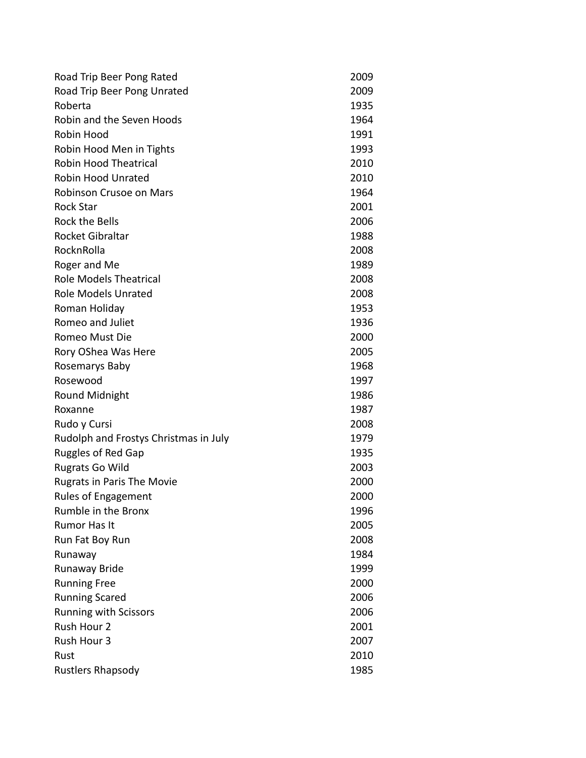| Road Trip Beer Pong Rated             | 2009 |
|---------------------------------------|------|
| Road Trip Beer Pong Unrated           | 2009 |
| Roberta                               | 1935 |
| Robin and the Seven Hoods             | 1964 |
| Robin Hood                            | 1991 |
| Robin Hood Men in Tights              | 1993 |
| <b>Robin Hood Theatrical</b>          | 2010 |
| <b>Robin Hood Unrated</b>             | 2010 |
| Robinson Crusoe on Mars               | 1964 |
| <b>Rock Star</b>                      | 2001 |
| Rock the Bells                        | 2006 |
| Rocket Gibraltar                      | 1988 |
| RocknRolla                            | 2008 |
| Roger and Me                          | 1989 |
| <b>Role Models Theatrical</b>         | 2008 |
| <b>Role Models Unrated</b>            | 2008 |
| Roman Holiday                         | 1953 |
| Romeo and Juliet                      | 1936 |
| <b>Romeo Must Die</b>                 | 2000 |
| Rory OShea Was Here                   | 2005 |
| Rosemarys Baby                        | 1968 |
| Rosewood                              | 1997 |
| Round Midnight                        | 1986 |
| Roxanne                               | 1987 |
| Rudo y Cursi                          | 2008 |
| Rudolph and Frostys Christmas in July | 1979 |
| <b>Ruggles of Red Gap</b>             | 1935 |
| Rugrats Go Wild                       | 2003 |
| Rugrats in Paris The Movie            | 2000 |
| Rules of Engagement                   | 2000 |
| Rumble in the Bronx                   | 1996 |
| Rumor Has It                          | 2005 |
| Run Fat Boy Run                       | 2008 |
| Runaway                               | 1984 |
| Runaway Bride                         | 1999 |
| <b>Running Free</b>                   | 2000 |
| <b>Running Scared</b>                 | 2006 |
| <b>Running with Scissors</b>          | 2006 |
| Rush Hour 2                           | 2001 |
| Rush Hour 3                           | 2007 |
| Rust                                  | 2010 |
| <b>Rustlers Rhapsody</b>              | 1985 |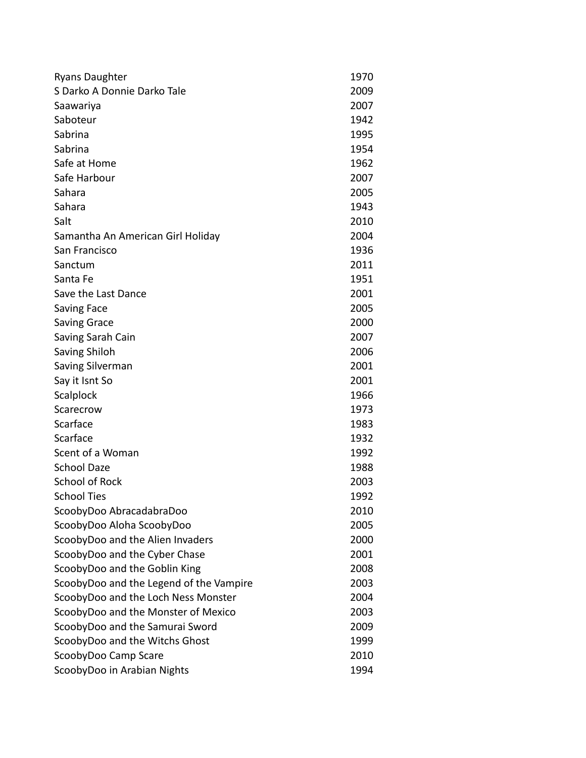| <b>Ryans Daughter</b>                   | 1970 |
|-----------------------------------------|------|
| S Darko A Donnie Darko Tale             | 2009 |
| Saawariya                               | 2007 |
| Saboteur                                | 1942 |
| Sabrina                                 | 1995 |
| Sabrina                                 | 1954 |
| Safe at Home                            | 1962 |
| Safe Harbour                            | 2007 |
| Sahara                                  | 2005 |
| Sahara                                  | 1943 |
| Salt                                    | 2010 |
| Samantha An American Girl Holiday       | 2004 |
| San Francisco                           | 1936 |
| Sanctum                                 | 2011 |
| Santa Fe                                | 1951 |
| Save the Last Dance                     | 2001 |
| Saving Face                             | 2005 |
| Saving Grace                            | 2000 |
| Saving Sarah Cain                       | 2007 |
| Saving Shiloh                           | 2006 |
| Saving Silverman                        | 2001 |
| Say it Isnt So                          | 2001 |
| Scalplock                               | 1966 |
| Scarecrow                               | 1973 |
| Scarface                                | 1983 |
| Scarface                                | 1932 |
| Scent of a Woman                        | 1992 |
| <b>School Daze</b>                      | 1988 |
| <b>School of Rock</b>                   | 2003 |
| School Ties                             | 1992 |
| ScoobyDoo AbracadabraDoo                | 2010 |
| ScoobyDoo Aloha ScoobyDoo               | 2005 |
| ScoobyDoo and the Alien Invaders        | 2000 |
| ScoobyDoo and the Cyber Chase           | 2001 |
| ScoobyDoo and the Goblin King           | 2008 |
| ScoobyDoo and the Legend of the Vampire | 2003 |
| ScoobyDoo and the Loch Ness Monster     | 2004 |
| ScoobyDoo and the Monster of Mexico     | 2003 |
| ScoobyDoo and the Samurai Sword         | 2009 |
| ScoobyDoo and the Witchs Ghost          | 1999 |
| ScoobyDoo Camp Scare                    | 2010 |
| ScoobyDoo in Arabian Nights             | 1994 |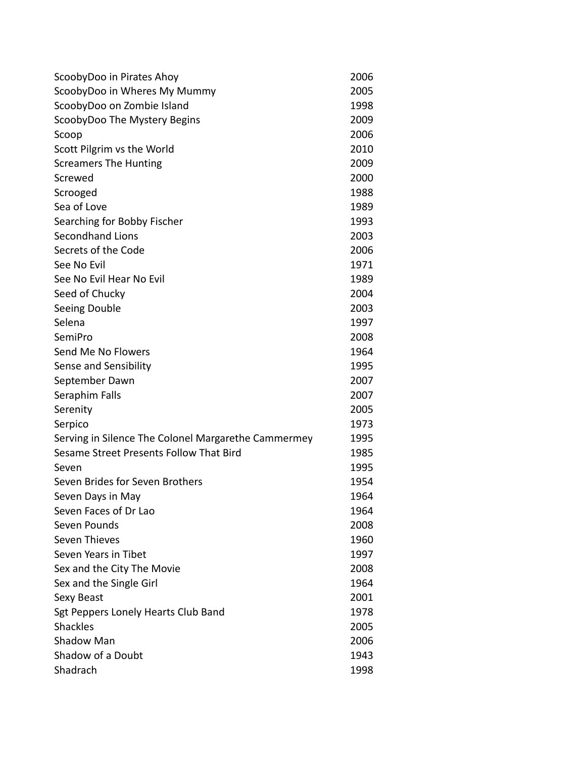| ScoobyDoo in Pirates Ahoy                           | 2006 |
|-----------------------------------------------------|------|
| ScoobyDoo in Wheres My Mummy                        | 2005 |
| ScoobyDoo on Zombie Island                          | 1998 |
| ScoobyDoo The Mystery Begins                        | 2009 |
| Scoop                                               | 2006 |
| Scott Pilgrim vs the World                          | 2010 |
| <b>Screamers The Hunting</b>                        | 2009 |
| Screwed                                             | 2000 |
| Scrooged                                            | 1988 |
| Sea of Love                                         | 1989 |
| Searching for Bobby Fischer                         | 1993 |
| <b>Secondhand Lions</b>                             | 2003 |
| Secrets of the Code                                 | 2006 |
| See No Evil                                         | 1971 |
| See No Evil Hear No Evil                            | 1989 |
| Seed of Chucky                                      | 2004 |
| Seeing Double                                       | 2003 |
| Selena                                              | 1997 |
| SemiPro                                             | 2008 |
| Send Me No Flowers                                  | 1964 |
| Sense and Sensibility                               | 1995 |
| September Dawn                                      | 2007 |
| Seraphim Falls                                      | 2007 |
| Serenity                                            | 2005 |
| Serpico                                             | 1973 |
| Serving in Silence The Colonel Margarethe Cammermey | 1995 |
| Sesame Street Presents Follow That Bird             | 1985 |
| Seven                                               | 1995 |
| Seven Brides for Seven Brothers                     | 1954 |
| Seven Days in May                                   | 1964 |
| Seven Faces of Dr Lao                               | 1964 |
| Seven Pounds                                        | 2008 |
| Seven Thieves                                       | 1960 |
| Seven Years in Tibet                                | 1997 |
| Sex and the City The Movie                          | 2008 |
| Sex and the Single Girl                             | 1964 |
| Sexy Beast                                          | 2001 |
| Sgt Peppers Lonely Hearts Club Band                 | 1978 |
| <b>Shackles</b>                                     | 2005 |
| Shadow Man                                          | 2006 |
| Shadow of a Doubt                                   | 1943 |
| Shadrach                                            | 1998 |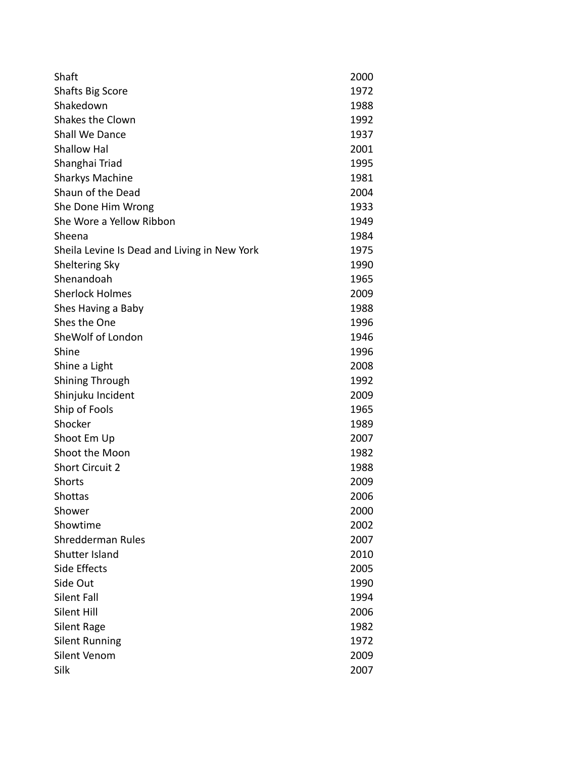| Shaft                                        | 2000 |
|----------------------------------------------|------|
| <b>Shafts Big Score</b>                      | 1972 |
| Shakedown                                    | 1988 |
| <b>Shakes the Clown</b>                      | 1992 |
| Shall We Dance                               | 1937 |
| <b>Shallow Hal</b>                           | 2001 |
| Shanghai Triad                               | 1995 |
| <b>Sharkys Machine</b>                       | 1981 |
| Shaun of the Dead                            | 2004 |
| She Done Him Wrong                           | 1933 |
| She Wore a Yellow Ribbon                     | 1949 |
| Sheena                                       | 1984 |
| Sheila Levine Is Dead and Living in New York | 1975 |
| <b>Sheltering Sky</b>                        | 1990 |
| Shenandoah                                   | 1965 |
| <b>Sherlock Holmes</b>                       | 2009 |
| Shes Having a Baby                           | 1988 |
| Shes the One                                 | 1996 |
| SheWolf of London                            | 1946 |
| Shine                                        | 1996 |
| Shine a Light                                | 2008 |
| <b>Shining Through</b>                       | 1992 |
| Shinjuku Incident                            | 2009 |
| Ship of Fools                                | 1965 |
| Shocker                                      | 1989 |
| Shoot Em Up                                  | 2007 |
| Shoot the Moon                               | 1982 |
| <b>Short Circuit 2</b>                       | 1988 |
| <b>Shorts</b>                                | 2009 |
| Shottas                                      | 2006 |
| Shower                                       | 2000 |
| Showtime                                     | 2002 |
| Shredderman Rules                            | 2007 |
| Shutter Island                               | 2010 |
| Side Effects                                 | 2005 |
| Side Out                                     | 1990 |
| Silent Fall                                  | 1994 |
| Silent Hill                                  | 2006 |
| <b>Silent Rage</b>                           | 1982 |
| <b>Silent Running</b>                        | 1972 |
| Silent Venom                                 | 2009 |
| Silk                                         | 2007 |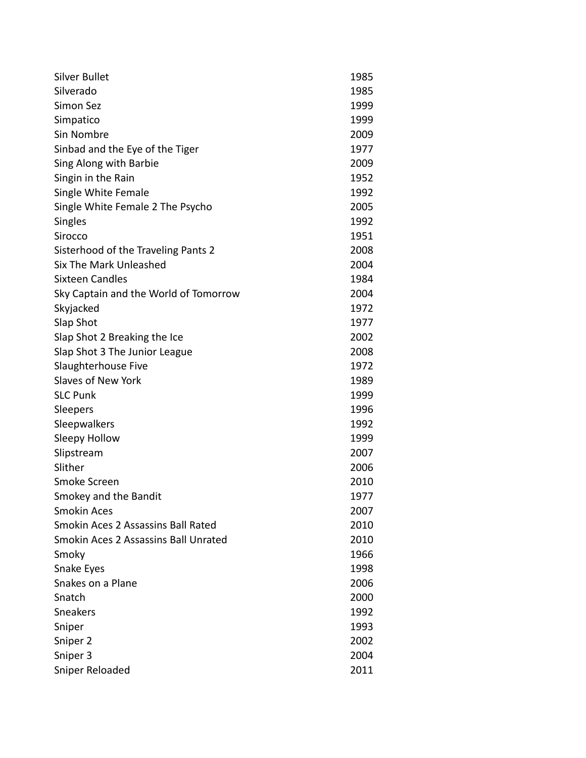| <b>Silver Bullet</b>                  | 1985 |
|---------------------------------------|------|
| Silverado                             | 1985 |
| Simon Sez                             | 1999 |
| Simpatico                             | 1999 |
| Sin Nombre                            | 2009 |
| Sinbad and the Eye of the Tiger       | 1977 |
| Sing Along with Barbie                | 2009 |
| Singin in the Rain                    | 1952 |
| Single White Female                   | 1992 |
| Single White Female 2 The Psycho      | 2005 |
| Singles                               | 1992 |
| Sirocco                               | 1951 |
| Sisterhood of the Traveling Pants 2   | 2008 |
| Six The Mark Unleashed                | 2004 |
| <b>Sixteen Candles</b>                | 1984 |
| Sky Captain and the World of Tomorrow | 2004 |
| Skyjacked                             | 1972 |
| Slap Shot                             | 1977 |
| Slap Shot 2 Breaking the Ice          | 2002 |
| Slap Shot 3 The Junior League         | 2008 |
| Slaughterhouse Five                   | 1972 |
| <b>Slaves of New York</b>             | 1989 |
| <b>SLC Punk</b>                       | 1999 |
| Sleepers                              | 1996 |
| Sleepwalkers                          | 1992 |
| Sleepy Hollow                         | 1999 |
| Slipstream                            | 2007 |
| Slither                               | 2006 |
| Smoke Screen                          | 2010 |
| Smokey and the Bandit                 | 1977 |
| <b>Smokin Aces</b>                    | 2007 |
| Smokin Aces 2 Assassins Ball Rated    | 2010 |
| Smokin Aces 2 Assassins Ball Unrated  | 2010 |
| Smoky                                 | 1966 |
| Snake Eyes                            | 1998 |
| Snakes on a Plane                     | 2006 |
| Snatch                                | 2000 |
| <b>Sneakers</b>                       | 1992 |
| Sniper                                | 1993 |
| Sniper 2                              | 2002 |
| Sniper 3                              | 2004 |
| Sniper Reloaded                       | 2011 |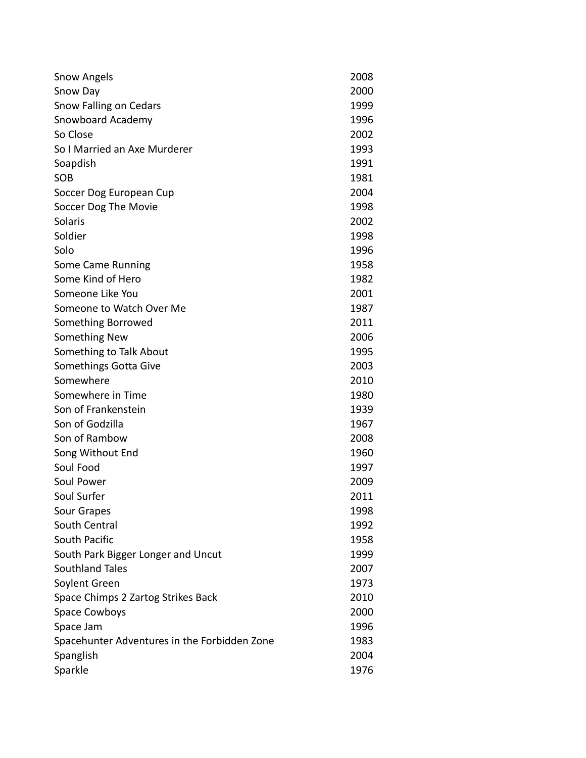| Snow Angels                                  | 2008 |
|----------------------------------------------|------|
| Snow Day                                     | 2000 |
| Snow Falling on Cedars                       | 1999 |
| Snowboard Academy                            | 1996 |
| So Close                                     | 2002 |
| So I Married an Axe Murderer                 | 1993 |
| Soapdish                                     | 1991 |
| <b>SOB</b>                                   | 1981 |
| Soccer Dog European Cup                      | 2004 |
| Soccer Dog The Movie                         | 1998 |
| Solaris                                      | 2002 |
| Soldier                                      | 1998 |
| Solo                                         | 1996 |
| Some Came Running                            | 1958 |
| Some Kind of Hero                            | 1982 |
| Someone Like You                             | 2001 |
| Someone to Watch Over Me                     | 1987 |
| Something Borrowed                           | 2011 |
| <b>Something New</b>                         | 2006 |
| Something to Talk About                      | 1995 |
| Somethings Gotta Give                        | 2003 |
| Somewhere                                    | 2010 |
| Somewhere in Time                            | 1980 |
| Son of Frankenstein                          | 1939 |
| Son of Godzilla                              | 1967 |
| Son of Rambow                                | 2008 |
| Song Without End                             | 1960 |
| Soul Food                                    | 1997 |
| Soul Power                                   | 2009 |
| Soul Surfer                                  | 2011 |
| Sour Grapes                                  | 1998 |
| South Central                                | 1992 |
| <b>South Pacific</b>                         | 1958 |
| South Park Bigger Longer and Uncut           | 1999 |
| <b>Southland Tales</b>                       | 2007 |
| Soylent Green                                | 1973 |
| Space Chimps 2 Zartog Strikes Back           | 2010 |
| <b>Space Cowboys</b>                         | 2000 |
| Space Jam                                    | 1996 |
| Spacehunter Adventures in the Forbidden Zone | 1983 |
| Spanglish                                    | 2004 |
| Sparkle                                      | 1976 |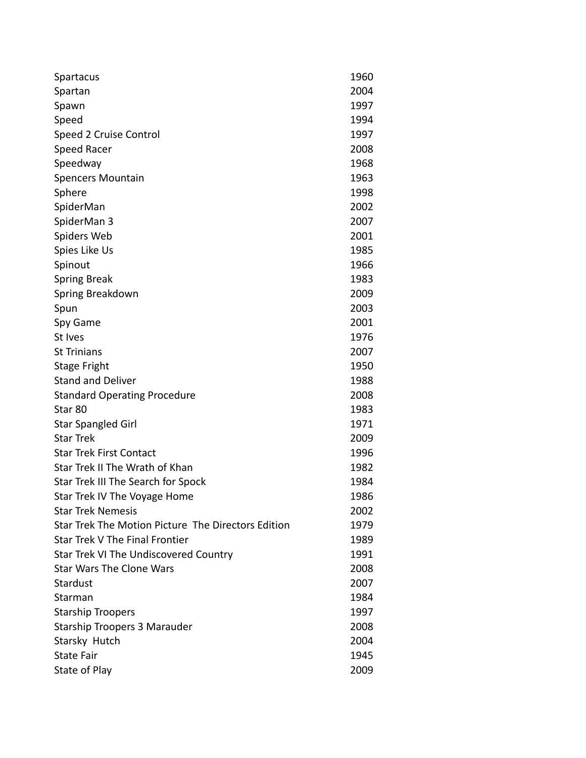| Spartacus                                          | 1960 |
|----------------------------------------------------|------|
| Spartan                                            | 2004 |
| Spawn                                              | 1997 |
| Speed                                              | 1994 |
| Speed 2 Cruise Control                             | 1997 |
| Speed Racer                                        | 2008 |
| Speedway                                           | 1968 |
| <b>Spencers Mountain</b>                           | 1963 |
| Sphere                                             | 1998 |
| SpiderMan                                          | 2002 |
| SpiderMan 3                                        | 2007 |
| Spiders Web                                        | 2001 |
| Spies Like Us                                      | 1985 |
| Spinout                                            | 1966 |
| <b>Spring Break</b>                                | 1983 |
| Spring Breakdown                                   | 2009 |
| Spun                                               | 2003 |
| Spy Game                                           | 2001 |
| St Ives                                            | 1976 |
| <b>St Trinians</b>                                 | 2007 |
| <b>Stage Fright</b>                                | 1950 |
| <b>Stand and Deliver</b>                           | 1988 |
| <b>Standard Operating Procedure</b>                | 2008 |
| Star 80                                            | 1983 |
| <b>Star Spangled Girl</b>                          | 1971 |
| <b>Star Trek</b>                                   | 2009 |
| <b>Star Trek First Contact</b>                     | 1996 |
| Star Trek II The Wrath of Khan                     | 1982 |
| Star Trek III The Search for Spock                 | 1984 |
| Star Trek IV The Voyage Home                       | 1986 |
| <b>Star Trek Nemesis</b>                           | 2002 |
| Star Trek The Motion Picture The Directors Edition | 1979 |
| <b>Star Trek V The Final Frontier</b>              | 1989 |
| Star Trek VI The Undiscovered Country              | 1991 |
| <b>Star Wars The Clone Wars</b>                    | 2008 |
| <b>Stardust</b>                                    | 2007 |
| Starman                                            | 1984 |
| <b>Starship Troopers</b>                           | 1997 |
| <b>Starship Troopers 3 Marauder</b>                | 2008 |
| Starsky Hutch                                      | 2004 |
| <b>State Fair</b>                                  | 1945 |
| State of Play                                      | 2009 |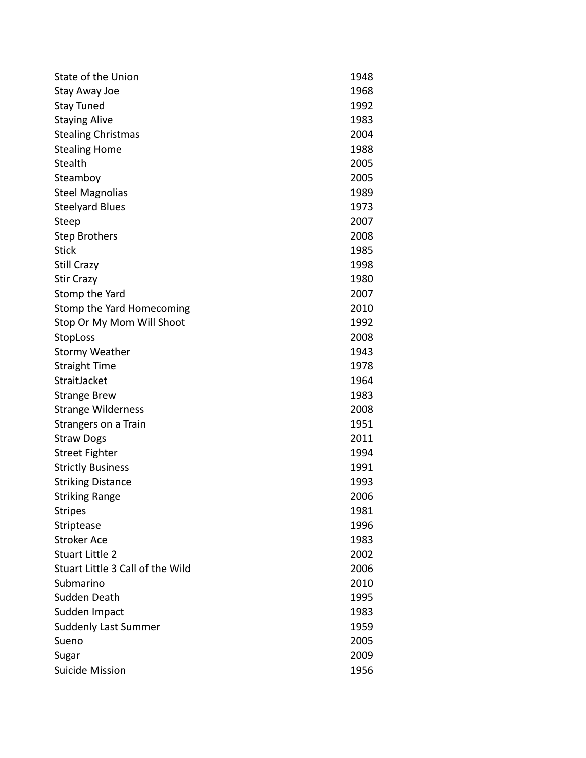| <b>State of the Union</b>        | 1948 |
|----------------------------------|------|
| Stay Away Joe                    | 1968 |
| <b>Stay Tuned</b>                | 1992 |
| <b>Staying Alive</b>             | 1983 |
| <b>Stealing Christmas</b>        | 2004 |
| <b>Stealing Home</b>             | 1988 |
| Stealth                          | 2005 |
| Steamboy                         | 2005 |
| <b>Steel Magnolias</b>           | 1989 |
| <b>Steelyard Blues</b>           | 1973 |
| Steep                            | 2007 |
| <b>Step Brothers</b>             | 2008 |
| <b>Stick</b>                     | 1985 |
| <b>Still Crazy</b>               | 1998 |
| <b>Stir Crazy</b>                | 1980 |
| Stomp the Yard                   | 2007 |
| Stomp the Yard Homecoming        | 2010 |
| Stop Or My Mom Will Shoot        | 1992 |
| StopLoss                         | 2008 |
| <b>Stormy Weather</b>            | 1943 |
| <b>Straight Time</b>             | 1978 |
| StraitJacket                     | 1964 |
| <b>Strange Brew</b>              | 1983 |
| <b>Strange Wilderness</b>        | 2008 |
| Strangers on a Train             | 1951 |
| <b>Straw Dogs</b>                | 2011 |
| <b>Street Fighter</b>            | 1994 |
| <b>Strictly Business</b>         | 1991 |
| <b>Striking Distance</b>         | 1993 |
| <b>Striking Range</b>            | 2006 |
| <b>Stripes</b>                   | 1981 |
| Striptease                       | 1996 |
| <b>Stroker Ace</b>               | 1983 |
| <b>Stuart Little 2</b>           | 2002 |
| Stuart Little 3 Call of the Wild | 2006 |
| Submarino                        | 2010 |
| Sudden Death                     | 1995 |
| Sudden Impact                    | 1983 |
| <b>Suddenly Last Summer</b>      | 1959 |
| Sueno                            | 2005 |
| Sugar                            | 2009 |
| <b>Suicide Mission</b>           | 1956 |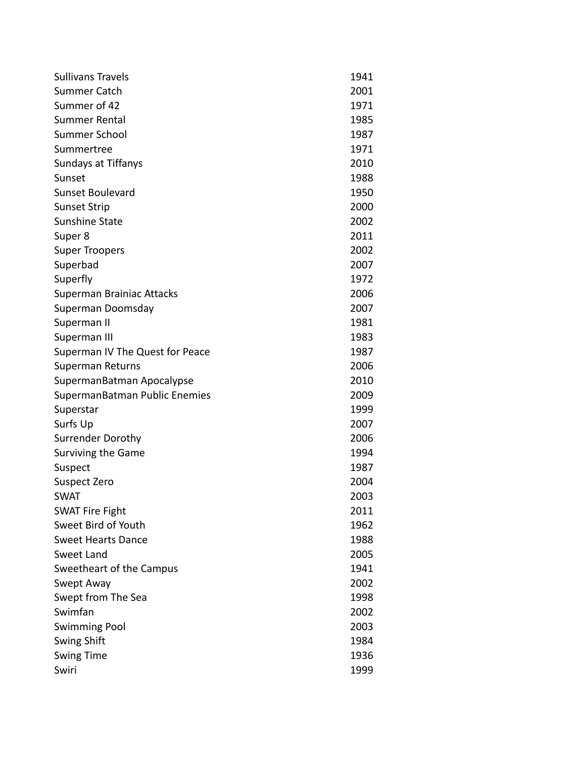| <b>Sullivans Travels</b>        | 1941 |
|---------------------------------|------|
| <b>Summer Catch</b>             | 2001 |
| Summer of 42                    | 1971 |
| <b>Summer Rental</b>            | 1985 |
| <b>Summer School</b>            | 1987 |
| Summertree                      | 1971 |
| Sundays at Tiffanys             | 2010 |
| Sunset                          | 1988 |
| <b>Sunset Boulevard</b>         | 1950 |
| <b>Sunset Strip</b>             | 2000 |
| <b>Sunshine State</b>           | 2002 |
| Super 8                         | 2011 |
| <b>Super Troopers</b>           | 2002 |
| Superbad                        | 2007 |
| Superfly                        | 1972 |
| Superman Brainiac Attacks       | 2006 |
| Superman Doomsday               | 2007 |
| Superman II                     | 1981 |
| Superman III                    | 1983 |
| Superman IV The Quest for Peace | 1987 |
| <b>Superman Returns</b>         | 2006 |
| SupermanBatman Apocalypse       | 2010 |
| SupermanBatman Public Enemies   | 2009 |
| Superstar                       | 1999 |
| Surfs Up                        | 2007 |
| <b>Surrender Dorothy</b>        | 2006 |
| <b>Surviving the Game</b>       | 1994 |
| Suspect                         | 1987 |
| <b>Suspect Zero</b>             | 2004 |
| <b>SWAT</b>                     | 2003 |
| <b>SWAT Fire Fight</b>          | 2011 |
| Sweet Bird of Youth             | 1962 |
| <b>Sweet Hearts Dance</b>       | 1988 |
| Sweet Land                      | 2005 |
| Sweetheart of the Campus        | 1941 |
| Swept Away                      | 2002 |
| Swept from The Sea              | 1998 |
| Swimfan                         | 2002 |
| <b>Swimming Pool</b>            | 2003 |
| <b>Swing Shift</b>              | 1984 |
| <b>Swing Time</b>               | 1936 |
| Swiri                           | 1999 |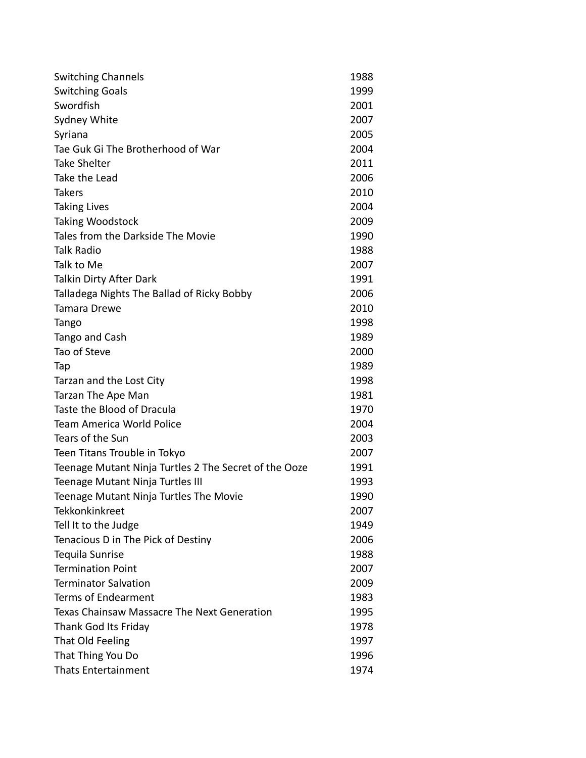| <b>Switching Channels</b>                             | 1988 |
|-------------------------------------------------------|------|
| <b>Switching Goals</b>                                | 1999 |
| Swordfish                                             | 2001 |
| Sydney White                                          | 2007 |
| Syriana                                               | 2005 |
| Tae Guk Gi The Brotherhood of War                     | 2004 |
| <b>Take Shelter</b>                                   | 2011 |
| Take the Lead                                         | 2006 |
| <b>Takers</b>                                         | 2010 |
| <b>Taking Lives</b>                                   | 2004 |
| <b>Taking Woodstock</b>                               | 2009 |
| Tales from the Darkside The Movie                     | 1990 |
| <b>Talk Radio</b>                                     | 1988 |
| Talk to Me                                            | 2007 |
| Talkin Dirty After Dark                               | 1991 |
| Talladega Nights The Ballad of Ricky Bobby            | 2006 |
| Tamara Drewe                                          | 2010 |
| Tango                                                 | 1998 |
| Tango and Cash                                        | 1989 |
| Tao of Steve                                          | 2000 |
| Tap                                                   | 1989 |
| Tarzan and the Lost City                              | 1998 |
| Tarzan The Ape Man                                    | 1981 |
| Taste the Blood of Dracula                            | 1970 |
| <b>Team America World Police</b>                      | 2004 |
| Tears of the Sun                                      | 2003 |
| Teen Titans Trouble in Tokyo                          | 2007 |
| Teenage Mutant Ninja Turtles 2 The Secret of the Ooze | 1991 |
| Teenage Mutant Ninja Turtles III                      | 1993 |
| Teenage Mutant Ninja Turtles The Movie                | 1990 |
| Tekkonkinkreet                                        | 2007 |
| Tell It to the Judge                                  | 1949 |
| Tenacious D in The Pick of Destiny                    | 2006 |
| Tequila Sunrise                                       | 1988 |
| <b>Termination Point</b>                              | 2007 |
| <b>Terminator Salvation</b>                           | 2009 |
| Terms of Endearment                                   | 1983 |
| <b>Texas Chainsaw Massacre The Next Generation</b>    | 1995 |
| Thank God Its Friday                                  | 1978 |
| That Old Feeling                                      | 1997 |
| That Thing You Do                                     | 1996 |
| <b>Thats Entertainment</b>                            | 1974 |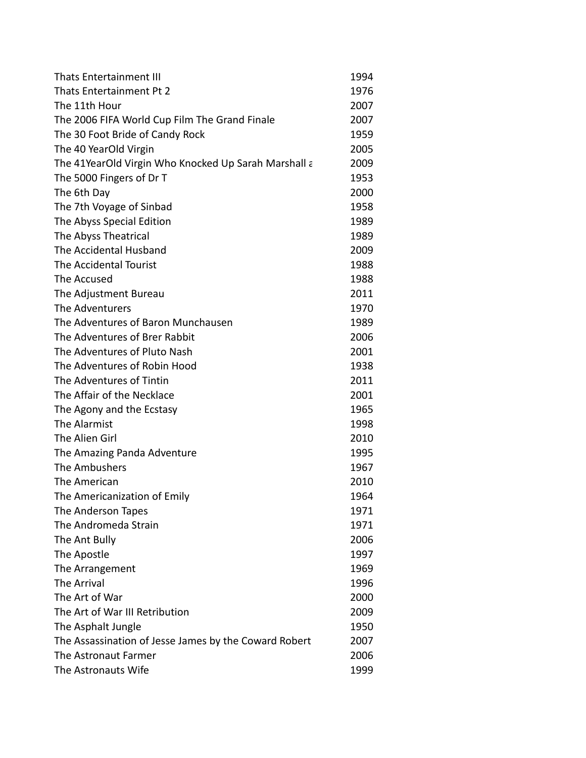| <b>Thats Entertainment III</b>                        | 1994 |
|-------------------------------------------------------|------|
| Thats Entertainment Pt 2                              | 1976 |
| The 11th Hour                                         | 2007 |
| The 2006 FIFA World Cup Film The Grand Finale         | 2007 |
| The 30 Foot Bride of Candy Rock                       | 1959 |
| The 40 YearOld Virgin                                 | 2005 |
| The 41YearOld Virgin Who Knocked Up Sarah Marshall a  | 2009 |
| The 5000 Fingers of Dr T                              | 1953 |
| The 6th Day                                           | 2000 |
| The 7th Voyage of Sinbad                              | 1958 |
| The Abyss Special Edition                             | 1989 |
| The Abyss Theatrical                                  | 1989 |
| The Accidental Husband                                | 2009 |
| The Accidental Tourist                                | 1988 |
| The Accused                                           | 1988 |
| The Adjustment Bureau                                 | 2011 |
| The Adventurers                                       | 1970 |
| The Adventures of Baron Munchausen                    | 1989 |
| The Adventures of Brer Rabbit                         | 2006 |
| The Adventures of Pluto Nash                          | 2001 |
| The Adventures of Robin Hood                          | 1938 |
| The Adventures of Tintin                              | 2011 |
| The Affair of the Necklace                            | 2001 |
| The Agony and the Ecstasy                             | 1965 |
| The Alarmist                                          | 1998 |
| The Alien Girl                                        | 2010 |
| The Amazing Panda Adventure                           | 1995 |
| The Ambushers                                         | 1967 |
| The American                                          | 2010 |
| The Americanization of Emily                          | 1964 |
| The Anderson Tapes                                    | 1971 |
| The Andromeda Strain                                  | 1971 |
| The Ant Bully                                         | 2006 |
| The Apostle                                           | 1997 |
| The Arrangement                                       | 1969 |
| The Arrival                                           | 1996 |
| The Art of War                                        | 2000 |
| The Art of War III Retribution                        | 2009 |
| The Asphalt Jungle                                    | 1950 |
| The Assassination of Jesse James by the Coward Robert | 2007 |
| The Astronaut Farmer                                  | 2006 |
| The Astronauts Wife                                   | 1999 |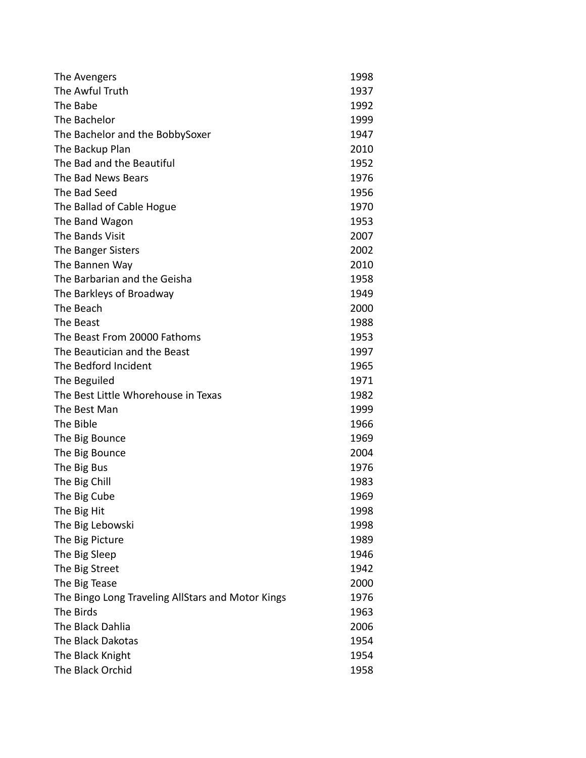| The Avengers                                      | 1998 |
|---------------------------------------------------|------|
| The Awful Truth                                   | 1937 |
| The Babe                                          | 1992 |
| The Bachelor                                      | 1999 |
| The Bachelor and the BobbySoxer                   | 1947 |
| The Backup Plan                                   | 2010 |
| The Bad and the Beautiful                         | 1952 |
| The Bad News Bears                                | 1976 |
| The Bad Seed                                      | 1956 |
| The Ballad of Cable Hogue                         | 1970 |
| The Band Wagon                                    | 1953 |
| The Bands Visit                                   | 2007 |
| The Banger Sisters                                | 2002 |
| The Bannen Way                                    | 2010 |
| The Barbarian and the Geisha                      | 1958 |
| The Barkleys of Broadway                          | 1949 |
| The Beach                                         | 2000 |
| The Beast                                         | 1988 |
| The Beast From 20000 Fathoms                      | 1953 |
| The Beautician and the Beast                      | 1997 |
| The Bedford Incident                              | 1965 |
| The Beguiled                                      | 1971 |
| The Best Little Whorehouse in Texas               | 1982 |
| The Best Man                                      | 1999 |
| The Bible                                         | 1966 |
| The Big Bounce                                    | 1969 |
| The Big Bounce                                    | 2004 |
| The Big Bus                                       | 1976 |
| The Big Chill                                     | 1983 |
| The Big Cube                                      | 1969 |
| The Big Hit                                       | 1998 |
| The Big Lebowski                                  | 1998 |
| The Big Picture                                   | 1989 |
| The Big Sleep                                     | 1946 |
| The Big Street                                    | 1942 |
| The Big Tease                                     | 2000 |
| The Bingo Long Traveling AllStars and Motor Kings | 1976 |
| The Birds                                         | 1963 |
| The Black Dahlia                                  | 2006 |
| The Black Dakotas                                 | 1954 |
| The Black Knight                                  | 1954 |
| The Black Orchid                                  | 1958 |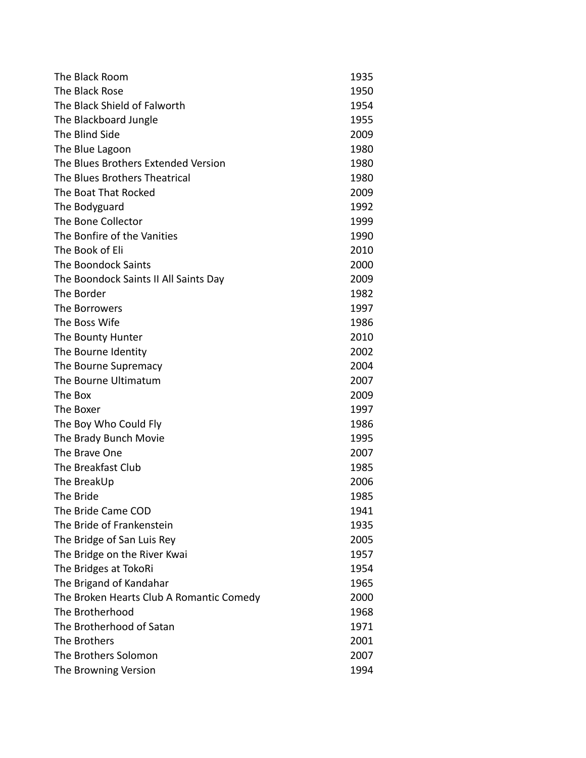| The Black Room                           | 1935 |
|------------------------------------------|------|
| The Black Rose                           | 1950 |
| The Black Shield of Falworth             | 1954 |
| The Blackboard Jungle                    | 1955 |
| The Blind Side                           | 2009 |
| The Blue Lagoon                          | 1980 |
| The Blues Brothers Extended Version      | 1980 |
| The Blues Brothers Theatrical            | 1980 |
| The Boat That Rocked                     | 2009 |
| The Bodyguard                            | 1992 |
| The Bone Collector                       | 1999 |
| The Bonfire of the Vanities              | 1990 |
| The Book of Eli                          | 2010 |
| The Boondock Saints                      | 2000 |
| The Boondock Saints II All Saints Day    | 2009 |
| The Border                               | 1982 |
| The Borrowers                            | 1997 |
| The Boss Wife                            | 1986 |
| The Bounty Hunter                        | 2010 |
| The Bourne Identity                      | 2002 |
| The Bourne Supremacy                     | 2004 |
| The Bourne Ultimatum                     | 2007 |
| The Box                                  | 2009 |
| The Boxer                                | 1997 |
| The Boy Who Could Fly                    | 1986 |
| The Brady Bunch Movie                    | 1995 |
| The Brave One                            | 2007 |
| The Breakfast Club                       | 1985 |
| The BreakUp                              | 2006 |
| The Bride                                | 1985 |
| The Bride Came COD                       | 1941 |
| The Bride of Frankenstein                | 1935 |
| The Bridge of San Luis Rey               | 2005 |
| The Bridge on the River Kwai             | 1957 |
| The Bridges at TokoRi                    | 1954 |
| The Brigand of Kandahar                  | 1965 |
| The Broken Hearts Club A Romantic Comedy | 2000 |
| The Brotherhood                          | 1968 |
| The Brotherhood of Satan                 | 1971 |
| The Brothers                             | 2001 |
| The Brothers Solomon                     | 2007 |
| The Browning Version                     | 1994 |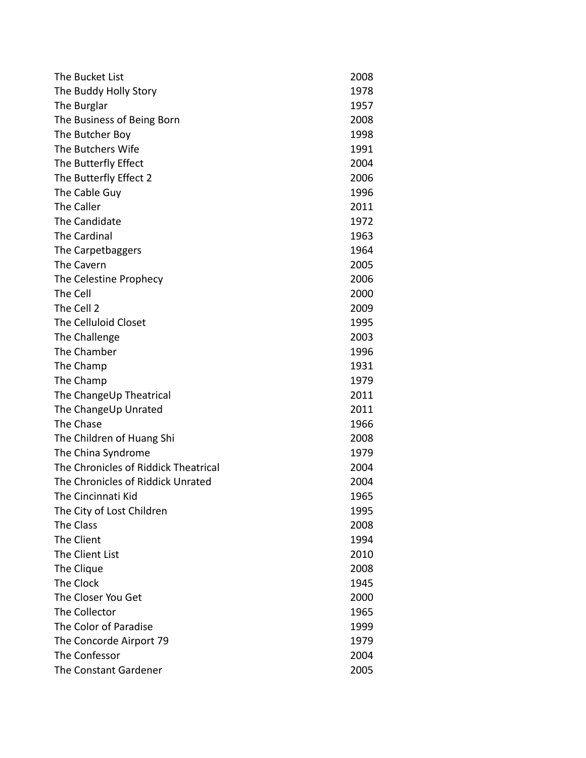| The Bucket List                      | 2008 |
|--------------------------------------|------|
| The Buddy Holly Story                | 1978 |
| The Burglar                          | 1957 |
| The Business of Being Born           | 2008 |
| The Butcher Boy                      | 1998 |
| The Butchers Wife                    | 1991 |
| The Butterfly Effect                 | 2004 |
| The Butterfly Effect 2               | 2006 |
| The Cable Guy                        | 1996 |
| The Caller                           | 2011 |
| The Candidate                        | 1972 |
| The Cardinal                         | 1963 |
| The Carpetbaggers                    | 1964 |
| The Cavern                           | 2005 |
| The Celestine Prophecy               | 2006 |
| The Cell                             | 2000 |
| The Cell 2                           | 2009 |
| The Celluloid Closet                 | 1995 |
| The Challenge                        | 2003 |
| The Chamber                          | 1996 |
| The Champ                            | 1931 |
| The Champ                            | 1979 |
| The ChangeUp Theatrical              | 2011 |
| The ChangeUp Unrated                 | 2011 |
| The Chase                            | 1966 |
| The Children of Huang Shi            | 2008 |
| The China Syndrome                   | 1979 |
| The Chronicles of Riddick Theatrical | 2004 |
| The Chronicles of Riddick Unrated    | 2004 |
| The Cincinnati Kid                   | 1965 |
| The City of Lost Children            | 1995 |
| <b>The Class</b>                     | 2008 |
| The Client                           | 1994 |
| The Client List                      | 2010 |
| The Clique                           | 2008 |
| The Clock                            | 1945 |
| The Closer You Get                   | 2000 |
| The Collector                        | 1965 |
| The Color of Paradise                | 1999 |
| The Concorde Airport 79              | 1979 |
| The Confessor                        | 2004 |
| The Constant Gardener                | 2005 |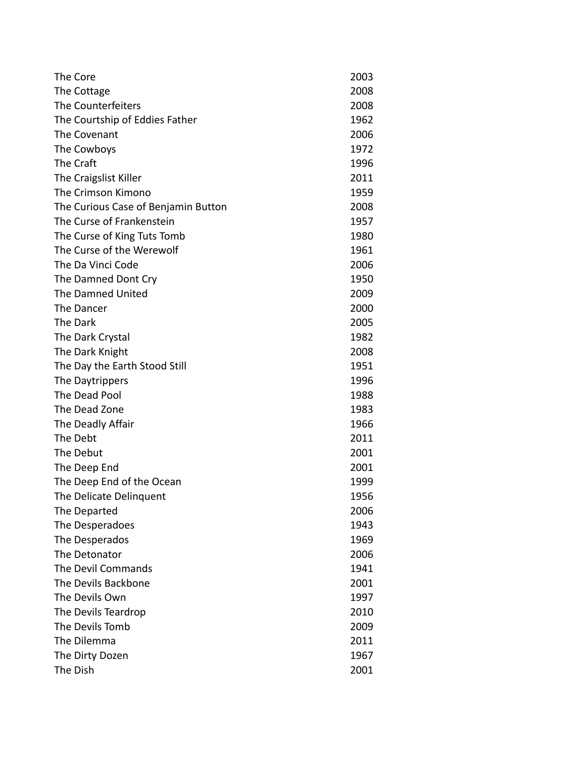| The Core                            | 2003 |
|-------------------------------------|------|
| The Cottage                         | 2008 |
| The Counterfeiters                  | 2008 |
| The Courtship of Eddies Father      | 1962 |
| The Covenant                        | 2006 |
| The Cowboys                         | 1972 |
| The Craft                           | 1996 |
| The Craigslist Killer               | 2011 |
| The Crimson Kimono                  | 1959 |
| The Curious Case of Benjamin Button | 2008 |
| The Curse of Frankenstein           | 1957 |
| The Curse of King Tuts Tomb         | 1980 |
| The Curse of the Werewolf           | 1961 |
| The Da Vinci Code                   | 2006 |
| The Damned Dont Cry                 | 1950 |
| <b>The Damned United</b>            | 2009 |
| The Dancer                          | 2000 |
| The Dark                            | 2005 |
| The Dark Crystal                    | 1982 |
| The Dark Knight                     | 2008 |
| The Day the Earth Stood Still       | 1951 |
| The Daytrippers                     | 1996 |
| The Dead Pool                       | 1988 |
| The Dead Zone                       | 1983 |
| The Deadly Affair                   | 1966 |
| The Debt                            | 2011 |
| The Debut                           | 2001 |
| The Deep End                        | 2001 |
| The Deep End of the Ocean           | 1999 |
| The Delicate Delinquent             | 1956 |
| The Departed                        | 2006 |
| The Desperadoes                     | 1943 |
| The Desperados                      | 1969 |
| The Detonator                       | 2006 |
| The Devil Commands                  | 1941 |
| The Devils Backbone                 | 2001 |
| The Devils Own                      | 1997 |
| The Devils Teardrop                 | 2010 |
| The Devils Tomb                     | 2009 |
| The Dilemma                         | 2011 |
| The Dirty Dozen                     | 1967 |
| The Dish                            | 2001 |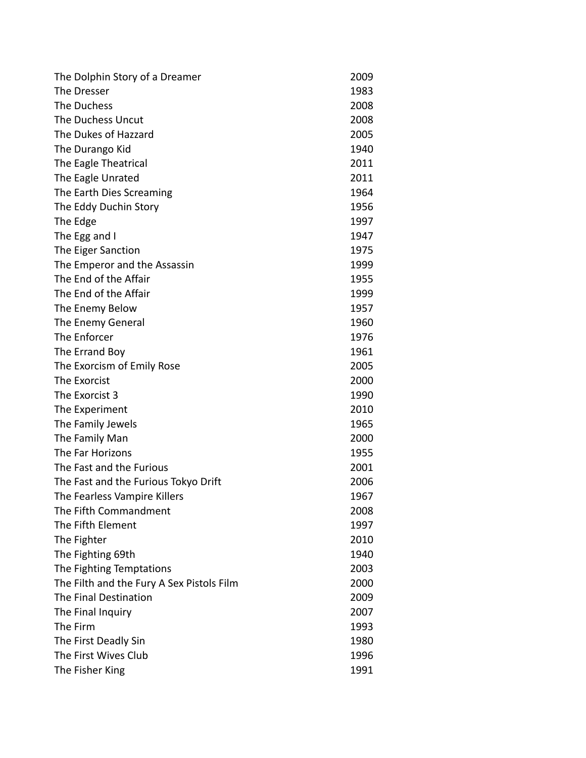| The Dolphin Story of a Dreamer            | 2009 |
|-------------------------------------------|------|
| The Dresser                               | 1983 |
| The Duchess                               | 2008 |
| The Duchess Uncut                         | 2008 |
| The Dukes of Hazzard                      | 2005 |
| The Durango Kid                           | 1940 |
| The Eagle Theatrical                      | 2011 |
| The Eagle Unrated                         | 2011 |
| The Earth Dies Screaming                  | 1964 |
| The Eddy Duchin Story                     | 1956 |
| The Edge                                  | 1997 |
| The Egg and I                             | 1947 |
| The Eiger Sanction                        | 1975 |
| The Emperor and the Assassin              | 1999 |
| The End of the Affair                     | 1955 |
| The End of the Affair                     | 1999 |
| The Enemy Below                           | 1957 |
| The Enemy General                         | 1960 |
| The Enforcer                              | 1976 |
| The Errand Boy                            | 1961 |
| The Exorcism of Emily Rose                | 2005 |
| The Exorcist                              | 2000 |
| The Exorcist 3                            | 1990 |
| The Experiment                            | 2010 |
| The Family Jewels                         | 1965 |
| The Family Man                            | 2000 |
| The Far Horizons                          | 1955 |
| The Fast and the Furious                  | 2001 |
| The Fast and the Furious Tokyo Drift      | 2006 |
| The Fearless Vampire Killers              | 1967 |
| The Fifth Commandment                     | 2008 |
| The Fifth Element                         | 1997 |
| The Fighter                               | 2010 |
| The Fighting 69th                         | 1940 |
| The Fighting Temptations                  | 2003 |
| The Filth and the Fury A Sex Pistols Film | 2000 |
| The Final Destination                     | 2009 |
| The Final Inquiry                         | 2007 |
| The Firm                                  | 1993 |
| The First Deadly Sin                      | 1980 |
| The First Wives Club                      | 1996 |
| The Fisher King                           | 1991 |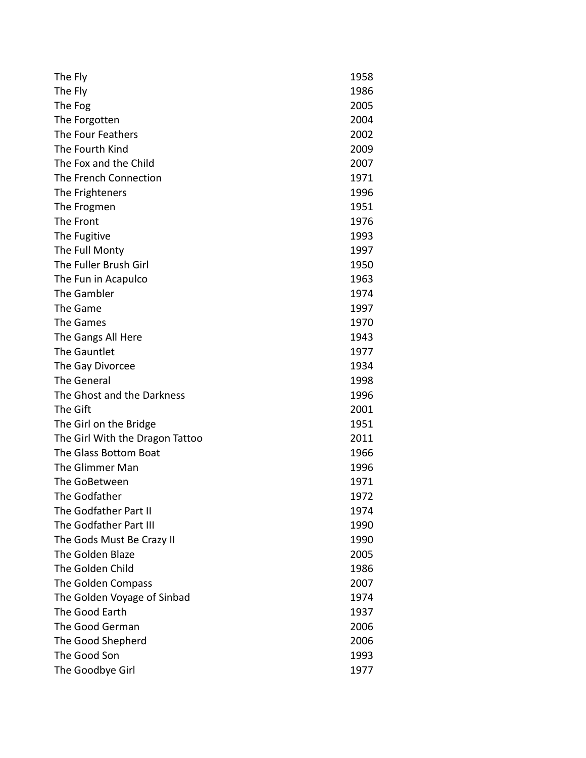| The Fly                         | 1958 |
|---------------------------------|------|
| The Fly                         | 1986 |
| The Fog                         | 2005 |
| The Forgotten                   | 2004 |
| The Four Feathers               | 2002 |
| The Fourth Kind                 | 2009 |
| The Fox and the Child           | 2007 |
| The French Connection           | 1971 |
| The Frighteners                 | 1996 |
| The Frogmen                     | 1951 |
| The Front                       | 1976 |
| The Fugitive                    | 1993 |
| The Full Monty                  | 1997 |
| The Fuller Brush Girl           | 1950 |
| The Fun in Acapulco             | 1963 |
| The Gambler                     | 1974 |
| The Game                        | 1997 |
| The Games                       | 1970 |
| The Gangs All Here              | 1943 |
| The Gauntlet                    | 1977 |
| The Gay Divorcee                | 1934 |
| The General                     | 1998 |
| The Ghost and the Darkness      | 1996 |
| The Gift                        | 2001 |
| The Girl on the Bridge          | 1951 |
| The Girl With the Dragon Tattoo | 2011 |
| The Glass Bottom Boat           | 1966 |
| The Glimmer Man                 | 1996 |
| The GoBetween                   | 1971 |
| The Godfather                   | 1972 |
| The Godfather Part II           | 1974 |
| The Godfather Part III          | 1990 |
| The Gods Must Be Crazy II       | 1990 |
| The Golden Blaze                | 2005 |
| The Golden Child                | 1986 |
| The Golden Compass              | 2007 |
| The Golden Voyage of Sinbad     | 1974 |
| The Good Earth                  | 1937 |
| The Good German                 | 2006 |
| The Good Shepherd               | 2006 |
| The Good Son                    | 1993 |
| The Goodbye Girl                | 1977 |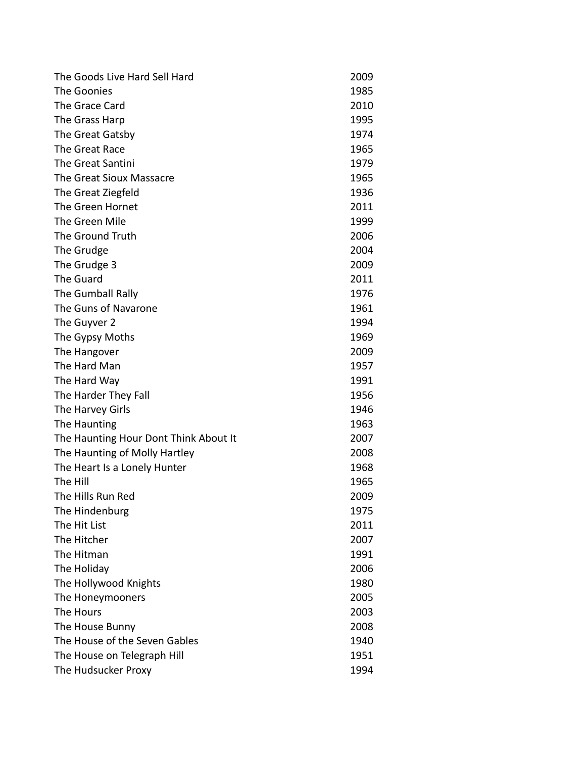| The Goods Live Hard Sell Hard         | 2009 |
|---------------------------------------|------|
| The Goonies                           | 1985 |
| The Grace Card                        | 2010 |
| The Grass Harp                        | 1995 |
| The Great Gatsby                      | 1974 |
| The Great Race                        | 1965 |
| The Great Santini                     | 1979 |
| The Great Sioux Massacre              | 1965 |
| The Great Ziegfeld                    | 1936 |
| The Green Hornet                      | 2011 |
| The Green Mile                        | 1999 |
| The Ground Truth                      | 2006 |
| The Grudge                            | 2004 |
| The Grudge 3                          | 2009 |
| The Guard                             | 2011 |
| The Gumball Rally                     | 1976 |
| The Guns of Navarone                  | 1961 |
| The Guyver 2                          | 1994 |
| The Gypsy Moths                       | 1969 |
| The Hangover                          | 2009 |
| The Hard Man                          | 1957 |
| The Hard Way                          | 1991 |
| The Harder They Fall                  | 1956 |
| The Harvey Girls                      | 1946 |
| The Haunting                          | 1963 |
| The Haunting Hour Dont Think About It | 2007 |
| The Haunting of Molly Hartley         | 2008 |
| The Heart Is a Lonely Hunter          | 1968 |
| The Hill                              | 1965 |
| The Hills Run Red                     | 2009 |
| The Hindenburg                        | 1975 |
| The Hit List                          | 2011 |
| The Hitcher                           | 2007 |
| The Hitman                            | 1991 |
| The Holiday                           | 2006 |
| The Hollywood Knights                 | 1980 |
| The Honeymooners                      | 2005 |
| The Hours                             | 2003 |
| The House Bunny                       | 2008 |
| The House of the Seven Gables         | 1940 |
| The House on Telegraph Hill           | 1951 |
| The Hudsucker Proxy                   | 1994 |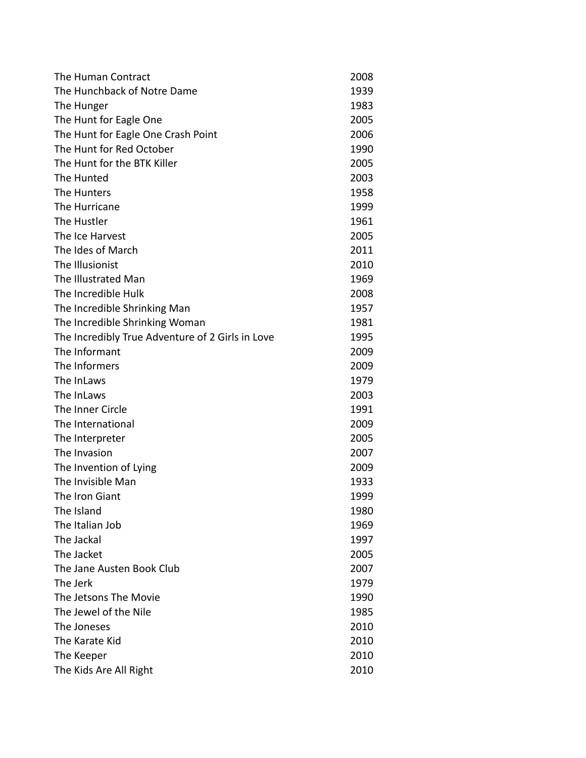| The Human Contract                               | 2008 |
|--------------------------------------------------|------|
| The Hunchback of Notre Dame                      | 1939 |
| The Hunger                                       | 1983 |
| The Hunt for Eagle One                           | 2005 |
| The Hunt for Eagle One Crash Point               | 2006 |
| The Hunt for Red October                         | 1990 |
| The Hunt for the BTK Killer                      | 2005 |
| The Hunted                                       | 2003 |
| The Hunters                                      | 1958 |
| The Hurricane                                    | 1999 |
| The Hustler                                      | 1961 |
| The Ice Harvest                                  | 2005 |
| The Ides of March                                | 2011 |
| The Illusionist                                  | 2010 |
| The Illustrated Man                              | 1969 |
| The Incredible Hulk                              | 2008 |
| The Incredible Shrinking Man                     | 1957 |
| The Incredible Shrinking Woman                   | 1981 |
| The Incredibly True Adventure of 2 Girls in Love | 1995 |
| The Informant                                    | 2009 |
| The Informers                                    | 2009 |
| The InLaws                                       | 1979 |
| The InLaws                                       | 2003 |
| The Inner Circle                                 | 1991 |
| The International                                | 2009 |
| The Interpreter                                  | 2005 |
| The Invasion                                     | 2007 |
| The Invention of Lying                           | 2009 |
| The Invisible Man                                | 1933 |
| The Iron Giant                                   | 1999 |
| The Island                                       | 1980 |
| The Italian Job                                  | 1969 |
| The Jackal                                       | 1997 |
| The Jacket                                       | 2005 |
| The Jane Austen Book Club                        | 2007 |
| The Jerk                                         | 1979 |
| The Jetsons The Movie                            | 1990 |
| The Jewel of the Nile                            | 1985 |
| The Joneses                                      | 2010 |
| The Karate Kid                                   | 2010 |
| The Keeper                                       | 2010 |
| The Kids Are All Right                           | 2010 |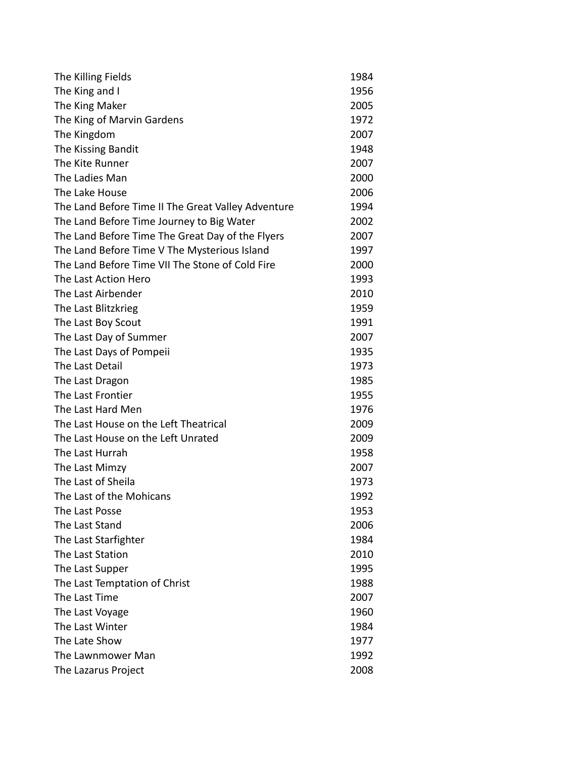| The Killing Fields                                 | 1984 |
|----------------------------------------------------|------|
| The King and I                                     | 1956 |
| The King Maker                                     | 2005 |
| The King of Marvin Gardens                         | 1972 |
| The Kingdom                                        | 2007 |
| The Kissing Bandit                                 | 1948 |
| The Kite Runner                                    | 2007 |
| The Ladies Man                                     | 2000 |
| The Lake House                                     | 2006 |
| The Land Before Time II The Great Valley Adventure | 1994 |
| The Land Before Time Journey to Big Water          | 2002 |
| The Land Before Time The Great Day of the Flyers   | 2007 |
| The Land Before Time V The Mysterious Island       | 1997 |
| The Land Before Time VII The Stone of Cold Fire    | 2000 |
| The Last Action Hero                               | 1993 |
| The Last Airbender                                 | 2010 |
| The Last Blitzkrieg                                | 1959 |
| The Last Boy Scout                                 | 1991 |
| The Last Day of Summer                             | 2007 |
| The Last Days of Pompeii                           | 1935 |
| The Last Detail                                    | 1973 |
| The Last Dragon                                    | 1985 |
| The Last Frontier                                  | 1955 |
| The Last Hard Men                                  | 1976 |
| The Last House on the Left Theatrical              | 2009 |
| The Last House on the Left Unrated                 | 2009 |
| The Last Hurrah                                    | 1958 |
| The Last Mimzy                                     | 2007 |
| The Last of Sheila                                 | 1973 |
| The Last of the Mohicans                           | 1992 |
| The Last Posse                                     | 1953 |
| The Last Stand                                     | 2006 |
| The Last Starfighter                               | 1984 |
| The Last Station                                   | 2010 |
| The Last Supper                                    | 1995 |
| The Last Temptation of Christ                      | 1988 |
| The Last Time                                      | 2007 |
| The Last Voyage                                    | 1960 |
| The Last Winter                                    | 1984 |
| The Late Show                                      | 1977 |
| The Lawnmower Man                                  | 1992 |
| The Lazarus Project                                | 2008 |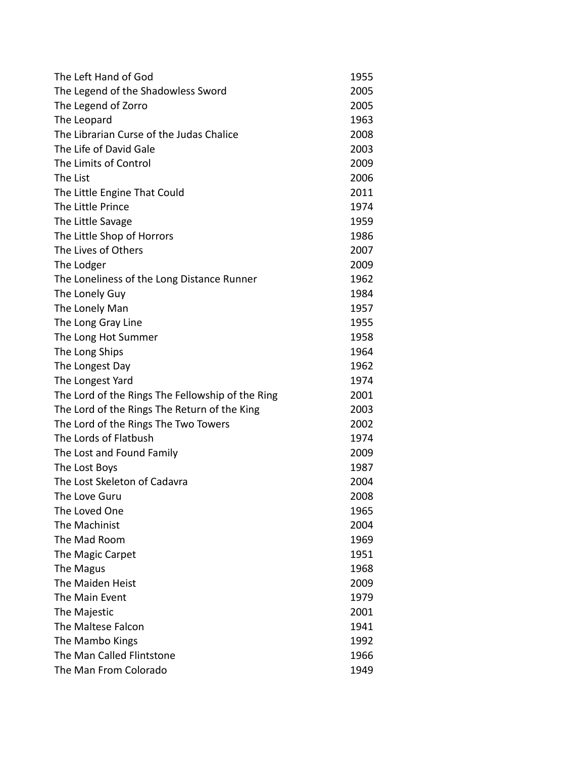| The Left Hand of God                             | 1955 |
|--------------------------------------------------|------|
| The Legend of the Shadowless Sword               | 2005 |
| The Legend of Zorro                              | 2005 |
| The Leopard                                      | 1963 |
| The Librarian Curse of the Judas Chalice         | 2008 |
| The Life of David Gale                           | 2003 |
| The Limits of Control                            | 2009 |
| The List                                         | 2006 |
| The Little Engine That Could                     | 2011 |
| The Little Prince                                | 1974 |
| The Little Savage                                | 1959 |
| The Little Shop of Horrors                       | 1986 |
| The Lives of Others                              | 2007 |
| The Lodger                                       | 2009 |
| The Loneliness of the Long Distance Runner       | 1962 |
| The Lonely Guy                                   | 1984 |
| The Lonely Man                                   | 1957 |
| The Long Gray Line                               | 1955 |
| The Long Hot Summer                              | 1958 |
| The Long Ships                                   | 1964 |
| The Longest Day                                  | 1962 |
| The Longest Yard                                 | 1974 |
| The Lord of the Rings The Fellowship of the Ring | 2001 |
| The Lord of the Rings The Return of the King     | 2003 |
| The Lord of the Rings The Two Towers             | 2002 |
| The Lords of Flatbush                            | 1974 |
| The Lost and Found Family                        | 2009 |
| The Lost Boys                                    | 1987 |
| The Lost Skeleton of Cadavra                     | 2004 |
| The Love Guru                                    | 2008 |
| The Loved One                                    | 1965 |
| The Machinist                                    | 2004 |
| The Mad Room                                     | 1969 |
| The Magic Carpet                                 | 1951 |
| The Magus                                        | 1968 |
| The Maiden Heist                                 | 2009 |
| The Main Event                                   | 1979 |
| The Majestic                                     | 2001 |
| The Maltese Falcon                               | 1941 |
| The Mambo Kings                                  | 1992 |
| The Man Called Flintstone                        | 1966 |
| The Man From Colorado                            | 1949 |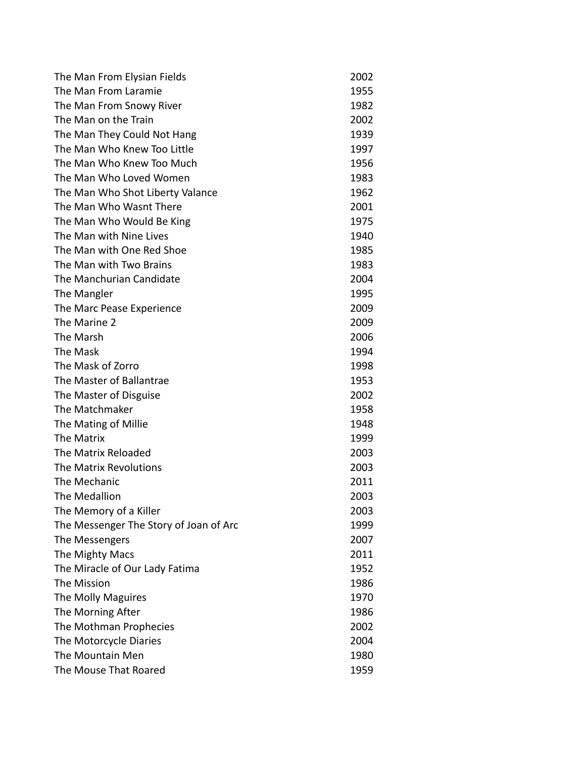| The Man From Elysian Fields            | 2002 |
|----------------------------------------|------|
| The Man From Laramie                   | 1955 |
| The Man From Snowy River               | 1982 |
| The Man on the Train                   | 2002 |
| The Man They Could Not Hang            | 1939 |
| The Man Who Knew Too Little            | 1997 |
| The Man Who Knew Too Much              | 1956 |
| The Man Who Loved Women                | 1983 |
| The Man Who Shot Liberty Valance       | 1962 |
| The Man Who Wasnt There                | 2001 |
| The Man Who Would Be King              | 1975 |
| The Man with Nine Lives                | 1940 |
| The Man with One Red Shoe              | 1985 |
| The Man with Two Brains                | 1983 |
| The Manchurian Candidate               | 2004 |
| The Mangler                            | 1995 |
| The Marc Pease Experience              | 2009 |
| The Marine 2                           | 2009 |
| The Marsh                              | 2006 |
| The Mask                               | 1994 |
| The Mask of Zorro                      | 1998 |
| The Master of Ballantrae               | 1953 |
| The Master of Disguise                 | 2002 |
| The Matchmaker                         | 1958 |
| The Mating of Millie                   | 1948 |
| The Matrix                             | 1999 |
| The Matrix Reloaded                    | 2003 |
| The Matrix Revolutions                 | 2003 |
| The Mechanic                           | 2011 |
| The Medallion                          | 2003 |
| The Memory of a Killer                 | 2003 |
| The Messenger The Story of Joan of Arc | 1999 |
| The Messengers                         | 2007 |
| The Mighty Macs                        | 2011 |
| The Miracle of Our Lady Fatima         | 1952 |
| The Mission                            | 1986 |
| The Molly Maguires                     | 1970 |
| The Morning After                      | 1986 |
| The Mothman Prophecies                 | 2002 |
| The Motorcycle Diaries                 | 2004 |
| The Mountain Men                       | 1980 |
| The Mouse That Roared                  | 1959 |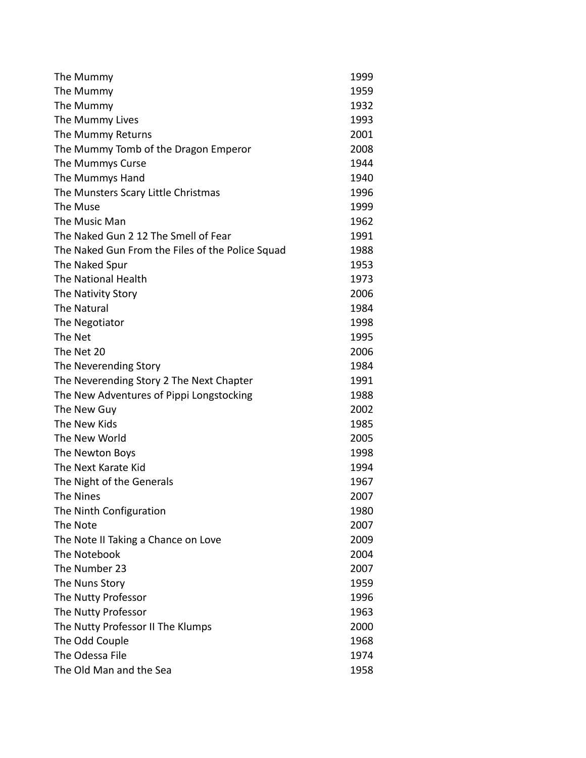| The Mummy                                        | 1999 |
|--------------------------------------------------|------|
| The Mummy                                        | 1959 |
| The Mummy                                        | 1932 |
| The Mummy Lives                                  | 1993 |
| The Mummy Returns                                | 2001 |
| The Mummy Tomb of the Dragon Emperor             | 2008 |
| The Mummys Curse                                 | 1944 |
| The Mummys Hand                                  | 1940 |
| The Munsters Scary Little Christmas              | 1996 |
| The Muse                                         | 1999 |
| The Music Man                                    | 1962 |
| The Naked Gun 2 12 The Smell of Fear             | 1991 |
| The Naked Gun From the Files of the Police Squad | 1988 |
| The Naked Spur                                   | 1953 |
| The National Health                              | 1973 |
| The Nativity Story                               | 2006 |
| The Natural                                      | 1984 |
| The Negotiator                                   | 1998 |
| The Net                                          | 1995 |
| The Net 20                                       | 2006 |
| The Neverending Story                            | 1984 |
| The Neverending Story 2 The Next Chapter         | 1991 |
| The New Adventures of Pippi Longstocking         | 1988 |
| The New Guy                                      | 2002 |
| The New Kids                                     | 1985 |
| The New World                                    | 2005 |
| The Newton Boys                                  | 1998 |
| The Next Karate Kid                              | 1994 |
| The Night of the Generals                        | 1967 |
| The Nines                                        | 2007 |
| The Ninth Configuration                          | 1980 |
| The Note                                         | 2007 |
| The Note II Taking a Chance on Love              | 2009 |
| The Notebook                                     | 2004 |
| The Number 23                                    | 2007 |
| The Nuns Story                                   | 1959 |
| The Nutty Professor                              | 1996 |
| The Nutty Professor                              | 1963 |
| The Nutty Professor II The Klumps                | 2000 |
| The Odd Couple                                   | 1968 |
| The Odessa File                                  | 1974 |
| The Old Man and the Sea                          | 1958 |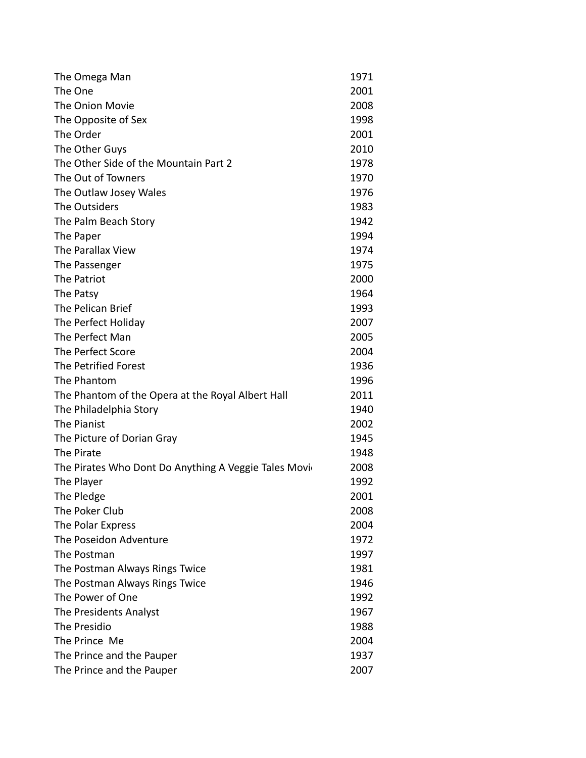| The Omega Man                                         | 1971 |
|-------------------------------------------------------|------|
| The One                                               | 2001 |
| The Onion Movie                                       | 2008 |
| The Opposite of Sex                                   | 1998 |
| The Order                                             | 2001 |
| The Other Guys                                        | 2010 |
| The Other Side of the Mountain Part 2                 | 1978 |
| The Out of Towners                                    | 1970 |
| The Outlaw Josey Wales                                | 1976 |
| The Outsiders                                         | 1983 |
| The Palm Beach Story                                  | 1942 |
| The Paper                                             | 1994 |
| The Parallax View                                     | 1974 |
| The Passenger                                         | 1975 |
| The Patriot                                           | 2000 |
| The Patsy                                             | 1964 |
| The Pelican Brief                                     | 1993 |
| The Perfect Holiday                                   | 2007 |
| The Perfect Man                                       | 2005 |
| The Perfect Score                                     | 2004 |
| The Petrified Forest                                  | 1936 |
| The Phantom                                           | 1996 |
| The Phantom of the Opera at the Royal Albert Hall     | 2011 |
| The Philadelphia Story                                | 1940 |
| The Pianist                                           | 2002 |
| The Picture of Dorian Gray                            | 1945 |
| The Pirate                                            | 1948 |
| The Pirates Who Dont Do Anything A Veggie Tales Movie | 2008 |
| The Player                                            | 1992 |
| The Pledge                                            | 2001 |
| The Poker Club                                        | 2008 |
| The Polar Express                                     | 2004 |
| The Poseidon Adventure                                | 1972 |
| The Postman                                           | 1997 |
| The Postman Always Rings Twice                        | 1981 |
| The Postman Always Rings Twice                        | 1946 |
| The Power of One                                      | 1992 |
| The Presidents Analyst                                | 1967 |
| The Presidio                                          | 1988 |
| The Prince Me                                         | 2004 |
| The Prince and the Pauper                             | 1937 |
| The Prince and the Pauper                             | 2007 |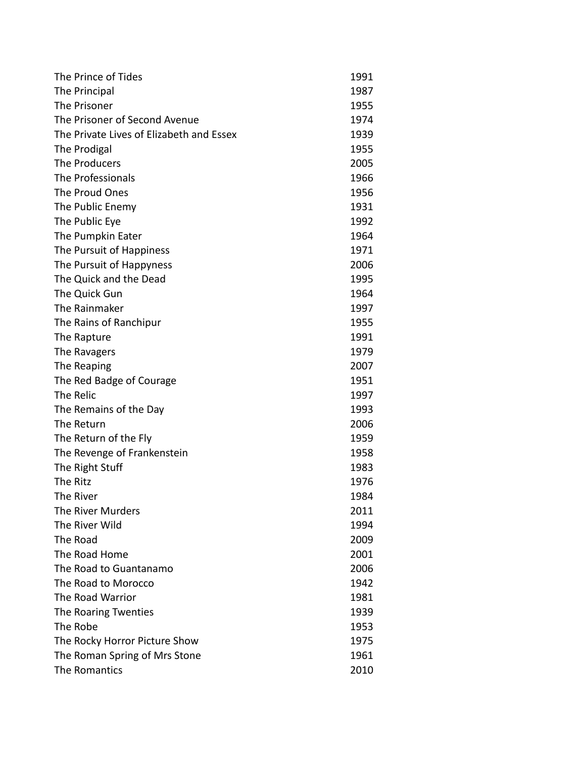| The Prince of Tides                      | 1991 |
|------------------------------------------|------|
| The Principal                            | 1987 |
| The Prisoner                             | 1955 |
| The Prisoner of Second Avenue            | 1974 |
| The Private Lives of Elizabeth and Essex | 1939 |
| The Prodigal                             | 1955 |
| The Producers                            | 2005 |
| The Professionals                        | 1966 |
| The Proud Ones                           | 1956 |
| The Public Enemy                         | 1931 |
| The Public Eye                           | 1992 |
| The Pumpkin Eater                        | 1964 |
| The Pursuit of Happiness                 | 1971 |
| The Pursuit of Happyness                 | 2006 |
| The Quick and the Dead                   | 1995 |
| The Quick Gun                            | 1964 |
| The Rainmaker                            | 1997 |
| The Rains of Ranchipur                   | 1955 |
| The Rapture                              | 1991 |
| The Ravagers                             | 1979 |
| The Reaping                              | 2007 |
| The Red Badge of Courage                 | 1951 |
| The Relic                                | 1997 |
| The Remains of the Day                   | 1993 |
| The Return                               | 2006 |
| The Return of the Fly                    | 1959 |
| The Revenge of Frankenstein              | 1958 |
| The Right Stuff                          | 1983 |
| The Ritz                                 | 1976 |
| The River                                | 1984 |
| The River Murders                        | 2011 |
| The River Wild                           | 1994 |
| The Road                                 | 2009 |
| The Road Home                            | 2001 |
| The Road to Guantanamo                   | 2006 |
| The Road to Morocco                      | 1942 |
| The Road Warrior                         | 1981 |
| The Roaring Twenties                     | 1939 |
| The Robe                                 | 1953 |
| The Rocky Horror Picture Show            | 1975 |
| The Roman Spring of Mrs Stone            | 1961 |
| The Romantics                            | 2010 |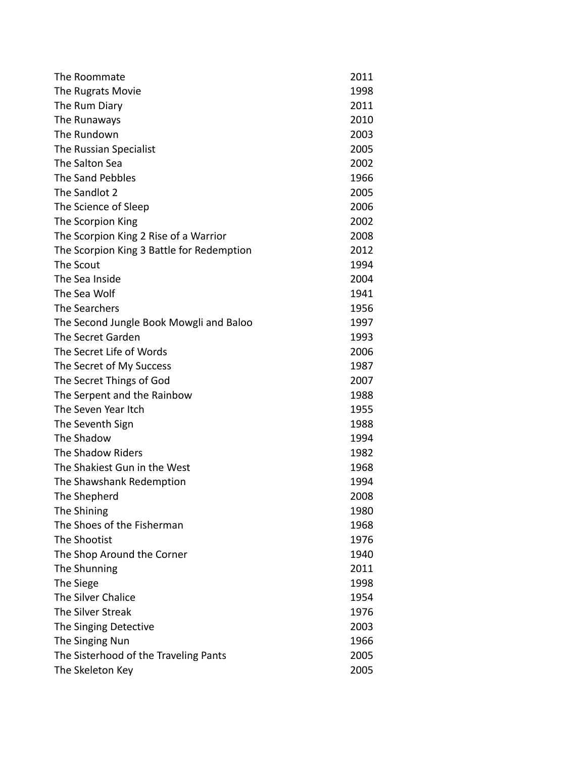| The Roommate                              | 2011 |
|-------------------------------------------|------|
| The Rugrats Movie                         | 1998 |
| The Rum Diary                             | 2011 |
| The Runaways                              | 2010 |
| The Rundown                               | 2003 |
| The Russian Specialist                    | 2005 |
| The Salton Sea                            | 2002 |
| The Sand Pebbles                          | 1966 |
| The Sandlot 2                             | 2005 |
| The Science of Sleep                      | 2006 |
| The Scorpion King                         | 2002 |
| The Scorpion King 2 Rise of a Warrior     | 2008 |
| The Scorpion King 3 Battle for Redemption | 2012 |
| The Scout                                 | 1994 |
| The Sea Inside                            | 2004 |
| The Sea Wolf                              | 1941 |
| The Searchers                             | 1956 |
| The Second Jungle Book Mowgli and Baloo   | 1997 |
| The Secret Garden                         | 1993 |
| The Secret Life of Words                  | 2006 |
| The Secret of My Success                  | 1987 |
| The Secret Things of God                  | 2007 |
| The Serpent and the Rainbow               | 1988 |
| The Seven Year Itch                       | 1955 |
| The Seventh Sign                          | 1988 |
| The Shadow                                | 1994 |
| The Shadow Riders                         | 1982 |
| The Shakiest Gun in the West              | 1968 |
| The Shawshank Redemption                  | 1994 |
| The Shepherd                              | 2008 |
| The Shining                               | 1980 |
| The Shoes of the Fisherman                | 1968 |
| The Shootist                              | 1976 |
| The Shop Around the Corner                | 1940 |
| The Shunning                              | 2011 |
| The Siege                                 | 1998 |
| The Silver Chalice                        | 1954 |
| The Silver Streak                         | 1976 |
| The Singing Detective                     | 2003 |
| The Singing Nun                           | 1966 |
| The Sisterhood of the Traveling Pants     | 2005 |
| The Skeleton Key                          | 2005 |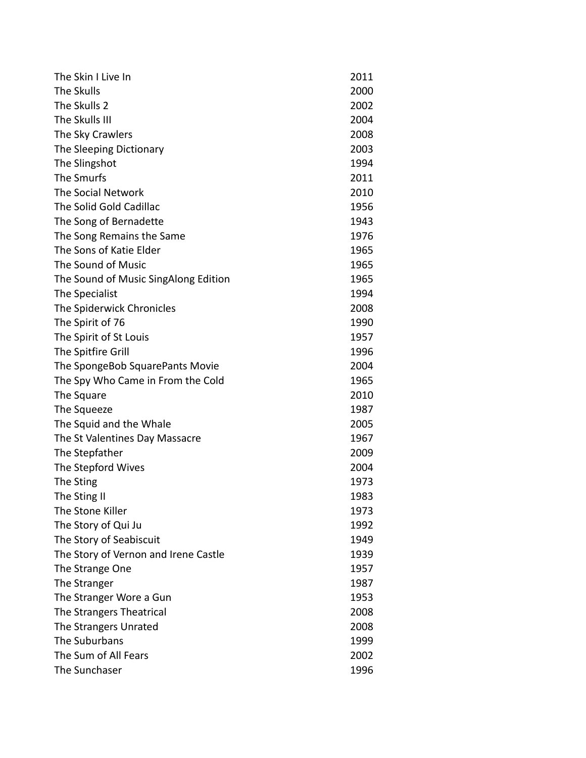| The Skin I Live In                   | 2011 |
|--------------------------------------|------|
| The Skulls                           | 2000 |
| The Skulls 2                         | 2002 |
| The Skulls III                       | 2004 |
| The Sky Crawlers                     | 2008 |
| The Sleeping Dictionary              | 2003 |
| The Slingshot                        | 1994 |
| The Smurfs                           | 2011 |
| <b>The Social Network</b>            | 2010 |
| The Solid Gold Cadillac              | 1956 |
| The Song of Bernadette               | 1943 |
| The Song Remains the Same            | 1976 |
| The Sons of Katie Elder              | 1965 |
| The Sound of Music                   | 1965 |
| The Sound of Music SingAlong Edition | 1965 |
| The Specialist                       | 1994 |
| The Spiderwick Chronicles            | 2008 |
| The Spirit of 76                     | 1990 |
| The Spirit of St Louis               | 1957 |
| The Spitfire Grill                   | 1996 |
| The SpongeBob SquarePants Movie      | 2004 |
| The Spy Who Came in From the Cold    | 1965 |
| The Square                           | 2010 |
| The Squeeze                          | 1987 |
| The Squid and the Whale              | 2005 |
| The St Valentines Day Massacre       | 1967 |
| The Stepfather                       | 2009 |
| The Stepford Wives                   | 2004 |
| The Sting                            | 1973 |
| The Sting II                         | 1983 |
| The Stone Killer                     | 1973 |
| The Story of Qui Ju                  | 1992 |
| The Story of Seabiscuit              | 1949 |
| The Story of Vernon and Irene Castle | 1939 |
| The Strange One                      | 1957 |
| The Stranger                         | 1987 |
| The Stranger Wore a Gun              | 1953 |
| The Strangers Theatrical             | 2008 |
| The Strangers Unrated                | 2008 |
| The Suburbans                        | 1999 |
| The Sum of All Fears                 | 2002 |
| The Sunchaser                        | 1996 |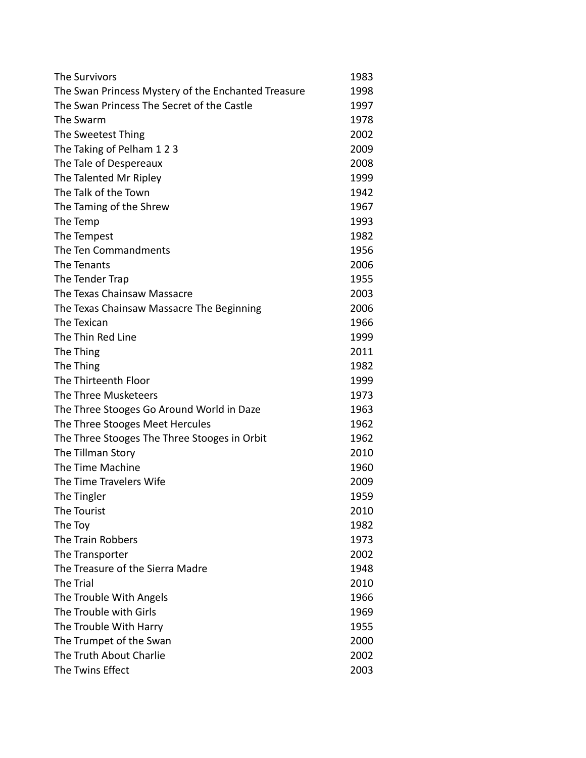| The Survivors                                       | 1983 |
|-----------------------------------------------------|------|
| The Swan Princess Mystery of the Enchanted Treasure | 1998 |
| The Swan Princess The Secret of the Castle          | 1997 |
| The Swarm                                           | 1978 |
| The Sweetest Thing                                  | 2002 |
| The Taking of Pelham 123                            | 2009 |
| The Tale of Despereaux                              | 2008 |
| The Talented Mr Ripley                              | 1999 |
| The Talk of the Town                                | 1942 |
| The Taming of the Shrew                             | 1967 |
| The Temp                                            | 1993 |
| The Tempest                                         | 1982 |
| The Ten Commandments                                | 1956 |
| The Tenants                                         | 2006 |
| The Tender Trap                                     | 1955 |
| The Texas Chainsaw Massacre                         | 2003 |
| The Texas Chainsaw Massacre The Beginning           | 2006 |
| The Texican                                         | 1966 |
| The Thin Red Line                                   | 1999 |
| The Thing                                           | 2011 |
| The Thing                                           | 1982 |
| The Thirteenth Floor                                | 1999 |
| The Three Musketeers                                | 1973 |
| The Three Stooges Go Around World in Daze           | 1963 |
| The Three Stooges Meet Hercules                     | 1962 |
| The Three Stooges The Three Stooges in Orbit        | 1962 |
| The Tillman Story                                   | 2010 |
| The Time Machine                                    | 1960 |
| The Time Travelers Wife                             | 2009 |
| The Tingler                                         | 1959 |
| The Tourist                                         | 2010 |
| The Toy                                             | 1982 |
| The Train Robbers                                   | 1973 |
| The Transporter                                     | 2002 |
| The Treasure of the Sierra Madre                    | 1948 |
| The Trial                                           | 2010 |
| The Trouble With Angels                             | 1966 |
| The Trouble with Girls                              | 1969 |
| The Trouble With Harry                              | 1955 |
| The Trumpet of the Swan                             | 2000 |
| The Truth About Charlie                             | 2002 |
| The Twins Effect                                    | 2003 |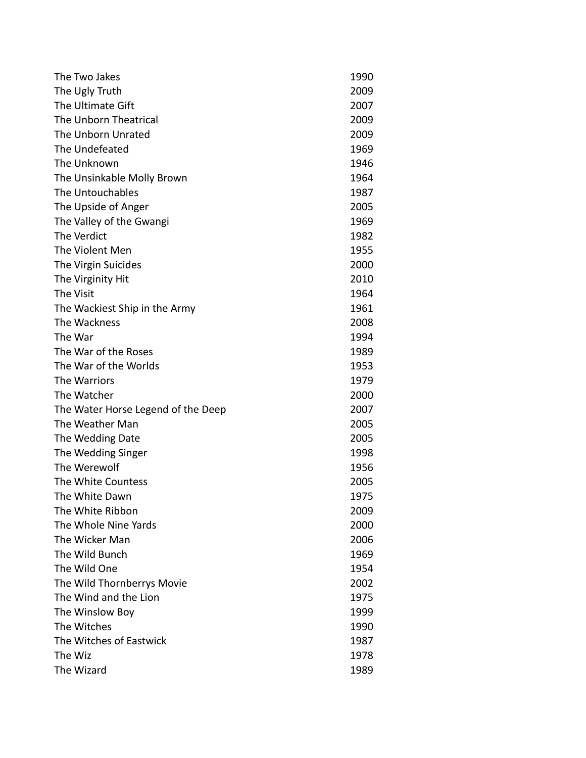| The Two Jakes                      | 1990 |
|------------------------------------|------|
| The Ugly Truth                     | 2009 |
| The Ultimate Gift                  | 2007 |
| The Unborn Theatrical              | 2009 |
| The Unborn Unrated                 | 2009 |
| The Undefeated                     | 1969 |
| The Unknown                        | 1946 |
| The Unsinkable Molly Brown         | 1964 |
| The Untouchables                   | 1987 |
| The Upside of Anger                | 2005 |
| The Valley of the Gwangi           | 1969 |
| The Verdict                        | 1982 |
| The Violent Men                    | 1955 |
| The Virgin Suicides                | 2000 |
| The Virginity Hit                  | 2010 |
| The Visit                          | 1964 |
| The Wackiest Ship in the Army      | 1961 |
| The Wackness                       | 2008 |
| The War                            | 1994 |
| The War of the Roses               | 1989 |
| The War of the Worlds              | 1953 |
| The Warriors                       | 1979 |
| The Watcher                        | 2000 |
| The Water Horse Legend of the Deep | 2007 |
| The Weather Man                    | 2005 |
| The Wedding Date                   | 2005 |
| The Wedding Singer                 | 1998 |
| The Werewolf                       | 1956 |
| The White Countess                 | 2005 |
| The White Dawn                     | 1975 |
| The White Ribbon                   | 2009 |
| The Whole Nine Yards               | 2000 |
| The Wicker Man                     | 2006 |
| The Wild Bunch                     | 1969 |
| The Wild One                       | 1954 |
| The Wild Thornberrys Movie         | 2002 |
| The Wind and the Lion              | 1975 |
| The Winslow Boy                    | 1999 |
| The Witches                        | 1990 |
| The Witches of Eastwick            | 1987 |
| The Wiz                            | 1978 |
| The Wizard                         | 1989 |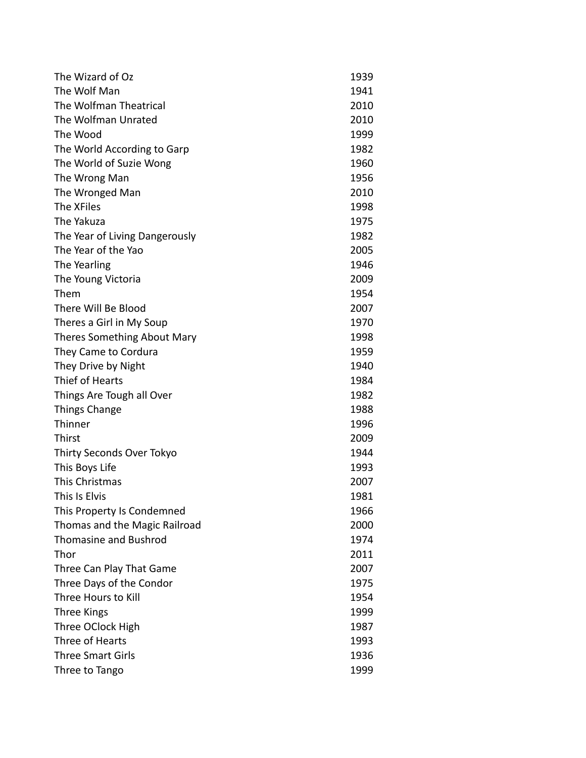| The Wizard of Oz               | 1939 |
|--------------------------------|------|
| The Wolf Man                   | 1941 |
| The Wolfman Theatrical         | 2010 |
| The Wolfman Unrated            | 2010 |
| The Wood                       | 1999 |
| The World According to Garp    | 1982 |
| The World of Suzie Wong        | 1960 |
| The Wrong Man                  | 1956 |
| The Wronged Man                | 2010 |
| The XFiles                     | 1998 |
| The Yakuza                     | 1975 |
| The Year of Living Dangerously | 1982 |
| The Year of the Yao            | 2005 |
| The Yearling                   | 1946 |
| The Young Victoria             | 2009 |
| Them                           | 1954 |
| There Will Be Blood            | 2007 |
| Theres a Girl in My Soup       | 1970 |
| Theres Something About Mary    | 1998 |
| They Came to Cordura           | 1959 |
| They Drive by Night            | 1940 |
| Thief of Hearts                | 1984 |
| Things Are Tough all Over      | 1982 |
| <b>Things Change</b>           | 1988 |
| Thinner                        | 1996 |
| Thirst                         | 2009 |
| Thirty Seconds Over Tokyo      | 1944 |
| This Boys Life                 | 1993 |
| This Christmas                 | 2007 |
| This Is Elvis                  | 1981 |
| This Property Is Condemned     | 1966 |
| Thomas and the Magic Railroad  | 2000 |
| <b>Thomasine and Bushrod</b>   | 1974 |
| Thor                           | 2011 |
| Three Can Play That Game       | 2007 |
| Three Days of the Condor       | 1975 |
| Three Hours to Kill            | 1954 |
| Three Kings                    | 1999 |
| Three OClock High              | 1987 |
| Three of Hearts                | 1993 |
| <b>Three Smart Girls</b>       | 1936 |
| Three to Tango                 | 1999 |
|                                |      |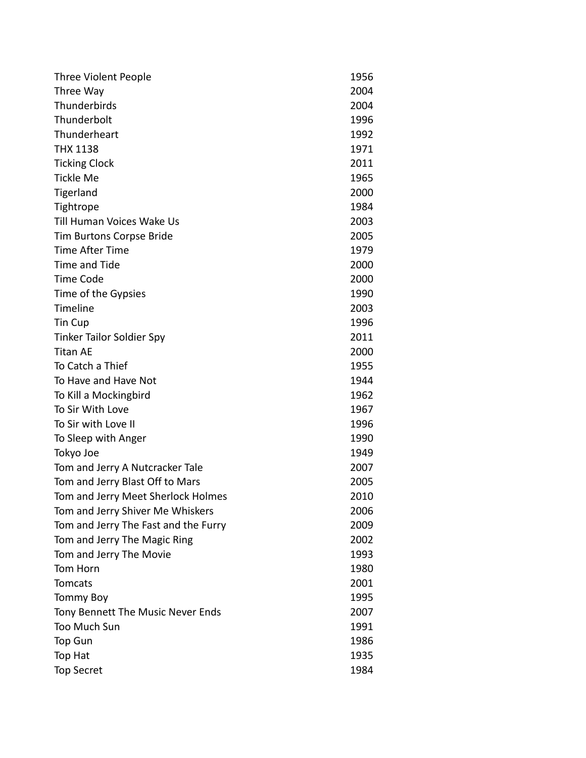| Three Violent People                 | 1956 |
|--------------------------------------|------|
| Three Way                            | 2004 |
| Thunderbirds                         | 2004 |
| Thunderbolt                          | 1996 |
| Thunderheart                         | 1992 |
| <b>THX 1138</b>                      | 1971 |
| <b>Ticking Clock</b>                 | 2011 |
| <b>Tickle Me</b>                     | 1965 |
| Tigerland                            | 2000 |
| Tightrope                            | 1984 |
| Till Human Voices Wake Us            | 2003 |
| Tim Burtons Corpse Bride             | 2005 |
| Time After Time                      | 1979 |
| Time and Tide                        | 2000 |
| <b>Time Code</b>                     | 2000 |
| Time of the Gypsies                  | 1990 |
| Timeline                             | 2003 |
| Tin Cup                              | 1996 |
| <b>Tinker Tailor Soldier Spy</b>     | 2011 |
| <b>Titan AE</b>                      | 2000 |
| To Catch a Thief                     | 1955 |
| To Have and Have Not                 | 1944 |
| To Kill a Mockingbird                | 1962 |
| To Sir With Love                     | 1967 |
| To Sir with Love II                  | 1996 |
| To Sleep with Anger                  | 1990 |
| Tokyo Joe                            | 1949 |
| Tom and Jerry A Nutcracker Tale      | 2007 |
| Tom and Jerry Blast Off to Mars      | 2005 |
| Tom and Jerry Meet Sherlock Holmes   | 2010 |
| Tom and Jerry Shiver Me Whiskers     | 2006 |
| Tom and Jerry The Fast and the Furry | 2009 |
| Tom and Jerry The Magic Ring         | 2002 |
| Tom and Jerry The Movie              | 1993 |
| Tom Horn                             | 1980 |
| <b>Tomcats</b>                       | 2001 |
| <b>Tommy Boy</b>                     | 1995 |
| Tony Bennett The Music Never Ends    | 2007 |
| <b>Too Much Sun</b>                  | 1991 |
| <b>Top Gun</b>                       | 1986 |
| Top Hat                              | 1935 |
| <b>Top Secret</b>                    | 1984 |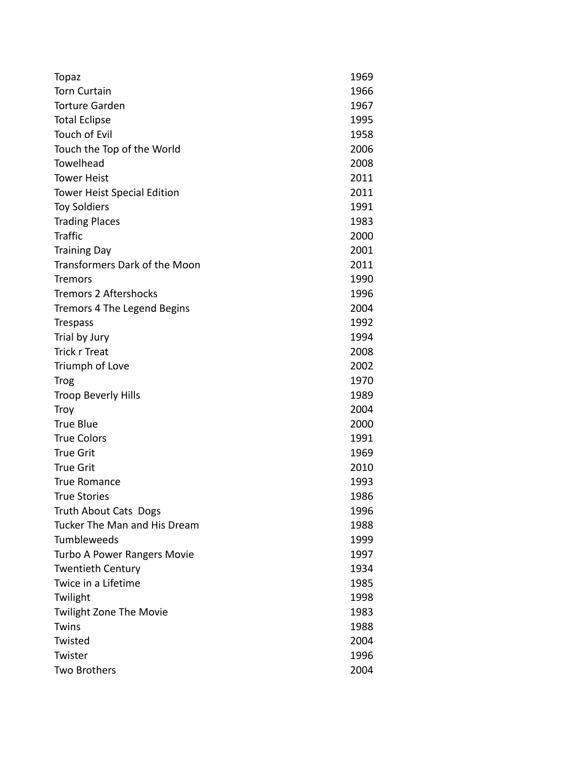| <b>Topaz</b>                       | 1969 |
|------------------------------------|------|
| <b>Torn Curtain</b>                | 1966 |
| <b>Torture Garden</b>              | 1967 |
| <b>Total Eclipse</b>               | 1995 |
| Touch of Evil                      | 1958 |
| Touch the Top of the World         | 2006 |
| Towelhead                          | 2008 |
| <b>Tower Heist</b>                 | 2011 |
| <b>Tower Heist Special Edition</b> | 2011 |
| <b>Toy Soldiers</b>                | 1991 |
| <b>Trading Places</b>              | 1983 |
| <b>Traffic</b>                     | 2000 |
| <b>Training Day</b>                | 2001 |
| Transformers Dark of the Moon      | 2011 |
| <b>Tremors</b>                     | 1990 |
| <b>Tremors 2 Aftershocks</b>       | 1996 |
| Tremors 4 The Legend Begins        | 2004 |
| <b>Trespass</b>                    | 1992 |
| Trial by Jury                      | 1994 |
| <b>Trick r Treat</b>               | 2008 |
| Triumph of Love                    | 2002 |
| Trog                               | 1970 |
| <b>Troop Beverly Hills</b>         | 1989 |
| <b>Troy</b>                        | 2004 |
| <b>True Blue</b>                   | 2000 |
| <b>True Colors</b>                 | 1991 |
| <b>True Grit</b>                   | 1969 |
| <b>True Grit</b>                   | 2010 |
| <b>True Romance</b>                | 1993 |
| <b>True Stories</b>                | 1986 |
| Truth About Cats Dogs              | 1996 |
| Tucker The Man and His Dream       | 1988 |
| <b>Tumbleweeds</b>                 | 1999 |
| <b>Turbo A Power Rangers Movie</b> | 1997 |
| <b>Twentieth Century</b>           | 1934 |
| Twice in a Lifetime                | 1985 |
| Twilight                           | 1998 |
| <b>Twilight Zone The Movie</b>     | 1983 |
| Twins                              | 1988 |
| Twisted                            | 2004 |
| Twister                            | 1996 |
| Two Brothers                       | 2004 |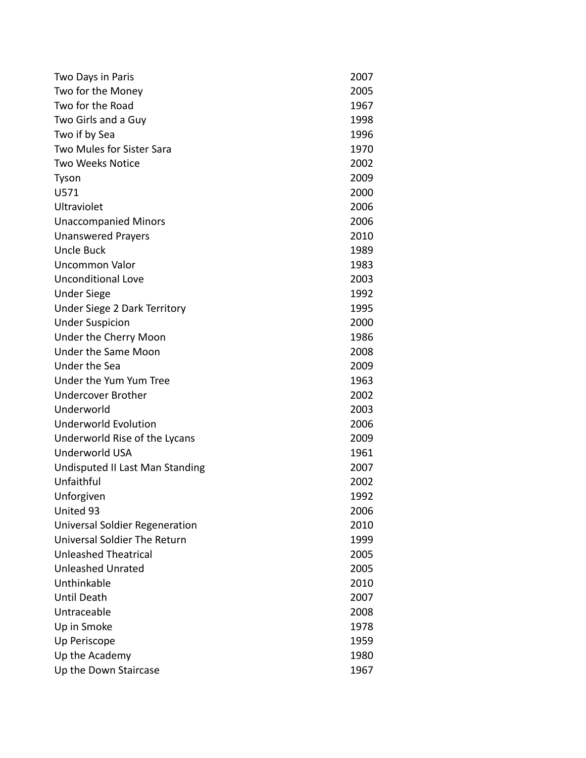| Two Days in Paris                | 2007 |
|----------------------------------|------|
| Two for the Money                | 2005 |
| Two for the Road                 | 1967 |
| Two Girls and a Guy              | 1998 |
| Two if by Sea                    | 1996 |
| <b>Two Mules for Sister Sara</b> | 1970 |
| <b>Two Weeks Notice</b>          | 2002 |
| <b>Tyson</b>                     | 2009 |
| U571                             | 2000 |
| Ultraviolet                      | 2006 |
| <b>Unaccompanied Minors</b>      | 2006 |
| <b>Unanswered Prayers</b>        | 2010 |
| <b>Uncle Buck</b>                | 1989 |
| <b>Uncommon Valor</b>            | 1983 |
| <b>Unconditional Love</b>        | 2003 |
| <b>Under Siege</b>               | 1992 |
| Under Siege 2 Dark Territory     | 1995 |
| <b>Under Suspicion</b>           | 2000 |
| Under the Cherry Moon            | 1986 |
| Under the Same Moon              | 2008 |
| Under the Sea                    | 2009 |
| Under the Yum Yum Tree           | 1963 |
| Undercover Brother               | 2002 |
| Underworld                       | 2003 |
| <b>Underworld Evolution</b>      | 2006 |
| Underworld Rise of the Lycans    | 2009 |
| Underworld USA                   | 1961 |
| Undisputed II Last Man Standing  | 2007 |
| Unfaithful                       | 2002 |
| Unforgiven                       | 1992 |
| United 93                        | 2006 |
| Universal Soldier Regeneration   | 2010 |
| Universal Soldier The Return     | 1999 |
| <b>Unleashed Theatrical</b>      | 2005 |
| <b>Unleashed Unrated</b>         | 2005 |
| Unthinkable                      | 2010 |
| <b>Until Death</b>               | 2007 |
| Untraceable                      | 2008 |
| Up in Smoke                      | 1978 |
| Up Periscope                     | 1959 |
| Up the Academy                   | 1980 |
| Up the Down Staircase            | 1967 |
|                                  |      |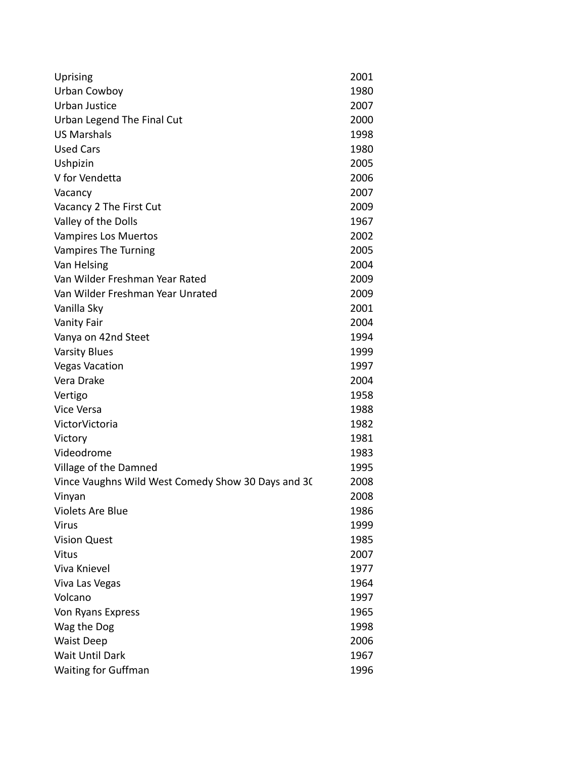| Uprising                                           | 2001 |
|----------------------------------------------------|------|
| Urban Cowboy                                       | 1980 |
| Urban Justice                                      | 2007 |
| Urban Legend The Final Cut                         | 2000 |
| <b>US Marshals</b>                                 | 1998 |
| <b>Used Cars</b>                                   | 1980 |
| Ushpizin                                           | 2005 |
| V for Vendetta                                     | 2006 |
| Vacancy                                            | 2007 |
| Vacancy 2 The First Cut                            | 2009 |
| Valley of the Dolls                                | 1967 |
| <b>Vampires Los Muertos</b>                        | 2002 |
| Vampires The Turning                               | 2005 |
| Van Helsing                                        | 2004 |
| Van Wilder Freshman Year Rated                     | 2009 |
| Van Wilder Freshman Year Unrated                   | 2009 |
| Vanilla Sky                                        | 2001 |
| Vanity Fair                                        | 2004 |
| Vanya on 42nd Steet                                | 1994 |
| <b>Varsity Blues</b>                               | 1999 |
| <b>Vegas Vacation</b>                              | 1997 |
| Vera Drake                                         | 2004 |
| Vertigo                                            | 1958 |
| Vice Versa                                         | 1988 |
| VictorVictoria                                     | 1982 |
| Victory                                            | 1981 |
| Videodrome                                         | 1983 |
| Village of the Damned                              | 1995 |
| Vince Vaughns Wild West Comedy Show 30 Days and 30 | 2008 |
| Vinyan                                             | 2008 |
| Violets Are Blue                                   | 1986 |
| <b>Virus</b>                                       | 1999 |
| <b>Vision Quest</b>                                | 1985 |
| Vitus                                              | 2007 |
| Viva Knievel                                       | 1977 |
| Viva Las Vegas                                     | 1964 |
| Volcano                                            | 1997 |
| Von Ryans Express                                  | 1965 |
| Wag the Dog                                        | 1998 |
| <b>Waist Deep</b>                                  | 2006 |
| <b>Wait Until Dark</b>                             | 1967 |
| Waiting for Guffman                                | 1996 |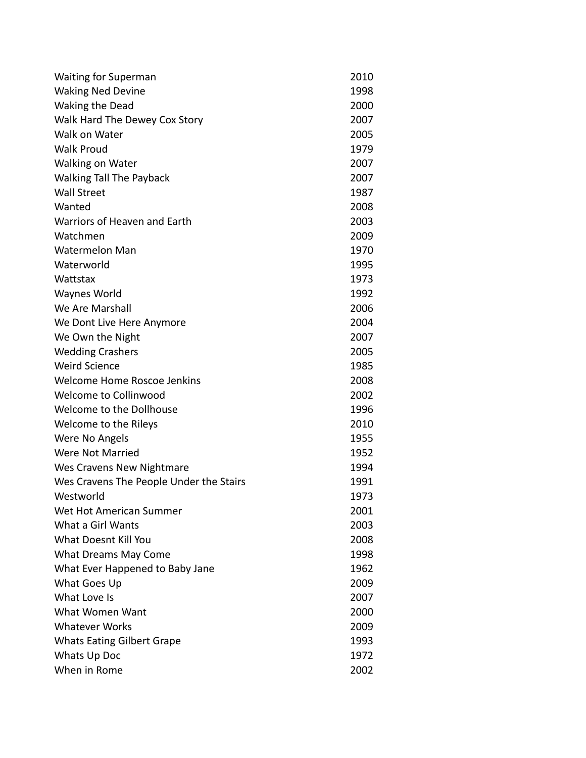| <b>Waiting for Superman</b>             | 2010 |
|-----------------------------------------|------|
| <b>Waking Ned Devine</b>                | 1998 |
| Waking the Dead                         | 2000 |
| Walk Hard The Dewey Cox Story           | 2007 |
| Walk on Water                           | 2005 |
| <b>Walk Proud</b>                       | 1979 |
| Walking on Water                        | 2007 |
| <b>Walking Tall The Payback</b>         | 2007 |
| <b>Wall Street</b>                      | 1987 |
| Wanted                                  | 2008 |
| Warriors of Heaven and Earth            | 2003 |
| Watchmen                                | 2009 |
| <b>Watermelon Man</b>                   | 1970 |
| Waterworld                              | 1995 |
| Wattstax                                | 1973 |
| <b>Waynes World</b>                     | 1992 |
| We Are Marshall                         | 2006 |
| We Dont Live Here Anymore               | 2004 |
| We Own the Night                        | 2007 |
| <b>Wedding Crashers</b>                 | 2005 |
| <b>Weird Science</b>                    | 1985 |
| Welcome Home Roscoe Jenkins             | 2008 |
| Welcome to Collinwood                   | 2002 |
| Welcome to the Dollhouse                | 1996 |
| Welcome to the Rileys                   | 2010 |
| Were No Angels                          | 1955 |
| <b>Were Not Married</b>                 | 1952 |
| Wes Cravens New Nightmare               | 1994 |
| Wes Cravens The People Under the Stairs | 1991 |
| Westworld                               | 1973 |
| Wet Hot American Summer                 | 2001 |
| What a Girl Wants                       | 2003 |
| What Doesnt Kill You                    | 2008 |
| What Dreams May Come                    | 1998 |
| What Ever Happened to Baby Jane         | 1962 |
| What Goes Up                            | 2009 |
| What Love Is                            | 2007 |
| What Women Want                         | 2000 |
| <b>Whatever Works</b>                   | 2009 |
| <b>Whats Eating Gilbert Grape</b>       | 1993 |
| Whats Up Doc                            | 1972 |
| When in Rome                            | 2002 |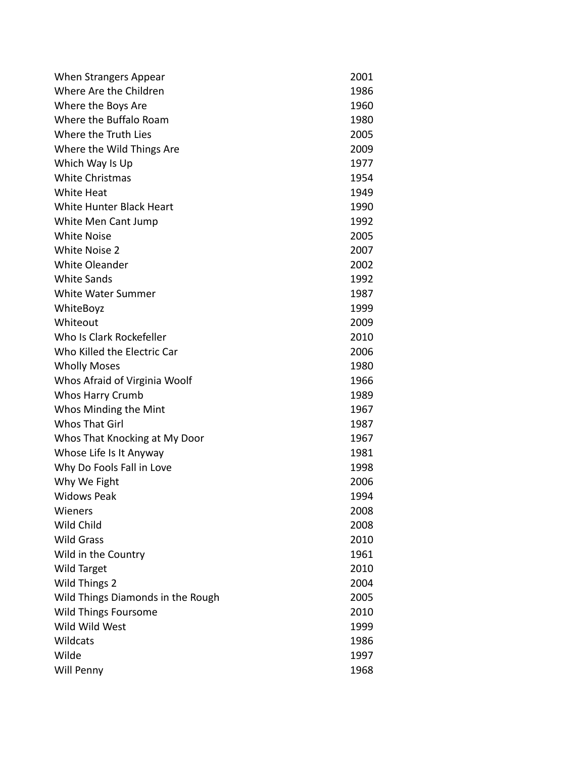| When Strangers Appear             | 2001 |
|-----------------------------------|------|
| Where Are the Children            | 1986 |
| Where the Boys Are                | 1960 |
| Where the Buffalo Roam            | 1980 |
| Where the Truth Lies              | 2005 |
| Where the Wild Things Are         | 2009 |
| Which Way Is Up                   | 1977 |
| <b>White Christmas</b>            | 1954 |
| White Heat                        | 1949 |
| <b>White Hunter Black Heart</b>   | 1990 |
| White Men Cant Jump               | 1992 |
| <b>White Noise</b>                | 2005 |
| <b>White Noise 2</b>              | 2007 |
| <b>White Oleander</b>             | 2002 |
| <b>White Sands</b>                | 1992 |
| <b>White Water Summer</b>         | 1987 |
| WhiteBoyz                         | 1999 |
| Whiteout                          | 2009 |
| Who Is Clark Rockefeller          | 2010 |
| Who Killed the Electric Car       | 2006 |
| <b>Wholly Moses</b>               | 1980 |
| Whos Afraid of Virginia Woolf     | 1966 |
| Whos Harry Crumb                  | 1989 |
| Whos Minding the Mint             | 1967 |
| Whos That Girl                    | 1987 |
| Whos That Knocking at My Door     | 1967 |
| Whose Life Is It Anyway           | 1981 |
| Why Do Fools Fall in Love         | 1998 |
| Why We Fight                      | 2006 |
| <b>Widows Peak</b>                | 1994 |
| Wieners                           | 2008 |
| Wild Child                        | 2008 |
| <b>Wild Grass</b>                 | 2010 |
| Wild in the Country               | 1961 |
| <b>Wild Target</b>                | 2010 |
| Wild Things 2                     | 2004 |
| Wild Things Diamonds in the Rough | 2005 |
| Wild Things Foursome              | 2010 |
| Wild Wild West                    | 1999 |
| Wildcats                          | 1986 |
| Wilde                             | 1997 |
| Will Penny                        | 1968 |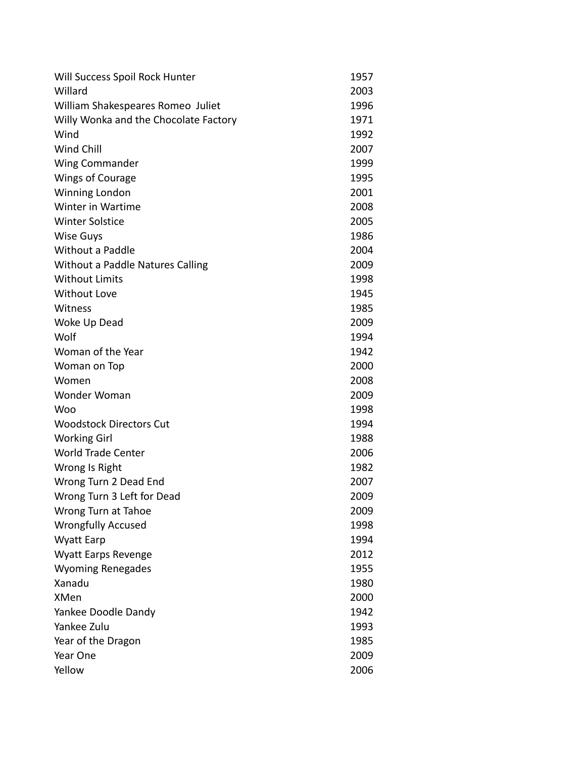| Will Success Spoil Rock Hunter        | 1957 |
|---------------------------------------|------|
| Willard                               | 2003 |
| William Shakespeares Romeo Juliet     | 1996 |
| Willy Wonka and the Chocolate Factory | 1971 |
| Wind                                  | 1992 |
| Wind Chill                            | 2007 |
| Wing Commander                        | 1999 |
| Wings of Courage                      | 1995 |
| <b>Winning London</b>                 | 2001 |
| Winter in Wartime                     | 2008 |
| <b>Winter Solstice</b>                | 2005 |
| <b>Wise Guys</b>                      | 1986 |
| Without a Paddle                      | 2004 |
| Without a Paddle Natures Calling      | 2009 |
| <b>Without Limits</b>                 | 1998 |
| <b>Without Love</b>                   | 1945 |
| Witness                               | 1985 |
| Woke Up Dead                          | 2009 |
| Wolf                                  | 1994 |
| Woman of the Year                     | 1942 |
| Woman on Top                          | 2000 |
| Women                                 | 2008 |
| Wonder Woman                          | 2009 |
| <b>Woo</b>                            | 1998 |
| <b>Woodstock Directors Cut</b>        | 1994 |
| <b>Working Girl</b>                   | 1988 |
| <b>World Trade Center</b>             | 2006 |
| Wrong Is Right                        | 1982 |
| Wrong Turn 2 Dead End                 | 2007 |
| Wrong Turn 3 Left for Dead            | 2009 |
| Wrong Turn at Tahoe                   | 2009 |
| <b>Wrongfully Accused</b>             | 1998 |
| <b>Wyatt Earp</b>                     | 1994 |
| <b>Wyatt Earps Revenge</b>            | 2012 |
| <b>Wyoming Renegades</b>              | 1955 |
| Xanadu                                | 1980 |
| XMen                                  | 2000 |
| Yankee Doodle Dandy                   | 1942 |
| Yankee Zulu                           | 1993 |
| Year of the Dragon                    | 1985 |
| Year One                              | 2009 |
| Yellow                                | 2006 |